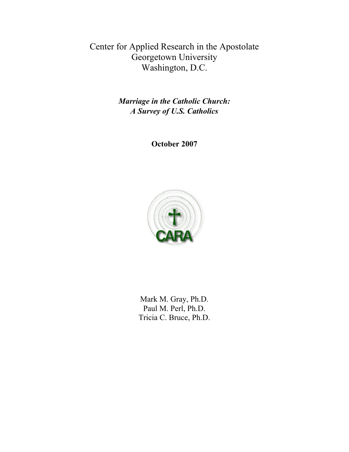Center for Applied Research in the Apostolate Georgetown University Washington, D.C.

> *Marriage in the Catholic Church: A Survey of U.S. Catholics*

> > **October 2007**



Mark M. Gray, Ph.D. Paul M. Perl, Ph.D. Tricia C. Bruce, Ph.D.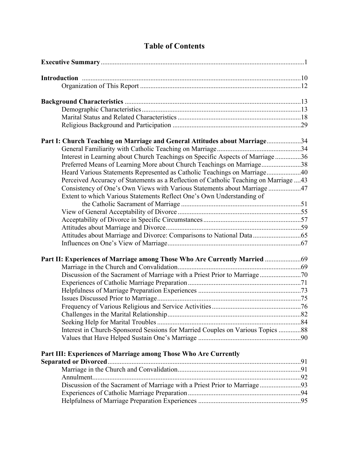| Part I: Church Teaching on Marriage and General Attitudes about Marriage34            |  |
|---------------------------------------------------------------------------------------|--|
|                                                                                       |  |
| Interest in Learning about Church Teachings on Specific Aspects of Marriage36         |  |
| Preferred Means of Learning More about Church Teachings on Marriage38                 |  |
| Heard Various Statements Represented as Catholic Teachings on Marriage40              |  |
| Perceived Accuracy of Statements as a Reflection of Catholic Teaching on Marriage  43 |  |
| Consistency of One's Own Views with Various Statements about Marriage 47              |  |
| Extent to which Various Statements Reflect One's Own Understanding of                 |  |
|                                                                                       |  |
|                                                                                       |  |
|                                                                                       |  |
|                                                                                       |  |
|                                                                                       |  |
|                                                                                       |  |
| Part II: Experiences of Marriage among Those Who Are Currently Married                |  |
|                                                                                       |  |
|                                                                                       |  |
|                                                                                       |  |
|                                                                                       |  |
|                                                                                       |  |
|                                                                                       |  |
|                                                                                       |  |
|                                                                                       |  |
| Interest in Church-Sponsored Sessions for Married Couples on Various Topics 88        |  |
|                                                                                       |  |
| Part III: Experiences of Marriage among Those Who Are Currently                       |  |
|                                                                                       |  |
|                                                                                       |  |
|                                                                                       |  |
| Discussion of the Sacrament of Marriage with a Priest Prior to Marriage 93            |  |
|                                                                                       |  |
|                                                                                       |  |
|                                                                                       |  |

# **Table of Contents**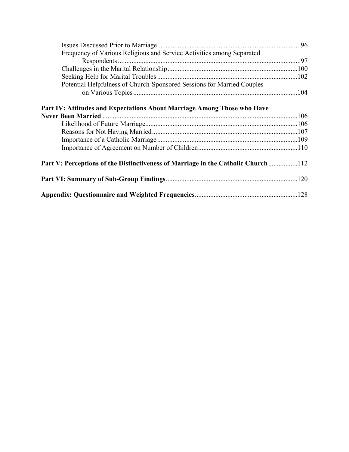| Frequency of Various Religious and Service Activities among Separated            |  |
|----------------------------------------------------------------------------------|--|
|                                                                                  |  |
|                                                                                  |  |
|                                                                                  |  |
| Potential Helpfulness of Church-Sponsored Sessions for Married Couples           |  |
|                                                                                  |  |
| Part IV: Attitudes and Expectations About Marriage Among Those who Have          |  |
|                                                                                  |  |
|                                                                                  |  |
|                                                                                  |  |
|                                                                                  |  |
|                                                                                  |  |
| Part V: Perceptions of the Distinctiveness of Marriage in the Catholic Church112 |  |
|                                                                                  |  |
|                                                                                  |  |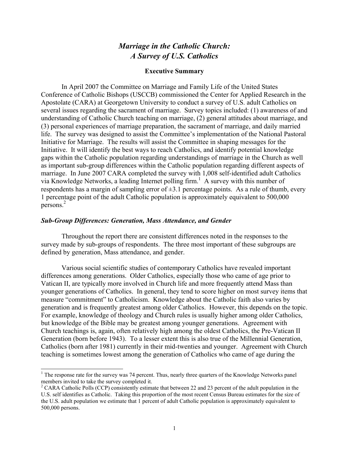# *Marriage in the Catholic Church: A Survey of U.S. Catholics*

#### **Executive Summary**

 In April 2007 the Committee on Marriage and Family Life of the United States Conference of Catholic Bishops (USCCB) commissioned the Center for Applied Research in the Apostolate (CARA) at Georgetown University to conduct a survey of U.S. adult Catholics on several issues regarding the sacrament of marriage. Survey topics included: (1) awareness of and understanding of Catholic Church teaching on marriage, (2) general attitudes about marriage, and (3) personal experiences of marriage preparation, the sacrament of marriage, and daily married life. The survey was designed to assist the Committee's implementation of the National Pastoral Initiative for Marriage. The results will assist the Committee in shaping messages for the Initiative. It will identify the best ways to reach Catholics, and identify potential knowledge gaps within the Catholic population regarding understandings of marriage in the Church as well as important sub-group differences within the Catholic population regarding different aspects of marriage. In June 2007 CARA completed the survey with 1,008 self-identified adult Catholics via Knowledge Networks, a leading Internet polling firm.<sup>1</sup> A survey with this number of respondents has a margin of sampling error of  $\pm 3.1$  percentage points. As a rule of thumb, every 1 percentage point of the adult Catholic population is approximately equivalent to 500,000 persons.2

#### *Sub-Group Differences: Generation, Mass Attendance, and Gender*

l

 Throughout the report there are consistent differences noted in the responses to the survey made by sub-groups of respondents. The three most important of these subgroups are defined by generation, Mass attendance, and gender.

Various social scientific studies of contemporary Catholics have revealed important differences among generations. Older Catholics, especially those who came of age prior to Vatican II, are typically more involved in Church life and more frequently attend Mass than younger generations of Catholics. In general, they tend to score higher on most survey items that measure "commitment" to Catholicism. Knowledge about the Catholic faith also varies by generation and is frequently greatest among older Catholics. However, this depends on the topic. For example, knowledge of theology and Church rules is usually higher among older Catholics, but knowledge of the Bible may be greatest among younger generations. Agreement with Church teachings is, again, often relatively high among the oldest Catholics, the Pre-Vatican II Generation (born before 1943). To a lesser extent this is also true of the Millennial Generation, Catholics (born after 1981) currently in their mid-twenties and younger. Agreement with Church teaching is sometimes lowest among the generation of Catholics who came of age during the

 $1$ <sup>1</sup> The response rate for the survey was 74 percent. Thus, nearly three quarters of the Knowledge Networks panel members invited to take the survey completed it.

<sup>&</sup>lt;sup>2</sup> CARA Catholic Polls (CCP) consistently estimate that between 22 and 23 percent of the adult population in the U.S. self identifies as Catholic. Taking this proportion of the most recent Census Bureau estimates for the size of the U.S. adult population we estimate that 1 percent of adult Catholic population is approximately equivalent to 500,000 persons.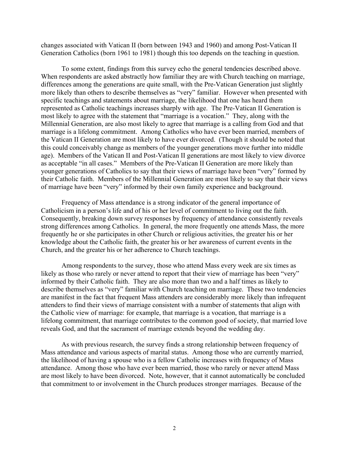changes associated with Vatican II (born between 1943 and 1960) and among Post-Vatican II Generation Catholics (born 1961 to 1981) though this too depends on the teaching in question.

 To some extent, findings from this survey echo the general tendencies described above. When respondents are asked abstractly how familiar they are with Church teaching on marriage, differences among the generations are quite small, with the Pre-Vatican Generation just slightly more likely than others to describe themselves as "very" familiar. However when presented with specific teachings and statements about marriage, the likelihood that one has heard them represented as Catholic teachings increases sharply with age. The Pre-Vatican II Generation is most likely to agree with the statement that "marriage is a vocation." They, along with the Millennial Generation, are also most likely to agree that marriage is a calling from God and that marriage is a lifelong commitment. Among Catholics who have ever been married, members of the Vatican II Generation are most likely to have ever divorced. (Though it should be noted that this could conceivably change as members of the younger generations move further into middle age). Members of the Vatican II and Post-Vatican II generations are most likely to view divorce as acceptable "in all cases." Members of the Pre-Vatican II Generation are more likely than younger generations of Catholics to say that their views of marriage have been "very" formed by their Catholic faith. Members of the Millennial Generation are most likely to say that their views of marriage have been "very" informed by their own family experience and background.

 Frequency of Mass attendance is a strong indicator of the general importance of Catholicism in a person's life and of his or her level of commitment to living out the faith. Consequently, breaking down survey responses by frequency of attendance consistently reveals strong differences among Catholics. In general, the more frequently one attends Mass, the more frequently he or she participates in other Church or religious activities, the greater his or her knowledge about the Catholic faith, the greater his or her awareness of current events in the Church, and the greater his or her adherence to Church teachings.

Among respondents to the survey, those who attend Mass every week are six times as likely as those who rarely or never attend to report that their view of marriage has been "very" informed by their Catholic faith. They are also more than two and a half times as likely to describe themselves as "very" familiar with Church teaching on marriage. These two tendencies are manifest in the fact that frequent Mass attenders are considerably more likely than infrequent attenders to find their views of marriage consistent with a number of statements that align with the Catholic view of marriage: for example, that marriage is a vocation, that marriage is a lifelong commitment, that marriage contributes to the common good of society, that married love reveals God, and that the sacrament of marriage extends beyond the wedding day.

As with previous research, the survey finds a strong relationship between frequency of Mass attendance and various aspects of marital status. Among those who are currently married, the likelihood of having a spouse who is a fellow Catholic increases with frequency of Mass attendance. Among those who have ever been married, those who rarely or never attend Mass are most likely to have been divorced. Note, however, that it cannot automatically be concluded that commitment to or involvement in the Church produces stronger marriages. Because of the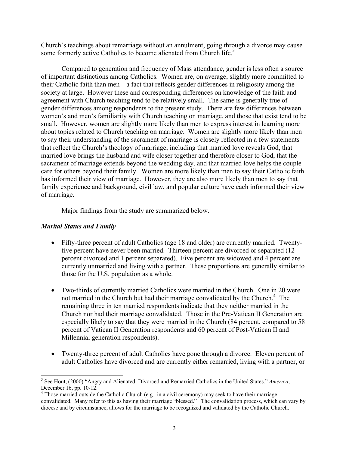Church's teachings about remarriage without an annulment, going through a divorce may cause some formerly active Catholics to become alienated from Church life.<sup>3</sup>

 Compared to generation and frequency of Mass attendance, gender is less often a source of important distinctions among Catholics. Women are, on average, slightly more committed to their Catholic faith than men—a fact that reflects gender differences in religiosity among the society at large. However these and corresponding differences on knowledge of the faith and agreement with Church teaching tend to be relatively small. The same is generally true of gender differences among respondents to the present study. There are few differences between women's and men's familiarity with Church teaching on marriage, and those that exist tend to be small. However, women are slightly more likely than men to express interest in learning more about topics related to Church teaching on marriage. Women are slightly more likely than men to say their understanding of the sacrament of marriage is closely reflected in a few statements that reflect the Church's theology of marriage, including that married love reveals God, that married love brings the husband and wife closer together and therefore closer to God, that the sacrament of marriage extends beyond the wedding day, and that married love helps the couple care for others beyond their family. Women are more likely than men to say their Catholic faith has informed their view of marriage. However, they are also more likely than men to say that family experience and background, civil law, and popular culture have each informed their view of marriage.

Major findings from the study are summarized below.

# *Marital Status and Family*

 $\overline{a}$ 

- Fifty-three percent of adult Catholics (age 18 and older) are currently married. Twentyfive percent have never been married. Thirteen percent are divorced or separated (12 percent divorced and 1 percent separated). Five percent are widowed and 4 percent are currently unmarried and living with a partner. These proportions are generally similar to those for the U.S. population as a whole.
- Two-thirds of currently married Catholics were married in the Church. One in 20 were not married in the Church but had their marriage convalidated by the Church.<sup>4</sup> The remaining three in ten married respondents indicate that they neither married in the Church nor had their marriage convalidated. Those in the Pre-Vatican II Generation are especially likely to say that they were married in the Church (84 percent, compared to 58 percent of Vatican II Generation respondents and 60 percent of Post-Vatican II and Millennial generation respondents).
- Twenty-three percent of adult Catholics have gone through a divorce. Eleven percent of adult Catholics have divorced and are currently either remarried, living with a partner, or

<sup>3</sup> See Hout, (2000) "Angry and Alienated: Divorced and Remarried Catholics in the United States." *America*, December 16, pp. 10-12.

<sup>&</sup>lt;sup>4</sup> Those married outside the Catholic Church (e.g., in a civil ceremony) may seek to have their marriage convalidated. Many refer to this as having their marriage "blessed." The convalidation process, which can vary by diocese and by circumstance, allows for the marriage to be recognized and validated by the Catholic Church.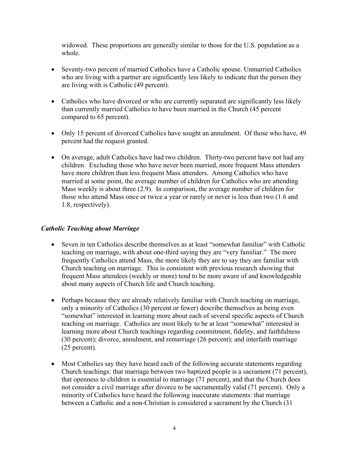widowed. These proportions are generally similar to those for the U.S. population as a whole.

- Seventy-two percent of married Catholics have a Catholic spouse. Unmarried Catholics who are living with a partner are significantly less likely to indicate that the person they are living with is Catholic (49 percent).
- Catholics who have divorced or who are currently separated are significantly less likely than currently married Catholics to have been married in the Church (45 percent compared to 65 percent).
- Only 15 percent of divorced Catholics have sought an annulment. Of those who have, 49 percent had the request granted.
- On average, adult Catholics have had two children. Thirty-two percent have not had any children. Excluding those who have never been married, more frequent Mass attenders have more children than less frequent Mass attenders. Among Catholics who have married at some point, the average number of children for Catholics who are attending Mass weekly is about three (2.9). In comparison, the average number of children for those who attend Mass once or twice a year or rarely or never is less than two (1.6 and 1.8, respectively).

# *Catholic Teaching about Marriage*

- Seven in ten Catholics describe themselves as at least "somewhat familiar" with Catholic teaching on marriage, with about one-third saying they are "very familiar." The more frequently Catholics attend Mass, the more likely they are to say they are familiar with Church teaching on marriage. This is consistent with previous research showing that frequent Mass attendees (weekly or more) tend to be more aware of and knowledgeable about many aspects of Church life and Church teaching.
- Perhaps because they are already relatively familiar with Church teaching on marriage, only a minority of Catholics (30 percent or fewer) describe themselves as being even "somewhat" interested in learning more about each of several specific aspects of Church teaching on marriage. Catholics are most likely to be at least "somewhat" interested in learning more about Church teachings regarding commitment, fidelity, and faithfulness (30 percent); divorce, annulment, and remarriage (26 percent); and interfaith marriage (25 percent).
- Most Catholics say they have heard each of the following accurate statements regarding Church teachings: that marriage between two baptized people is a sacrament (71 percent), that openness to children is essential to marriage (71 percent), and that the Church does not consider a civil marriage after divorce to be sacramentally valid (71 percent). Only a minority of Catholics have heard the following inaccurate statements: that marriage between a Catholic and a non-Christian is considered a sacrament by the Church (31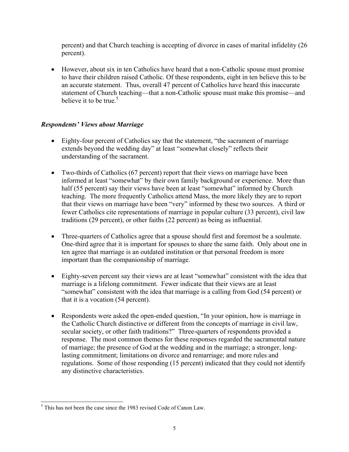percent) and that Church teaching is accepting of divorce in cases of marital infidelity (26 percent).

• However, about six in ten Catholics have heard that a non-Catholic spouse must promise to have their children raised Catholic. Of these respondents, eight in ten believe this to be an accurate statement. Thus, overall 47 percent of Catholics have heard this inaccurate statement of Church teaching—that a non-Catholic spouse must make this promise—and believe it to be true.<sup>5</sup>

# *Respondents' Views about Marriage*

- Eighty-four percent of Catholics say that the statement, "the sacrament of marriage extends beyond the wedding day" at least "somewhat closely" reflects their understanding of the sacrament.
- Two-thirds of Catholics (67 percent) report that their views on marriage have been informed at least "somewhat" by their own family background or experience. More than half (55 percent) say their views have been at least "somewhat" informed by Church teaching. The more frequently Catholics attend Mass, the more likely they are to report that their views on marriage have been "very" informed by these two sources. A third or fewer Catholics cite representations of marriage in popular culture (33 percent), civil law traditions (29 percent), or other faiths (22 percent) as being as influential.
- Three-quarters of Catholics agree that a spouse should first and foremost be a soulmate. One-third agree that it is important for spouses to share the same faith. Only about one in ten agree that marriage is an outdated institution or that personal freedom is more important than the companionship of marriage.
- Eighty-seven percent say their views are at least "somewhat" consistent with the idea that marriage is a lifelong commitment. Fewer indicate that their views are at least "somewhat" consistent with the idea that marriage is a calling from God (54 percent) or that it is a vocation (54 percent).
- Respondents were asked the open-ended question, "In your opinion, how is marriage in the Catholic Church distinctive or different from the concepts of marriage in civil law, secular society, or other faith traditions?" Three-quarters of respondents provided a response. The most common themes for these responses regarded the sacramental nature of marriage; the presence of God at the wedding and in the marriage; a stronger, longlasting commitment; limitations on divorce and remarriage; and more rules and regulations. Some of those responding (15 percent) indicated that they could not identify any distinctive characteristics.

 $\overline{a}$  $<sup>5</sup>$  This has not been the case since the 1983 revised Code of Canon Law.</sup>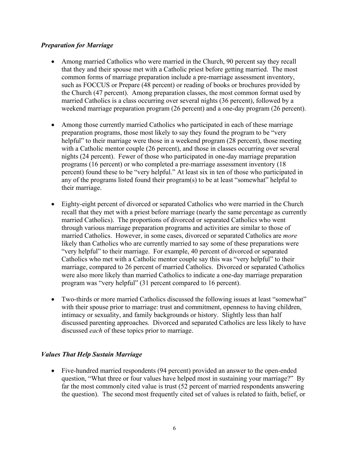# *Preparation for Marriage*

- Among married Catholics who were married in the Church, 90 percent say they recall that they and their spouse met with a Catholic priest before getting married. The most common forms of marriage preparation include a pre-marriage assessment inventory, such as FOCCUS or Prepare (48 percent) or reading of books or brochures provided by the Church (47 percent). Among preparation classes, the most common format used by married Catholics is a class occurring over several nights (36 percent), followed by a weekend marriage preparation program (26 percent) and a one-day program (26 percent).
- Among those currently married Catholics who participated in each of these marriage preparation programs, those most likely to say they found the program to be "very helpful" to their marriage were those in a weekend program (28 percent), those meeting with a Catholic mentor couple (26 percent), and those in classes occurring over several nights (24 percent). Fewer of those who participated in one-day marriage preparation programs (16 percent) or who completed a pre-marriage assessment inventory (18 percent) found these to be "very helpful." At least six in ten of those who participated in any of the programs listed found their program(s) to be at least "somewhat" helpful to their marriage.
- Eighty-eight percent of divorced or separated Catholics who were married in the Church recall that they met with a priest before marriage (nearly the same percentage as currently married Catholics). The proportions of divorced or separated Catholics who went through various marriage preparation programs and activities are similar to those of married Catholics. However, in some cases, divorced or separated Catholics are *more* likely than Catholics who are currently married to say some of these preparations were "very helpful" to their marriage. For example, 40 percent of divorced or separated Catholics who met with a Catholic mentor couple say this was "very helpful" to their marriage, compared to 26 percent of married Catholics. Divorced or separated Catholics were also more likely than married Catholics to indicate a one-day marriage preparation program was "very helpful" (31 percent compared to 16 percent).
- Two-thirds or more married Catholics discussed the following issues at least "somewhat" with their spouse prior to marriage: trust and commitment, openness to having children, intimacy or sexuality, and family backgrounds or history. Slightly less than half discussed parenting approaches. Divorced and separated Catholics are less likely to have discussed *each* of these topics prior to marriage.

# *Values That Help Sustain Marriage*

• Five-hundred married respondents (94 percent) provided an answer to the open-ended question, "What three or four values have helped most in sustaining your marriage?" By far the most commonly cited value is trust (52 percent of married respondents answering the question). The second most frequently cited set of values is related to faith, belief, or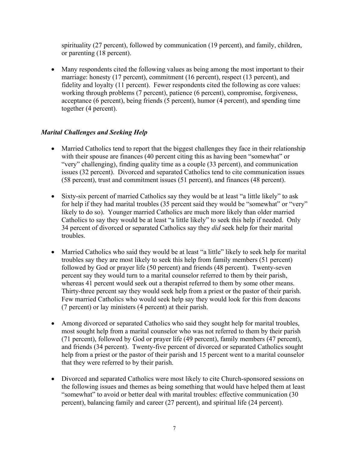spirituality (27 percent), followed by communication (19 percent), and family, children, or parenting (18 percent).

• Many respondents cited the following values as being among the most important to their marriage: honesty (17 percent), commitment (16 percent), respect (13 percent), and fidelity and loyalty (11 percent). Fewer respondents cited the following as core values: working through problems (7 percent), patience (6 percent), compromise, forgiveness, acceptance (6 percent), being friends (5 percent), humor (4 percent), and spending time together (4 percent).

# *Marital Challenges and Seeking Help*

- Married Catholics tend to report that the biggest challenges they face in their relationship with their spouse are finances (40 percent citing this as having been "somewhat" or "very" challenging), finding quality time as a couple (33 percent), and communication issues (32 percent). Divorced and separated Catholics tend to cite communication issues (58 percent), trust and commitment issues (51 percent), and finances (48 percent).
- Sixty-six percent of married Catholics say they would be at least "a little likely" to ask for help if they had marital troubles (35 percent said they would be "somewhat" or "very" likely to do so). Younger married Catholics are much more likely than older married Catholics to say they would be at least "a little likely" to seek this help if needed. Only 34 percent of divorced or separated Catholics say they *did* seek help for their marital troubles.
- Married Catholics who said they would be at least "a little" likely to seek help for marital troubles say they are most likely to seek this help from family members (51 percent) followed by God or prayer life (50 percent) and friends (48 percent). Twenty-seven percent say they would turn to a marital counselor referred to them by their parish, whereas 41 percent would seek out a therapist referred to them by some other means. Thirty-three percent say they would seek help from a priest or the pastor of their parish. Few married Catholics who would seek help say they would look for this from deacons (7 percent) or lay ministers (4 percent) at their parish.
- Among divorced or separated Catholics who said they sought help for marital troubles, most sought help from a marital counselor who was not referred to them by their parish (71 percent), followed by God or prayer life (49 percent), family members (47 percent), and friends (34 percent). Twenty-five percent of divorced or separated Catholics sought help from a priest or the pastor of their parish and 15 percent went to a marital counselor that they were referred to by their parish.
- Divorced and separated Catholics were most likely to cite Church-sponsored sessions on the following issues and themes as being something that would have helped them at least "somewhat" to avoid or better deal with marital troubles: effective communication (30 percent), balancing family and career (27 percent), and spiritual life (24 percent).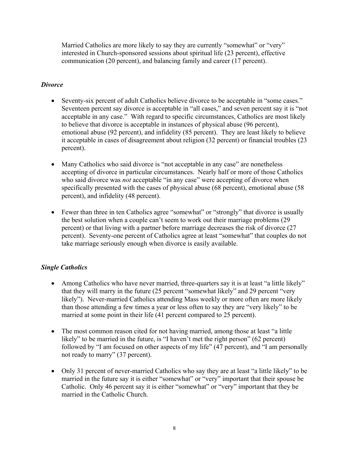Married Catholics are more likely to say they are currently "somewhat" or "very" interested in Church-sponsored sessions about spiritual life (23 percent), effective communication (20 percent), and balancing family and career (17 percent).

# *Divorce*

- Seventy-six percent of adult Catholics believe divorce to be acceptable in "some cases." Seventeen percent say divorce is acceptable in "all cases," and seven percent say it is "not acceptable in any case." With regard to specific circumstances, Catholics are most likely to believe that divorce is acceptable in instances of physical abuse (96 percent), emotional abuse (92 percent), and infidelity (85 percent). They are least likely to believe it acceptable in cases of disagreement about religion (32 percent) or financial troubles (23 percent).
- Many Catholics who said divorce is "not acceptable in any case" are nonetheless accepting of divorce in particular circumstances. Nearly half or more of those Catholics who said divorce was *not* acceptable "in any case" were accepting of divorce when specifically presented with the cases of physical abuse (68 percent), emotional abuse (58 percent), and infidelity (48 percent).
- Fewer than three in ten Catholics agree "somewhat" or "strongly" that divorce is usually the best solution when a couple can't seem to work out their marriage problems (29 percent) or that living with a partner before marriage decreases the risk of divorce (27 percent). Seventy-one percent of Catholics agree at least "somewhat" that couples do not take marriage seriously enough when divorce is easily available.

# *Single Catholics*

- Among Catholics who have never married, three-quarters say it is at least "a little likely" that they will marry in the future (25 percent "somewhat likely" and 29 percent "very likely"). Never-married Catholics attending Mass weekly or more often are more likely than those attending a few times a year or less often to say they are "very likely" to be married at some point in their life (41 percent compared to 25 percent).
- The most common reason cited for not having married, among those at least "a little" likely" to be married in the future, is "I haven't met the right person" (62 percent) followed by "I am focused on other aspects of my life" (47 percent), and "I am personally not ready to marry" (37 percent).
- Only 31 percent of never-married Catholics who say they are at least "a little likely" to be married in the future say it is either "somewhat" or "very" important that their spouse be Catholic. Only 46 percent say it is either "somewhat" or "very" important that they be married in the Catholic Church.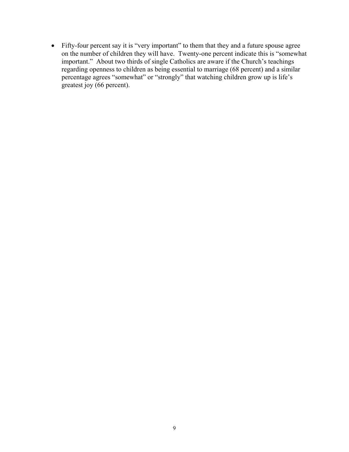• Fifty-four percent say it is "very important" to them that they and a future spouse agree on the number of children they will have. Twenty-one percent indicate this is "somewhat important." About two thirds of single Catholics are aware if the Church's teachings regarding openness to children as being essential to marriage (68 percent) and a similar percentage agrees "somewhat" or "strongly" that watching children grow up is life's greatest joy (66 percent).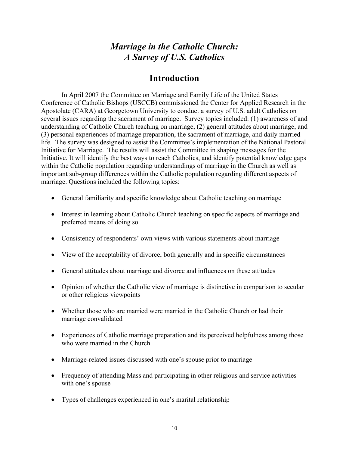# *Marriage in the Catholic Church: A Survey of U.S. Catholics*

# **Introduction**

In April 2007 the Committee on Marriage and Family Life of the United States Conference of Catholic Bishops (USCCB) commissioned the Center for Applied Research in the Apostolate (CARA) at Georgetown University to conduct a survey of U.S. adult Catholics on several issues regarding the sacrament of marriage. Survey topics included: (1) awareness of and understanding of Catholic Church teaching on marriage, (2) general attitudes about marriage, and (3) personal experiences of marriage preparation, the sacrament of marriage, and daily married life. The survey was designed to assist the Committee's implementation of the National Pastoral Initiative for Marriage. The results will assist the Committee in shaping messages for the Initiative. It will identify the best ways to reach Catholics, and identify potential knowledge gaps within the Catholic population regarding understandings of marriage in the Church as well as important sub-group differences within the Catholic population regarding different aspects of marriage. Questions included the following topics:

- General familiarity and specific knowledge about Catholic teaching on marriage
- Interest in learning about Catholic Church teaching on specific aspects of marriage and preferred means of doing so
- Consistency of respondents' own views with various statements about marriage
- View of the acceptability of divorce, both generally and in specific circumstances
- General attitudes about marriage and divorce and influences on these attitudes
- Opinion of whether the Catholic view of marriage is distinctive in comparison to secular or other religious viewpoints
- Whether those who are married were married in the Catholic Church or had their marriage convalidated
- Experiences of Catholic marriage preparation and its perceived helpfulness among those who were married in the Church
- Marriage-related issues discussed with one's spouse prior to marriage
- Frequency of attending Mass and participating in other religious and service activities with one's spouse
- Types of challenges experienced in one's marital relationship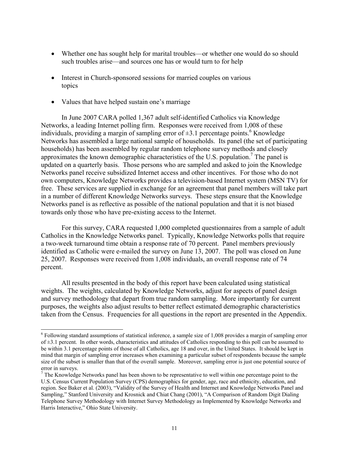- Whether one has sought help for marital troubles—or whether one would do so should such troubles arise—and sources one has or would turn to for help
- Interest in Church-sponsored sessions for married couples on various topics
- Values that have helped sustain one's marriage

 $\overline{a}$ 

In June 2007 CARA polled 1,367 adult self-identified Catholics via Knowledge Networks, a leading Internet polling firm. Responses were received from 1,008 of these individuals, providing a margin of sampling error of  $\pm 3.1$  percentage points.<sup>6</sup> Knowledge Networks has assembled a large national sample of households. Its panel (the set of participating households) has been assembled by regular random telephone survey methods and closely approximates the known demographic characteristics of the U.S. population.<sup>7</sup> The panel is updated on a quarterly basis. Those persons who are sampled and asked to join the Knowledge Networks panel receive subsidized Internet access and other incentives. For those who do not own computers, Knowledge Networks provides a television-based Internet system (MSN TV) for free. These services are supplied in exchange for an agreement that panel members will take part in a number of different Knowledge Networks surveys. These steps ensure that the Knowledge Networks panel is as reflective as possible of the national population and that it is not biased towards only those who have pre-existing access to the Internet.

 For this survey, CARA requested 1,000 completed questionnaires from a sample of adult Catholics in the Knowledge Networks panel. Typically, Knowledge Networks polls that require a two-week turnaround time obtain a response rate of 70 percent. Panel members previously identified as Catholic were e-mailed the survey on June 13, 2007. The poll was closed on June 25, 2007. Responses were received from 1,008 individuals, an overall response rate of 74 percent.

 All results presented in the body of this report have been calculated using statistical weights. The weights, calculated by Knowledge Networks, adjust for aspects of panel design and survey methodology that depart from true random sampling. More importantly for current purposes, the weights also adjust results to better reflect estimated demographic characteristics taken from the Census. Frequencies for all questions in the report are presented in the Appendix.

<sup>&</sup>lt;sup>6</sup> Following standard assumptions of statistical inference, a sample size of 1,008 provides a margin of sampling error of  $\pm$ 3.1 percent. In other words, characteristics and attitudes of Catholics responding to this poll can be assumed to be within 3.1 percentage points of those of all Catholics, age 18 and over, in the United States. It should be kept in mind that margin of sampling error increases when examining a particular subset of respondents because the sample size of the subset is smaller than that of the overall sample. Moreover, sampling error is just one potential source of error in surveys.

 $<sup>7</sup>$  The Knowledge Networks panel has been shown to be representative to well within one percentage point to the</sup> U.S. Census Current Population Survey (CPS) demographics for gender, age, race and ethnicity, education, and region. See Baker et al. (2003), "Validity of the Survey of Health and Internet and Knowledge Networks Panel and Sampling," Stanford University and Krosnick and Chiat Chang (2001), "A Comparison of Random Digit Dialing Telephone Survey Methodology with Internet Survey Methodology as Implemented by Knowledge Networks and Harris Interactive," Ohio State University.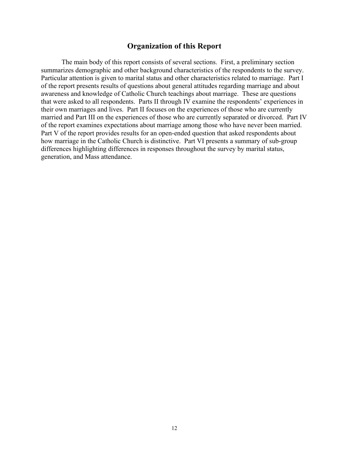# **Organization of this Report**

The main body of this report consists of several sections. First, a preliminary section summarizes demographic and other background characteristics of the respondents to the survey. Particular attention is given to marital status and other characteristics related to marriage. Part I of the report presents results of questions about general attitudes regarding marriage and about awareness and knowledge of Catholic Church teachings about marriage. These are questions that were asked to all respondents. Parts II through IV examine the respondents' experiences in their own marriages and lives. Part II focuses on the experiences of those who are currently married and Part III on the experiences of those who are currently separated or divorced. Part IV of the report examines expectations about marriage among those who have never been married. Part V of the report provides results for an open-ended question that asked respondents about how marriage in the Catholic Church is distinctive. Part VI presents a summary of sub-group differences highlighting differences in responses throughout the survey by marital status, generation, and Mass attendance.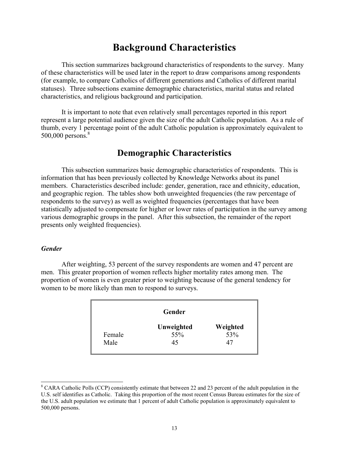# **Background Characteristics**

This section summarizes background characteristics of respondents to the survey. Many of these characteristics will be used later in the report to draw comparisons among respondents (for example, to compare Catholics of different generations and Catholics of different marital statuses). Three subsections examine demographic characteristics, marital status and related characteristics, and religious background and participation.

It is important to note that even relatively small percentages reported in this report represent a large potential audience given the size of the adult Catholic population. As a rule of thumb, every 1 percentage point of the adult Catholic population is approximately equivalent to  $500,000$  persons. $8$ 

# **Demographic Characteristics**

 This subsection summarizes basic demographic characteristics of respondents. This is information that has been previously collected by Knowledge Networks about its panel members. Characteristics described include: gender, generation, race and ethnicity, education, and geographic region. The tables show both unweighted frequencies (the raw percentage of respondents to the survey) as well as weighted frequencies (percentages that have been statistically adjusted to compensate for higher or lower rates of participation in the survey among various demographic groups in the panel. After this subsection, the remainder of the report presents only weighted frequencies).

#### *Gender*

 $\overline{a}$ 

 After weighting, 53 percent of the survey respondents are women and 47 percent are men. This greater proportion of women reflects higher mortality rates among men. The proportion of women is even greater prior to weighting because of the general tendency for women to be more likely than men to respond to surveys.

|        | Gender     |          |
|--------|------------|----------|
|        | Unweighted | Weighted |
| Female | 55%        | 53%      |
| Male   | 45         | 47       |

<sup>&</sup>lt;sup>8</sup> CARA Catholic Polls (CCP) consistently estimate that between 22 and 23 percent of the adult population in the U.S. self identifies as Catholic. Taking this proportion of the most recent Census Bureau estimates for the size of the U.S. adult population we estimate that 1 percent of adult Catholic population is approximately equivalent to 500,000 persons.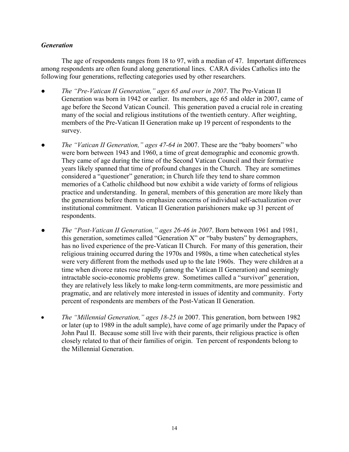# *Generation*

The age of respondents ranges from 18 to 97, with a median of 47. Important differences among respondents are often found along generational lines. CARA divides Catholics into the following four generations, reflecting categories used by other researchers.

- *The "Pre-Vatican II Generation," ages 65 and over in 2007*. The Pre-Vatican II Generation was born in 1942 or earlier. Its members, age 65 and older in 2007, came of age before the Second Vatican Council. This generation paved a crucial role in creating many of the social and religious institutions of the twentieth century. After weighting, members of the Pre-Vatican II Generation make up 19 percent of respondents to the survey.
- *The "Vatican II Generation," ages 47-64 in 2007. These are the "baby boomers" who* were born between 1943 and 1960, a time of great demographic and economic growth. They came of age during the time of the Second Vatican Council and their formative years likely spanned that time of profound changes in the Church. They are sometimes considered a "questioner" generation; in Church life they tend to share common memories of a Catholic childhood but now exhibit a wide variety of forms of religious practice and understanding. In general, members of this generation are more likely than the generations before them to emphasize concerns of individual self-actualization over institutional commitment. Vatican II Generation parishioners make up 31 percent of respondents.
- *The "Post-Vatican II Generation," ages 26-46 in 2007*. Born between 1961 and 1981, this generation, sometimes called "Generation X" or "baby busters" by demographers, has no lived experience of the pre-Vatican II Church. For many of this generation, their religious training occurred during the 1970s and 1980s, a time when catechetical styles were very different from the methods used up to the late 1960s. They were children at a time when divorce rates rose rapidly (among the Vatican II Generation) and seemingly intractable socio-economic problems grew. Sometimes called a "survivor" generation, they are relatively less likely to make long-term commitments, are more pessimistic and pragmatic, and are relatively more interested in issues of identity and community. Forty percent of respondents are members of the Post-Vatican II Generation.
- *The "Millennial Generation," ages 18-25 in* 2007. This generation, born between 1982 or later (up to 1989 in the adult sample), have come of age primarily under the Papacy of John Paul II. Because some still live with their parents, their religious practice is often closely related to that of their families of origin. Ten percent of respondents belong to the Millennial Generation.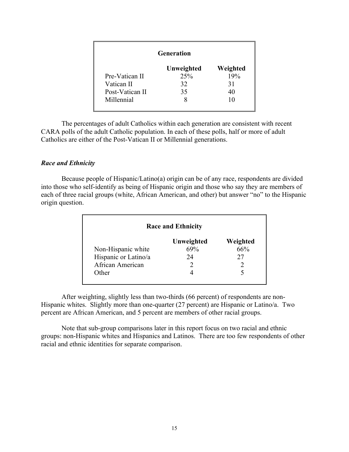| <b>Generation</b> |            |          |
|-------------------|------------|----------|
|                   | Unweighted | Weighted |
| Pre-Vatican II    | 25%        | 19%      |
| Vatican II        | 32         | 31       |
| Post-Vatican II   | 35         | 40       |
| Millennial        |            | 10       |

 The percentages of adult Catholics within each generation are consistent with recent CARA polls of the adult Catholic population. In each of these polls, half or more of adult Catholics are either of the Post-Vatican II or Millennial generations.

#### *Race and Ethnicity*

 Because people of Hispanic/Latino(a) origin can be of any race, respondents are divided into those who self-identify as being of Hispanic origin and those who say they are members of each of three racial groups (white, African American, and other) but answer "no" to the Hispanic origin question.

|                      | <b>Race and Ethnicity</b> |          |
|----------------------|---------------------------|----------|
|                      | Unweighted                | Weighted |
| Non-Hispanic white   | 69%                       | 66%      |
| Hispanic or Latino/a | 24                        | 27       |
| African American     |                           |          |
| Other                |                           |          |

 After weighting, slightly less than two-thirds (66 percent) of respondents are non-Hispanic whites. Slightly more than one-quarter (27 percent) are Hispanic or Latino/a. Two percent are African American, and 5 percent are members of other racial groups.

 Note that sub-group comparisons later in this report focus on two racial and ethnic groups: non-Hispanic whites and Hispanics and Latinos. There are too few respondents of other racial and ethnic identities for separate comparison.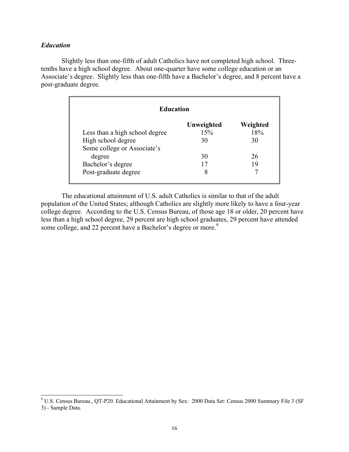#### *Education*

 $\overline{a}$ 

 Slightly less than one-fifth of adult Catholics have not completed high school. Threetenths have a high school degree. About one-quarter have some college education or an Associate's degree. Slightly less than one-fifth have a Bachelor's degree, and 8 percent have a post-graduate degree.

| <b>Education</b>               |                   |                 |
|--------------------------------|-------------------|-----------------|
| Less than a high school degree | Unweighted<br>15% | Weighted<br>18% |
| High school degree             | 30                | 30              |
| Some college or Associate's    |                   |                 |
| degree                         | 30                | 26              |
| Bachelor's degree              | 17                | 19              |
| Post-graduate degree           | 8                 |                 |

 The educational attainment of U.S. adult Catholics is similar to that of the adult population of the United States; although Catholics are slightly more likely to have a four-year college degree. According to the U.S. Census Bureau, of those age 18 or older, 20 percent have less than a high school degree, 29 percent are high school graduates, 29 percent have attended some college, and 22 percent have a Bachelor's degree or more.<sup>9</sup>

<sup>&</sup>lt;sup>9</sup> U.S. Census Bureau., QT-P20. Educational Attainment by Sex: 2000 Data Set: Census 2000 Summary File 3 (SF 3) - Sample Data.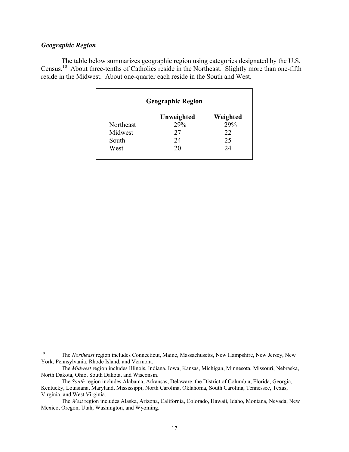### *Geographic Region*

The table below summarizes geographic region using categories designated by the U.S. Census.10 About three-tenths of Catholics reside in the Northeast. Slightly more than one-fifth reside in the Midwest. About one-quarter each reside in the South and West.

|           | <b>Geographic Region</b> |          |
|-----------|--------------------------|----------|
|           | Unweighted               | Weighted |
| Northeast | 29%                      | 29%      |
| Midwest   | 27                       | 22       |
| South     | 24                       | 25       |
| West      | 20                       | 24       |

 $10<sup>10</sup>$ 10 The *Northeast* region includes Connecticut, Maine, Massachusetts, New Hampshire, New Jersey, New York, Pennsylvania, Rhode Island, and Vermont.

The *Midwest* region includes Illinois, Indiana, Iowa, Kansas, Michigan, Minnesota, Missouri, Nebraska, North Dakota, Ohio, South Dakota, and Wisconsin.

The *South* region includes Alabama, Arkansas, Delaware, the District of Columbia, Florida, Georgia, Kentucky, Louisiana, Maryland, Mississippi, North Carolina, Oklahoma, South Carolina, Tennessee, Texas, Virginia, and West Virginia.

The *West* region includes Alaska, Arizona, California, Colorado, Hawaii, Idaho, Montana, Nevada, New Mexico, Oregon, Utah, Washington, and Wyoming.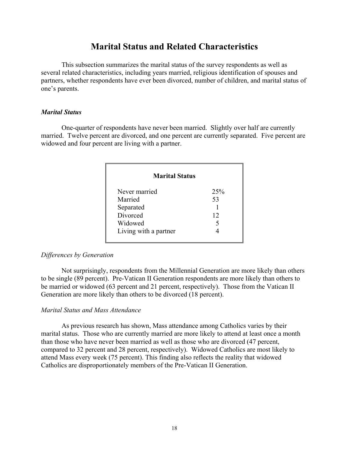# **Marital Status and Related Characteristics**

This subsection summarizes the marital status of the survey respondents as well as several related characteristics, including years married, religious identification of spouses and partners, whether respondents have ever been divorced, number of children, and marital status of one's parents.

#### *Marital Status*

 One-quarter of respondents have never been married. Slightly over half are currently married. Twelve percent are divorced, and one percent are currently separated. Five percent are widowed and four percent are living with a partner.

| 25%                   |
|-----------------------|
| 53                    |
|                       |
| 12                    |
|                       |
|                       |
| <b>Marital Status</b> |

#### *Differences by Generation*

 Not surprisingly, respondents from the Millennial Generation are more likely than others to be single (89 percent). Pre-Vatican II Generation respondents are more likely than others to be married or widowed (63 percent and 21 percent, respectively). Those from the Vatican II Generation are more likely than others to be divorced (18 percent).

#### *Marital Status and Mass Attendance*

 As previous research has shown, Mass attendance among Catholics varies by their marital status. Those who are currently married are more likely to attend at least once a month than those who have never been married as well as those who are divorced (47 percent, compared to 32 percent and 28 percent, respectively). Widowed Catholics are most likely to attend Mass every week (75 percent). This finding also reflects the reality that widowed Catholics are disproportionately members of the Pre-Vatican II Generation.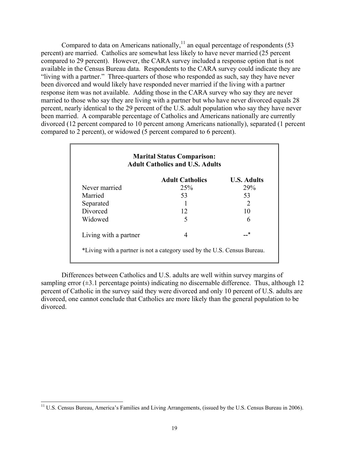Compared to data on Americans nationally, $^{11}$  an equal percentage of respondents (53 percent) are married. Catholics are somewhat less likely to have never married (25 percent compared to 29 percent). However, the CARA survey included a response option that is not available in the Census Bureau data. Respondents to the CARA survey could indicate they are "living with a partner." Three-quarters of those who responded as such, say they have never been divorced and would likely have responded never married if the living with a partner response item was not available. Adding those in the CARA survey who say they are never married to those who say they are living with a partner but who have never divorced equals 28 percent, nearly identical to the 29 percent of the U.S. adult population who say they have never been married. A comparable percentage of Catholics and Americans nationally are currently divorced (12 percent compared to 10 percent among Americans nationally), separated (1 percent compared to 2 percent), or widowed (5 percent compared to 6 percent).

|                       | <b>Adult Catholics</b> | <b>U.S. Adults</b>          |
|-----------------------|------------------------|-----------------------------|
| Never married         | 25%                    | 29%                         |
| Married               | 53                     | 53                          |
| Separated             |                        | $\mathcal{D}_{\mathcal{L}}$ |
| Divorced              | 12                     | 10                          |
| Widowed               | 5                      | 6                           |
| Living with a partner | 4                      | *                           |

Differences between Catholics and U.S. adults are well within survey margins of sampling error  $(\pm 3.1)$  percentage points) indicating no discernable difference. Thus, although 12 percent of Catholic in the survey said they were divorced and only 10 percent of U.S. adults are divorced, one cannot conclude that Catholics are more likely than the general population to be divorced.

 $\overline{a}$ <sup>11</sup> U.S. Census Bureau, America's Families and Living Arrangements, (issued by the U.S. Census Bureau in 2006).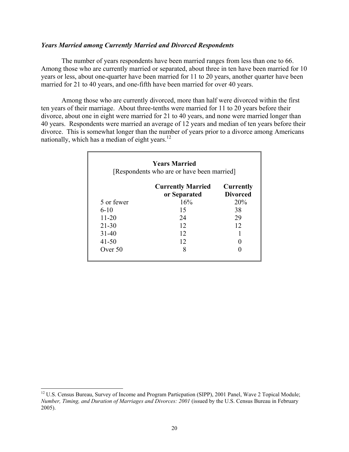#### *Years Married among Currently Married and Divorced Respondents*

 The number of years respondents have been married ranges from less than one to 66. Among those who are currently married or separated, about three in ten have been married for 10 years or less, about one-quarter have been married for 11 to 20 years, another quarter have been married for 21 to 40 years, and one-fifth have been married for over 40 years.

 Among those who are currently divorced, more than half were divorced within the first ten years of their marriage. About three-tenths were married for 11 to 20 years before their divorce, about one in eight were married for 21 to 40 years, and none were married longer than 40 years. Respondents were married an average of 12 years and median of ten years before their divorce. This is somewhat longer than the number of years prior to a divorce among Americans nationally, which has a median of eight years.<sup>12</sup>

| <b>Years Married</b><br>[Respondents who are or have been married] |                                          |                              |
|--------------------------------------------------------------------|------------------------------------------|------------------------------|
|                                                                    | <b>Currently Married</b><br>or Separated | Currently<br><b>Divorced</b> |
| 5 or fewer                                                         | 16%                                      | 20%                          |
| $6-10$                                                             | 15                                       | 38                           |
| $11 - 20$                                                          | 24                                       | 29                           |
| $21 - 30$                                                          | 12                                       | 12                           |
| $31 - 40$                                                          | 12                                       |                              |
| 41-50                                                              | 12                                       |                              |
| Over 50                                                            | 8                                        |                              |

l

<sup>&</sup>lt;sup>12</sup> U.S. Census Bureau, Survey of Income and Program Particpation (SIPP), 2001 Panel, Wave 2 Topical Module; *Number, Timing, and Duration of Marriages and Divorces: 2001* (issued by the U.S. Census Bureau in February 2005).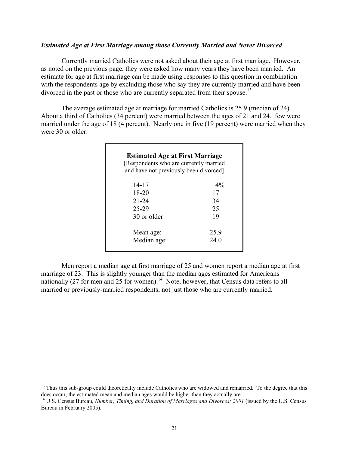#### *Estimated Age at First Marriage among those Currently Married and Never Divorced*

 Currently married Catholics were not asked about their age at first marriage. However, as noted on the previous page, they were asked how many years they have been married. An estimate for age at first marriage can be made using responses to this question in combination with the respondents age by excluding those who say they are currently married and have been divorced in the past or those who are currently separated from their spouse.<sup>13</sup>

 The average estimated age at marriage for married Catholics is 25.9 (median of 24). About a third of Catholics (34 percent) were married between the ages of 21 and 24. few were married under the age of 18 (4 percent). Nearly one in five (19 percent) were married when they were 30 or older.

| <b>Estimated Age at First Marriage</b><br>[Respondents who are currently married]<br>and have not previously been divorced] |       |
|-----------------------------------------------------------------------------------------------------------------------------|-------|
| 14-17                                                                                                                       | $4\%$ |
| 18-20                                                                                                                       | 17    |
| $21 - 24$                                                                                                                   | 34    |
| 25-29                                                                                                                       | 25    |
| 30 or older                                                                                                                 | 19    |
| Mean age:                                                                                                                   | 25.9  |
| Median age:                                                                                                                 | 24.0  |

 Men report a median age at first marriage of 25 and women report a median age at first marriage of 23. This is slightly younger than the median ages estimated for Americans nationally (27 for men and 25 for women).<sup>14</sup> Note, however, that Census data refers to all married or previously-married respondents, not just those who are currently married.

 $\overline{a}$ 

<sup>&</sup>lt;sup>13</sup> Thus this sub-group could theoretically include Catholics who are widowed and remarried. To the degree that this does occur, the estimated mean and median ages would be higher than they actually are.

<sup>&</sup>lt;sup>14</sup> U.S. Census Bureau, *Number, Timing, and Duration of Marriages and Divorces: 2001* (issued by the U.S. Census Bureau in February 2005).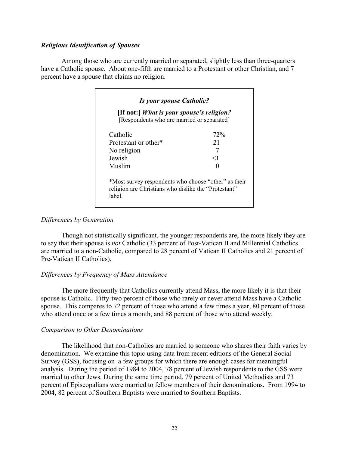### *Religious Identification of Spouses*

 Among those who are currently married or separated, slightly less than three-quarters have a Catholic spouse. About one-fifth are married to a Protestant or other Christian, and 7 percent have a spouse that claims no religion.

| [If not:] What is your spouse's religion?<br>[Respondents who are married or separated]                               |       |  |
|-----------------------------------------------------------------------------------------------------------------------|-------|--|
| Catholic                                                                                                              | 72%   |  |
| Protestant or other*                                                                                                  | 21    |  |
| No religion                                                                                                           |       |  |
| Jewish                                                                                                                | $<$ 1 |  |
| Muslim                                                                                                                |       |  |
| *Most survey respondents who choose "other" as their<br>religion are Christians who dislike the "Protestant"<br>label |       |  |

### *Differences by Generation*

 Though not statistically significant, the younger respondents are, the more likely they are to say that their spouse is *not* Catholic (33 percent of Post-Vatican II and Millennial Catholics are married to a non-Catholic, compared to 28 percent of Vatican II Catholics and 21 percent of Pre-Vatican II Catholics).

# *Differences by Frequency of Mass Attendance*

 The more frequently that Catholics currently attend Mass, the more likely it is that their spouse is Catholic. Fifty-two percent of those who rarely or never attend Mass have a Catholic spouse. This compares to 72 percent of those who attend a few times a year, 80 percent of those who attend once or a few times a month, and 88 percent of those who attend weekly.

#### *Comparison to Other Denominations*

 The likelihood that non-Catholics are married to someone who shares their faith varies by denomination. We examine this topic using data from recent editions of the General Social Survey (GSS), focusing on a few groups for which there are enough cases for meaningful analysis. During the period of 1984 to 2004, 78 percent of Jewish respondents to the GSS were married to other Jews. During the same time period, 79 percent of United Methodists and 73 percent of Episcopalians were married to fellow members of their denominations. From 1994 to 2004, 82 percent of Southern Baptists were married to Southern Baptists.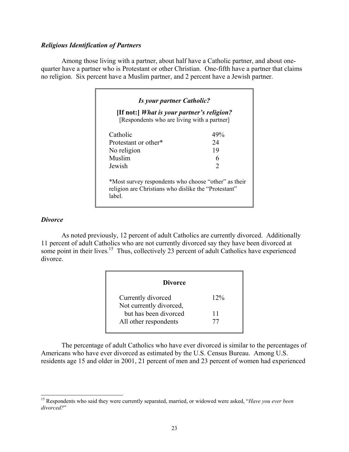#### *Religious Identification of Partners*

 Among those living with a partner, about half have a Catholic partner, and about onequarter have a partner who is Protestant or other Christian. One-fifth have a partner that claims no religion. Six percent have a Muslim partner, and 2 percent have a Jewish partner.

| [If not:] What is your partner's religion?<br>[Respondents who are living with a partner]                             |                |
|-----------------------------------------------------------------------------------------------------------------------|----------------|
| Catholic                                                                                                              | 49%            |
| Protestant or other*                                                                                                  | 24             |
| No religion                                                                                                           | 19             |
| Muslim                                                                                                                | 6              |
| Jewish                                                                                                                | $\mathfrak{D}$ |
| *Most survey respondents who choose "other" as their<br>religion are Christians who dislike the "Protestant"<br>label |                |

#### *Divorce*

 $\overline{a}$ 

 As noted previously, 12 percent of adult Catholics are currently divorced. Additionally 11 percent of adult Catholics who are not currently divorced say they have been divorced at some point in their lives.<sup>15</sup> Thus, collectively 23 percent of adult Catholics have experienced divorce.

| <b>Divorce</b>          |        |
|-------------------------|--------|
| Currently divorced      | $12\%$ |
| Not currently divorced, |        |
| but has been divorced   | 11     |
| All other respondents   | 77     |

 The percentage of adult Catholics who have ever divorced is similar to the percentages of Americans who have ever divorced as estimated by the U.S. Census Bureau. Among U.S. residents age 15 and older in 2001, 21 percent of men and 23 percent of women had experienced

<sup>15</sup> Respondents who said they were currently separated, married, or widowed were asked, "*Have you ever been divorced?*"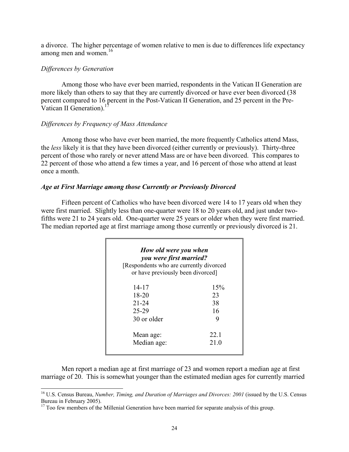a divorce. The higher percentage of women relative to men is due to differences life expectancy among men and women. $16$ 

#### *Differences by Generation*

l

 Among those who have ever been married, respondents in the Vatican II Generation are more likely than others to say that they are currently divorced or have ever been divorced (38 percent compared to 16 percent in the Post-Vatican II Generation, and 25 percent in the Pre-Vatican II Generation).

#### *Differences by Frequency of Mass Attendance*

 Among those who have ever been married, the more frequently Catholics attend Mass, the *less* likely it is that they have been divorced (either currently or previously). Thirty-three percent of those who rarely or never attend Mass are or have been divorced. This compares to 22 percent of those who attend a few times a year, and 16 percent of those who attend at least once a month.

#### *Age at First Marriage among those Currently or Previously Divorced*

 Fifteen percent of Catholics who have been divorced were 14 to 17 years old when they were first married. Slightly less than one-quarter were 18 to 20 years old, and just under twofifths were 21 to 24 years old. One-quarter were 25 years or older when they were first married. The median reported age at first marriage among those currently or previously divorced is 21.

| How old were you when<br>you were first married?<br>[Respondents who are currently divorced]<br>or have previously been divorced] |      |
|-----------------------------------------------------------------------------------------------------------------------------------|------|
| 14-17                                                                                                                             | 15%  |
| 18-20                                                                                                                             | 23   |
| $21 - 24$                                                                                                                         | 38   |
| 25-29                                                                                                                             | 16   |
| 30 or older                                                                                                                       | 9    |
| Mean age:                                                                                                                         | 22.1 |
| Median age:                                                                                                                       | 21.0 |

 Men report a median age at first marriage of 23 and women report a median age at first marriage of 20. This is somewhat younger than the estimated median ages for currently married

<sup>16</sup> U.S. Census Bureau, *Number, Timing, and Duration of Marriages and Divorces: 2001* (issued by the U.S. Census Bureau in February 2005).

<sup>&</sup>lt;sup>17</sup> Too few members of the Millenial Generation have been married for separate analysis of this group.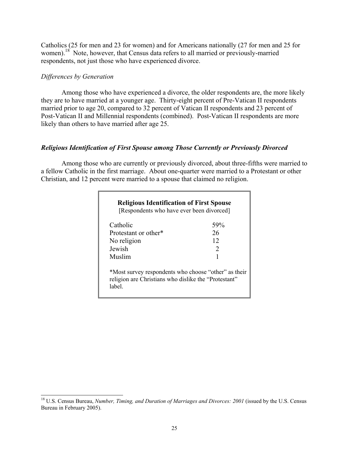Catholics (25 for men and 23 for women) and for Americans nationally (27 for men and 25 for women).<sup>18</sup> Note, however, that Census data refers to all married or previously-married respondents, not just those who have experienced divorce.

### *Differences by Generation*

 Among those who have experienced a divorce, the older respondents are, the more likely they are to have married at a younger age. Thirty-eight percent of Pre-Vatican II respondents married prior to age 20, compared to 32 percent of Vatican II respondents and 23 percent of Post-Vatican II and Millennial respondents (combined). Post-Vatican II respondents are more likely than others to have married after age 25.

# *Religious Identification of First Spouse among Those Currently or Previously Divorced*

 Among those who are currently or previously divorced, about three-fifths were married to a fellow Catholic in the first marriage. About one-quarter were married to a Protestant or other Christian, and 12 percent were married to a spouse that claimed no religion.

| Catholic             | 59% |
|----------------------|-----|
| Protestant or other* | 26  |
| No religion          | 12  |
| Jewish               | 2   |
| Muslim               |     |

 $\overline{a}$ 18 U.S. Census Bureau, *Number, Timing, and Duration of Marriages and Divorces: 2001* (issued by the U.S. Census Bureau in February 2005).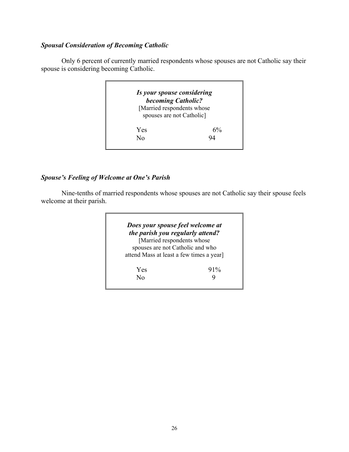# *Spousal Consideration of Becoming Catholic*

 Only 6 percent of currently married respondents whose spouses are not Catholic say their spouse is considering becoming Catholic.



# *Spouse's Feeling of Welcome at One's Parish*

 Nine-tenths of married respondents whose spouses are not Catholic say their spouse feels welcome at their parish.

|                                  | Does your spouse feel welcome at         |
|----------------------------------|------------------------------------------|
| the parish you regularly attend? |                                          |
|                                  | [Married respondents whose               |
|                                  | spouses are not Catholic and who         |
|                                  | attend Mass at least a few times a year] |
| Yes                              | $91\%$                                   |
| Nο                               |                                          |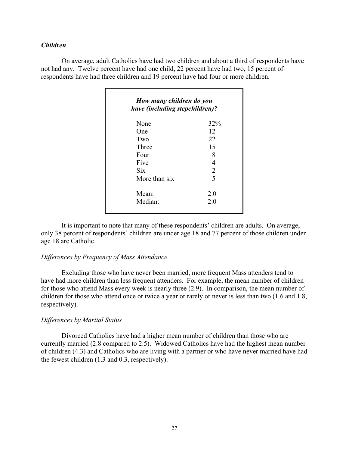#### *Children*

 On average, adult Catholics have had two children and about a third of respondents have not had any. Twelve percent have had one child, 22 percent have had two, 15 percent of respondents have had three children and 19 percent have had four or more children.

| None          | 32%            |
|---------------|----------------|
| One           | 12             |
| Two           | 22             |
| Three         | 15             |
| Four          | 8              |
| Five          | 4              |
| <b>Six</b>    | $\overline{2}$ |
| More than six | 5              |
| Mean:         | 20             |
| Median:       | 2.0            |

 It is important to note that many of these respondents' children are adults. On average, only 38 percent of respondents' children are under age 18 and 77 percent of those children under age 18 are Catholic.

#### *Differences by Frequency of Mass Attendance*

 Excluding those who have never been married, more frequent Mass attenders tend to have had more children than less frequent attenders. For example, the mean number of children for those who attend Mass every week is nearly three (2.9). In comparison, the mean number of children for those who attend once or twice a year or rarely or never is less than two (1.6 and 1.8, respectively).

#### *Differences by Marital Status*

 Divorced Catholics have had a higher mean number of children than those who are currently married (2.8 compared to 2.5). Widowed Catholics have had the highest mean number of children (4.3) and Catholics who are living with a partner or who have never married have had the fewest children (1.3 and 0.3, respectively).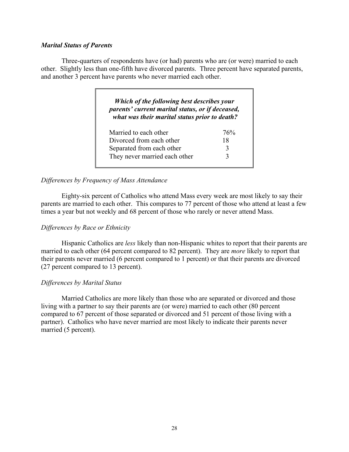#### *Marital Status of Parents*

 Three-quarters of respondents have (or had) parents who are (or were) married to each other. Slightly less than one-fifth have divorced parents. Three percent have separated parents, and another 3 percent have parents who never married each other.

| Which of the following best describes your<br>parents' current marital status, or if deceased,<br>what was their marital status prior to death? |     |  |
|-------------------------------------------------------------------------------------------------------------------------------------------------|-----|--|
| Married to each other                                                                                                                           | 76% |  |
| Divorced from each other                                                                                                                        | 18  |  |
| Separated from each other                                                                                                                       | 3   |  |
| They never married each other                                                                                                                   |     |  |

### *Differences by Frequency of Mass Attendance*

 Eighty-six percent of Catholics who attend Mass every week are most likely to say their parents are married to each other. This compares to 77 percent of those who attend at least a few times a year but not weekly and 68 percent of those who rarely or never attend Mass.

#### *Differences by Race or Ethnicity*

 Hispanic Catholics are *less* likely than non-Hispanic whites to report that their parents are married to each other (64 percent compared to 82 percent). They are *more* likely to report that their parents never married (6 percent compared to 1 percent) or that their parents are divorced (27 percent compared to 13 percent).

#### *Differences by Marital Status*

 Married Catholics are more likely than those who are separated or divorced and those living with a partner to say their parents are (or were) married to each other (80 percent compared to 67 percent of those separated or divorced and 51 percent of those living with a partner). Catholics who have never married are most likely to indicate their parents never married (5 percent).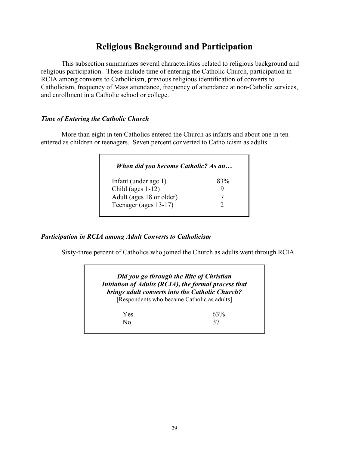# **Religious Background and Participation**

 This subsection summarizes several characteristics related to religious background and religious participation. These include time of entering the Catholic Church, participation in RCIA among converts to Catholicism, previous religious identification of converts to Catholicism, frequency of Mass attendance, frequency of attendance at non-Catholic services, and enrollment in a Catholic school or college.

# *Time of Entering the Catholic Church*

 More than eight in ten Catholics entered the Church as infants and about one in ten entered as children or teenagers. Seven percent converted to Catholicism as adults.

| When did you become Catholic? As an |     |
|-------------------------------------|-----|
| Infant (under age 1)                | 83% |
| Child (ages $1-12$ )                |     |
| Adult (ages 18 or older)            |     |
| Teenager (ages 13-17)               |     |

# *Participation in RCIA among Adult Converts to Catholicism*

Sixty-three percent of Catholics who joined the Church as adults went through RCIA.

|                                             | Did you go through the Rite of Christian<br>Initiation of Adults (RCIA), the formal process that<br>brings adult converts into the Catholic Church? |
|---------------------------------------------|-----------------------------------------------------------------------------------------------------------------------------------------------------|
| [Respondents who became Catholic as adults] |                                                                                                                                                     |
|                                             |                                                                                                                                                     |
| Yes                                         | 63%                                                                                                                                                 |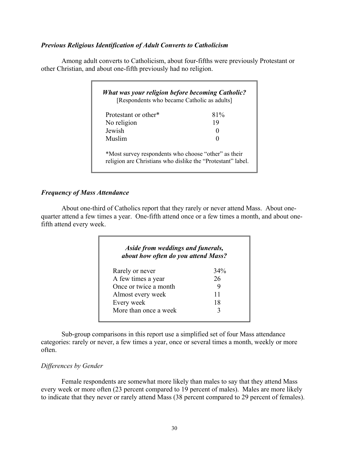### *Previous Religious Identification of Adult Converts to Catholicism*

 Among adult converts to Catholicism, about four-fifths were previously Protestant or other Christian, and about one-fifth previously had no religion.

| Protestant or other* | 81%               |
|----------------------|-------------------|
| No religion          | 19                |
| Jewish               | $\mathbf{\Omega}$ |
| Muslim               |                   |

### *Frequency of Mass Attendance*

 About one-third of Catholics report that they rarely or never attend Mass. About onequarter attend a few times a year. One-fifth attend once or a few times a month, and about onefifth attend every week.

| Aside from weddings and funerals,<br>about how often do you attend Mass? |     |
|--------------------------------------------------------------------------|-----|
| Rarely or never                                                          | 34% |
| A few times a year                                                       | 26  |
| Once or twice a month                                                    | 9   |
| Almost every week                                                        | 11  |
| Every week                                                               | 18  |
| More than once a week                                                    | 3   |

 Sub-group comparisons in this report use a simplified set of four Mass attendance categories: rarely or never, a few times a year, once or several times a month, weekly or more often.

# *Differences by Gender*

 Female respondents are somewhat more likely than males to say that they attend Mass every week or more often (23 percent compared to 19 percent of males). Males are more likely to indicate that they never or rarely attend Mass (38 percent compared to 29 percent of females).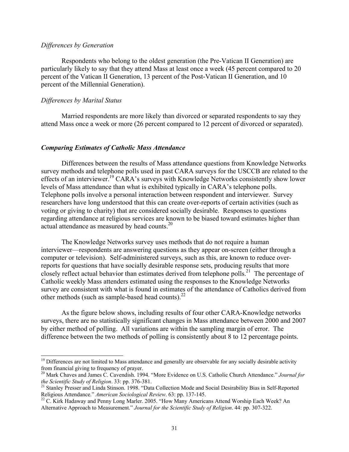#### *Differences by Generation*

Respondents who belong to the oldest generation (the Pre-Vatican II Generation) are particularly likely to say that they attend Mass at least once a week (45 percent compared to 20 percent of the Vatican II Generation, 13 percent of the Post-Vatican II Generation, and 10 percent of the Millennial Generation).

#### *Differences by Marital Status*

 $\overline{a}$ 

 Married respondents are more likely than divorced or separated respondents to say they attend Mass once a week or more (26 percent compared to 12 percent of divorced or separated).

#### *Comparing Estimates of Catholic Mass Attendance*

Differences between the results of Mass attendance questions from Knowledge Networks survey methods and telephone polls used in past CARA surveys for the USCCB are related to the effects of an interviewer.<sup>19</sup> CARA's surveys with Knowledge Networks consistently show lower levels of Mass attendance than what is exhibited typically in CARA's telephone polls. Telephone polls involve a personal interaction between respondent and interviewer. Survey researchers have long understood that this can create over-reports of certain activities (such as voting or giving to charity) that are considered socially desirable. Responses to questions regarding attendance at religious services are known to be biased toward estimates higher than actual attendance as measured by head counts.<sup>20</sup>

The Knowledge Networks survey uses methods that do not require a human interviewer—respondents are answering questions as they appear on-screen (either through a computer or television). Self-administered surveys, such as this, are known to reduce overreports for questions that have socially desirable response sets, producing results that more closely reflect actual behavior than estimates derived from telephone polls.<sup>21</sup> The percentage of Catholic weekly Mass attenders estimated using the responses to the Knowledge Networks survey are consistent with what is found in estimates of the attendance of Catholics derived from other methods (such as sample-based head counts). $^{22}$ 

As the figure below shows, including results of four other CARA-Knowledge networks surveys, there are no statistically significant changes in Mass attendance between 2000 and 2007 by either method of polling. All variations are within the sampling margin of error. The difference between the two methods of polling is consistently about 8 to 12 percentage points.

 $19$  Differences are not limited to Mass attendance and generally are observable for any socially desirable activity from financial giving to frequency of prayer.

<sup>20</sup> Mark Chaves and James C. Cavendish. 1994. "More Evidence on U.S. Catholic Church Attendance." *Journal for* 

*the Scientific Study of Religion.* 33: pp. 376-381.<br><sup>21</sup> Stanley Presser and Linda Stinson. 1998. "Data Collection Mode and Social Desirability Bias in Self-Reported<br>Religious Attendance." American Sociological Review. 63

<sup>&</sup>lt;sup>22</sup> C. Kirk Hadaway and Penny Long Marler. 2005. "How Many Americans Attend Worship Each Week? An Alternative Approach to Measurement." *Journal for the Scientific Study of Religion*. 44: pp. 307-322.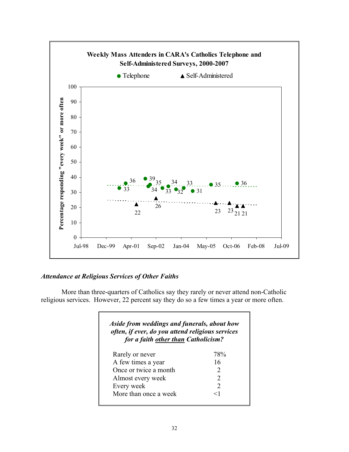

# *Attendance at Religious Services of Other Faiths*

 More than three-quarters of Catholics say they rarely or never attend non-Catholic religious services. However, 22 percent say they do so a few times a year or more often.

| Aside from weddings and funerals, about how<br>often, if ever, do you attend religious services<br>for a faith other than Catholicism? |                             |
|----------------------------------------------------------------------------------------------------------------------------------------|-----------------------------|
| Rarely or never                                                                                                                        | 78%                         |
| A few times a year                                                                                                                     | 16                          |
| Once or twice a month                                                                                                                  | $\mathcal{D}_{\mathcal{L}}$ |
| Almost every week                                                                                                                      | $\mathcal{D}_{\cdot}$       |
| Every week                                                                                                                             | $\mathcal{D}_{\mathcal{L}}$ |
| More than once a week                                                                                                                  | $<$ 1                       |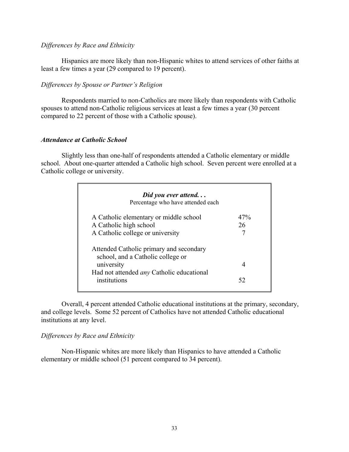#### *Differences by Race and Ethnicity*

 Hispanics are more likely than non-Hispanic whites to attend services of other faiths at least a few times a year (29 compared to 19 percent).

### *Differences by Spouse or Partner's Religion*

Respondents married to non-Catholics are more likely than respondents with Catholic spouses to attend non-Catholic religious services at least a few times a year (30 percent compared to 22 percent of those with a Catholic spouse).

### *Attendance at Catholic School*

 Slightly less than one-half of respondents attended a Catholic elementary or middle school. About one-quarter attended a Catholic high school. Seven percent were enrolled at a Catholic college or university.

| Did you ever attend<br>Percentage who have attended each                     |     |
|------------------------------------------------------------------------------|-----|
| A Catholic elementary or middle school                                       | 47% |
| A Catholic high school                                                       | 26  |
| A Catholic college or university                                             |     |
| Attended Catholic primary and secondary<br>school, and a Catholic college or |     |
| university                                                                   | 4   |
| Had not attended <i>any</i> Catholic educational<br>institutions             | 52  |

Overall, 4 percent attended Catholic educational institutions at the primary, secondary, and college levels. Some 52 percent of Catholics have not attended Catholic educational institutions at any level.

# *Differences by Race and Ethnicity*

 Non-Hispanic whites are more likely than Hispanics to have attended a Catholic elementary or middle school (51 percent compared to 34 percent).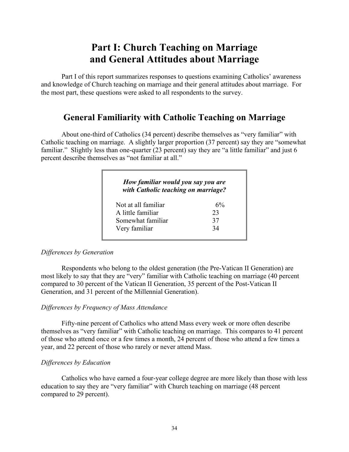# **Part I: Church Teaching on Marriage and General Attitudes about Marriage**

 Part I of this report summarizes responses to questions examining Catholics' awareness and knowledge of Church teaching on marriage and their general attitudes about marriage. For the most part, these questions were asked to all respondents to the survey.

# **General Familiarity with Catholic Teaching on Marriage**

 About one-third of Catholics (34 percent) describe themselves as "very familiar" with Catholic teaching on marriage. A slightly larger proportion (37 percent) say they are "somewhat familiar." Slightly less than one-quarter (23 percent) say they are "a little familiar" and just 6 percent describe themselves as "not familiar at all."

| How familiar would you say you are<br>with Catholic teaching on marriage? |       |
|---------------------------------------------------------------------------|-------|
| Not at all familiar                                                       | $6\%$ |
| A little familiar                                                         | 23    |
| Somewhat familiar                                                         | 37    |
| Very familiar                                                             | 34    |

#### *Differences by Generation*

Respondents who belong to the oldest generation (the Pre-Vatican II Generation) are most likely to say that they are "very" familiar with Catholic teaching on marriage (40 percent compared to 30 percent of the Vatican II Generation, 35 percent of the Post-Vatican II Generation, and 31 percent of the Millennial Generation).

# *Differences by Frequency of Mass Attendance*

Fifty-nine percent of Catholics who attend Mass every week or more often describe themselves as "very familiar" with Catholic teaching on marriage. This compares to 41 percent of those who attend once or a few times a month, 24 percent of those who attend a few times a year, and 22 percent of those who rarely or never attend Mass.

#### *Differences by Education*

Catholics who have earned a four-year college degree are more likely than those with less education to say they are "very familiar" with Church teaching on marriage (48 percent compared to 29 percent).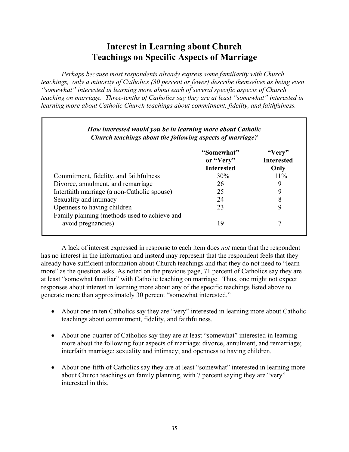# **Interest in Learning about Church Teachings on Specific Aspects of Marriage**

*Perhaps because most respondents already express some familiarity with Church teachings, only a minority of Catholics (30 percent or fewer) describe themselves as being even "somewhat" interested in learning more about each of several specific aspects of Church teaching on marriage. Three-tenths of Catholics say they are at least "somewhat" interested in learning more about Catholic Church teachings about commitment, fidelity, and faithfulness.* 

|                                             | "Somewhat"<br>or "Very" | "Very"<br><b>Interested</b> |
|---------------------------------------------|-------------------------|-----------------------------|
|                                             | <b>Interested</b>       | Only                        |
| Commitment, fidelity, and faithfulness      | 30%                     | $11\%$                      |
| Divorce, annulment, and remarriage          | 26                      | 9                           |
| Interfaith marriage (a non-Catholic spouse) | 25                      | 9                           |
| Sexuality and intimacy                      | 24                      | 8                           |
| Openness to having children                 | 23                      | 9                           |

 A lack of interest expressed in response to each item does *not* mean that the respondent has no interest in the information and instead may represent that the respondent feels that they already have sufficient information about Church teachings and that they do not need to "learn more" as the question asks. As noted on the previous page, 71 percent of Catholics say they are at least "somewhat familiar" with Catholic teaching on marriage. Thus, one might not expect responses about interest in learning more about any of the specific teachings listed above to generate more than approximately 30 percent "somewhat interested."

- About one in ten Catholics say they are "very" interested in learning more about Catholic teachings about commitment, fidelity, and faithfulness.
- About one-quarter of Catholics say they are at least "somewhat" interested in learning more about the following four aspects of marriage: divorce, annulment, and remarriage; interfaith marriage; sexuality and intimacy; and openness to having children.
- About one-fifth of Catholics say they are at least "somewhat" interested in learning more about Church teachings on family planning, with 7 percent saying they are "very" interested in this.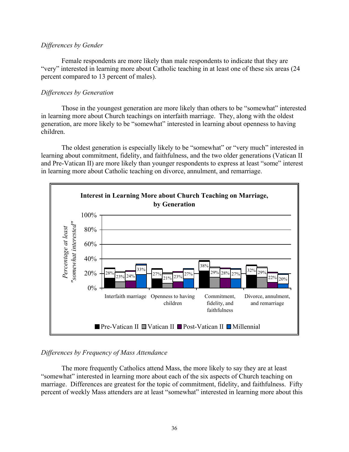#### *Differences by Gender*

 Female respondents are more likely than male respondents to indicate that they are "very" interested in learning more about Catholic teaching in at least one of these six areas (24 percent compared to 13 percent of males).

### *Differences by Generation*

Those in the youngest generation are more likely than others to be "somewhat" interested in learning more about Church teachings on interfaith marriage. They, along with the oldest generation, are more likely to be "somewhat" interested in learning about openness to having children.

The oldest generation is especially likely to be "somewhat" or "very much" interested in learning about commitment, fidelity, and faithfulness, and the two older generations (Vatican II and Pre-Vatican II) are more likely than younger respondents to express at least "some" interest in learning more about Catholic teaching on divorce, annulment, and remarriage.



# *Differences by Frequency of Mass Attendance*

 The more frequently Catholics attend Mass, the more likely to say they are at least "somewhat" interested in learning more about each of the six aspects of Church teaching on marriage. Differences are greatest for the topic of commitment, fidelity, and faithfulness. Fifty percent of weekly Mass attenders are at least "somewhat" interested in learning more about this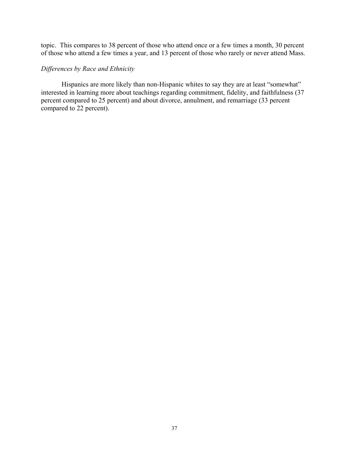topic. This compares to 38 percent of those who attend once or a few times a month, 30 percent of those who attend a few times a year, and 13 percent of those who rarely or never attend Mass.

# *Differences by Race and Ethnicity*

Hispanics are more likely than non-Hispanic whites to say they are at least "somewhat" interested in learning more about teachings regarding commitment, fidelity, and faithfulness (37 percent compared to 25 percent) and about divorce, annulment, and remarriage (33 percent compared to 22 percent).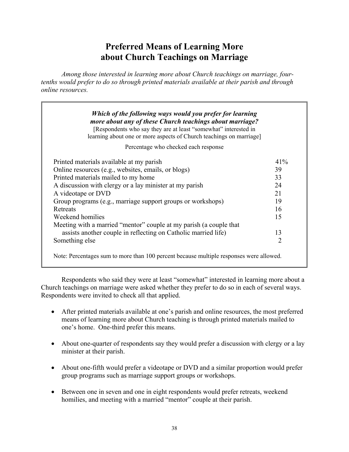# **Preferred Means of Learning More about Church Teachings on Marriage**

 *Among those interested in learning more about Church teachings on marriage, fourtenths would prefer to do so through printed materials available at their parish and through online resources.* 

| [Respondents who say they are at least "somewhat" interested in<br>learning about one or more aspects of Church teachings on marriage] |     |
|----------------------------------------------------------------------------------------------------------------------------------------|-----|
| Percentage who checked each response                                                                                                   |     |
| Printed materials available at my parish                                                                                               | 41% |
| Online resources (e.g., websites, emails, or blogs)                                                                                    | 39  |
| Printed materials mailed to my home                                                                                                    | 33  |
| A discussion with clergy or a lay minister at my parish                                                                                | 24  |
| A videotape or DVD                                                                                                                     | 21  |
| Group programs (e.g., marriage support groups or workshops)                                                                            | 19  |
| Retreats                                                                                                                               | 16  |
| Weekend homilies                                                                                                                       | 15  |
| Meeting with a married "mentor" couple at my parish (a couple that                                                                     |     |
| assists another couple in reflecting on Catholic married life)                                                                         | 13  |
| Something else                                                                                                                         | 2   |

 Respondents who said they were at least "somewhat" interested in learning more about a Church teachings on marriage were asked whether they prefer to do so in each of several ways. Respondents were invited to check all that applied.

- After printed materials available at one's parish and online resources, the most preferred means of learning more about Church teaching is through printed materials mailed to one's home. One-third prefer this means.
- About one-quarter of respondents say they would prefer a discussion with clergy or a lay minister at their parish.
- About one-fifth would prefer a videotape or DVD and a similar proportion would prefer group programs such as marriage support groups or workshops.
- Between one in seven and one in eight respondents would prefer retreats, weekend homilies, and meeting with a married "mentor" couple at their parish.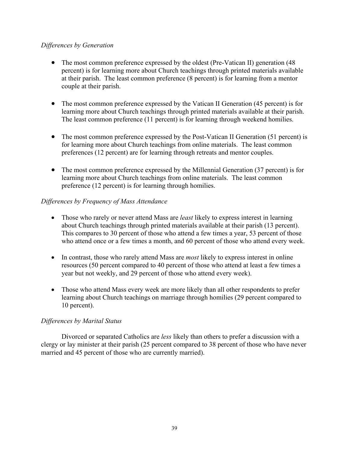### *Differences by Generation*

- The most common preference expressed by the oldest (Pre-Vatican II) generation (48) percent) is for learning more about Church teachings through printed materials available at their parish. The least common preference (8 percent) is for learning from a mentor couple at their parish.
- The most common preference expressed by the Vatican II Generation (45 percent) is for learning more about Church teachings through printed materials available at their parish. The least common preference (11 percent) is for learning through weekend homilies.
- The most common preference expressed by the Post-Vatican II Generation (51 percent) is for learning more about Church teachings from online materials. The least common preferences (12 percent) are for learning through retreats and mentor couples.
- The most common preference expressed by the Millennial Generation (37 percent) is for learning more about Church teachings from online materials. The least common preference (12 percent) is for learning through homilies.

# *Differences by Frequency of Mass Attendance*

- Those who rarely or never attend Mass are *least* likely to express interest in learning about Church teachings through printed materials available at their parish (13 percent). This compares to 30 percent of those who attend a few times a year, 53 percent of those who attend once or a few times a month, and 60 percent of those who attend every week.
- In contrast, those who rarely attend Mass are *most* likely to express interest in online resources (50 percent compared to 40 percent of those who attend at least a few times a year but not weekly, and 29 percent of those who attend every week).
- Those who attend Mass every week are more likely than all other respondents to prefer learning about Church teachings on marriage through homilies (29 percent compared to 10 percent).

# *Differences by Marital Status*

 Divorced or separated Catholics are *less* likely than others to prefer a discussion with a clergy or lay minister at their parish (25 percent compared to 38 percent of those who have never married and 45 percent of those who are currently married).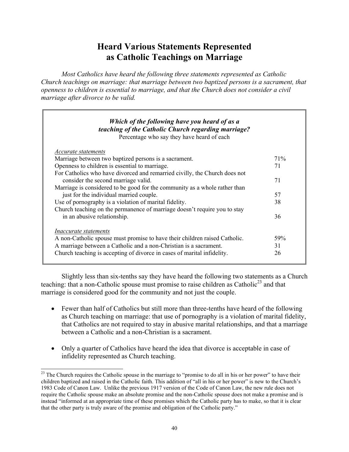# **Heard Various Statements Represented as Catholic Teachings on Marriage**

*Most Catholics have heard the following three statements represented as Catholic Church teachings on marriage: that marriage between two baptized persons is a sacrament, that openness to children is essential to marriage, and that the Church does not consider a civil marriage after divorce to be valid.* 

| <i>Accurate statements</i>                                                 |      |
|----------------------------------------------------------------------------|------|
| Marriage between two baptized persons is a sacrament.                      | 71\% |
| Openness to children is essential to marriage.                             | 71   |
| For Catholics who have divorced and remarried civilly, the Church does not |      |
| consider the second marriage valid.                                        | 71   |
| Marriage is considered to be good for the community as a whole rather than |      |
| just for the individual married couple.                                    | 57   |
| Use of pornography is a violation of marital fidelity.                     | 38   |
| Church teaching on the permanence of marriage doesn't require you to stay  |      |
| in an abusive relationship.                                                | 36   |
| <i>Inaccurate statements</i>                                               |      |
| A non-Catholic spouse must promise to have their children raised Catholic. | 59%  |
| A marriage between a Catholic and a non-Christian is a sacrament.          | 31   |
| Church teaching is accepting of divorce in cases of marital infidelity.    | 26   |

 Slightly less than six-tenths say they have heard the following two statements as a Church teaching: that a non-Catholic spouse must promise to raise children as Catholic<sup>23</sup> and that marriage is considered good for the community and not just the couple.

- Fewer than half of Catholics but still more than three-tenths have heard of the following as Church teaching on marriage: that use of pornography is a violation of marital fidelity, that Catholics are not required to stay in abusive marital relationships, and that a marriage between a Catholic and a non-Christian is a sacrament.
- Only a quarter of Catholics have heard the idea that divorce is acceptable in case of infidelity represented as Church teaching.

l  $2<sup>23</sup>$  The Church requires the Catholic spouse in the marriage to "promise to do all in his or her power" to have their children baptized and raised in the Catholic faith. This addition of "all in his or her power" is new to the Church's 1983 Code of Canon Law. Unlike the previous 1917 version of the Code of Canon Law, the new rule does not require the Catholic spouse make an absolute promise and the non-Catholic spouse does not make a promise and is instead "informed at an appropriate time of these promises which the Catholic party has to make, so that it is clear that the other party is truly aware of the promise and obligation of the Catholic party."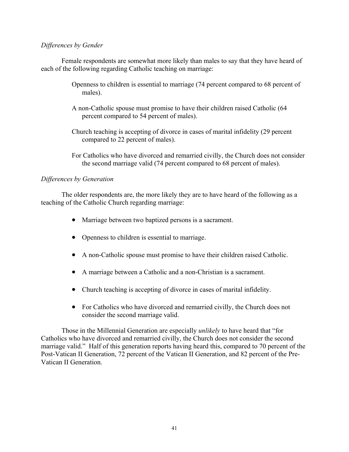#### *Differences by Gender*

Female respondents are somewhat more likely than males to say that they have heard of each of the following regarding Catholic teaching on marriage:

- Openness to children is essential to marriage (74 percent compared to 68 percent of males).
- A non-Catholic spouse must promise to have their children raised Catholic (64 percent compared to 54 percent of males).
- Church teaching is accepting of divorce in cases of marital infidelity (29 percent compared to 22 percent of males).
- For Catholics who have divorced and remarried civilly, the Church does not consider the second marriage valid (74 percent compared to 68 percent of males).

# *Differences by Generation*

The older respondents are, the more likely they are to have heard of the following as a teaching of the Catholic Church regarding marriage:

- Marriage between two baptized persons is a sacrament.
- Openness to children is essential to marriage.
- A non-Catholic spouse must promise to have their children raised Catholic.
- A marriage between a Catholic and a non-Christian is a sacrament.
- Church teaching is accepting of divorce in cases of marital infidelity.
- For Catholics who have divorced and remarried civilly, the Church does not consider the second marriage valid.

Those in the Millennial Generation are especially *unlikely* to have heard that "for Catholics who have divorced and remarried civilly, the Church does not consider the second marriage valid." Half of this generation reports having heard this, compared to 70 percent of the Post-Vatican II Generation, 72 percent of the Vatican II Generation, and 82 percent of the Pre-Vatican II Generation.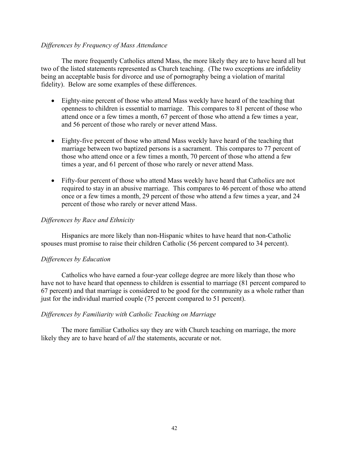#### *Differences by Frequency of Mass Attendance*

 The more frequently Catholics attend Mass, the more likely they are to have heard all but two of the listed statements represented as Church teaching. (The two exceptions are infidelity being an acceptable basis for divorce and use of pornography being a violation of marital fidelity). Below are some examples of these differences.

- Eighty-nine percent of those who attend Mass weekly have heard of the teaching that openness to children is essential to marriage. This compares to 81 percent of those who attend once or a few times a month, 67 percent of those who attend a few times a year, and 56 percent of those who rarely or never attend Mass.
- Eighty-five percent of those who attend Mass weekly have heard of the teaching that marriage between two baptized persons is a sacrament. This compares to 77 percent of those who attend once or a few times a month, 70 percent of those who attend a few times a year, and 61 percent of those who rarely or never attend Mass.
- Fifty-four percent of those who attend Mass weekly have heard that Catholics are not required to stay in an abusive marriage. This compares to 46 percent of those who attend once or a few times a month, 29 percent of those who attend a few times a year, and 24 percent of those who rarely or never attend Mass.

### *Differences by Race and Ethnicity*

Hispanics are more likely than non-Hispanic whites to have heard that non-Catholic spouses must promise to raise their children Catholic (56 percent compared to 34 percent).

#### *Differences by Education*

 Catholics who have earned a four-year college degree are more likely than those who have not to have heard that openness to children is essential to marriage (81 percent compared to 67 percent) and that marriage is considered to be good for the community as a whole rather than just for the individual married couple (75 percent compared to 51 percent).

#### *Differences by Familiarity with Catholic Teaching on Marriage*

 The more familiar Catholics say they are with Church teaching on marriage, the more likely they are to have heard of *all* the statements, accurate or not.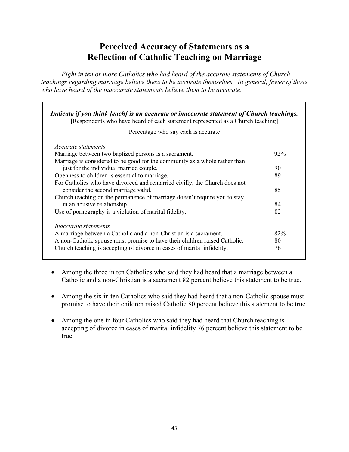# **Perceived Accuracy of Statements as a Reflection of Catholic Teaching on Marriage**

*Eight in ten or more Catholics who had heard of the accurate statements of Church teachings regarding marriage believe these to be accurate themselves. In general, fewer of those who have heard of the inaccurate statements believe them to be accurate.* 

| Indicate if you think [each] is an accurate or inaccurate statement of Church teachings.<br>[Respondents who have heard of each statement represented as a Church teaching]                                                                                |                 |
|------------------------------------------------------------------------------------------------------------------------------------------------------------------------------------------------------------------------------------------------------------|-----------------|
| Percentage who say each is accurate                                                                                                                                                                                                                        |                 |
| Accurate statements<br>Marriage between two baptized persons is a sacrament.                                                                                                                                                                               | $92\%$          |
| Marriage is considered to be good for the community as a whole rather than<br>just for the individual married couple.<br>Openness to children is essential to marriage.                                                                                    | 90<br>89        |
| For Catholics who have divorced and remarried civilly, the Church does not<br>consider the second marriage valid.                                                                                                                                          | 85              |
| Church teaching on the permanence of marriage doesn't require you to stay<br>in an abusive relationship.<br>Use of pornography is a violation of marital fidelity.                                                                                         | 84<br>82        |
| <i>Inaccurate statements</i><br>A marriage between a Catholic and a non-Christian is a sacrament.<br>A non-Catholic spouse must promise to have their children raised Catholic.<br>Church teaching is accepting of divorce in cases of marital infidelity. | 82%<br>80<br>76 |
|                                                                                                                                                                                                                                                            |                 |

- Among the three in ten Catholics who said they had heard that a marriage between a Catholic and a non-Christian is a sacrament 82 percent believe this statement to be true.
- Among the six in ten Catholics who said they had heard that a non-Catholic spouse must promise to have their children raised Catholic 80 percent believe this statement to be true.
- Among the one in four Catholics who said they had heard that Church teaching is accepting of divorce in cases of marital infidelity 76 percent believe this statement to be true.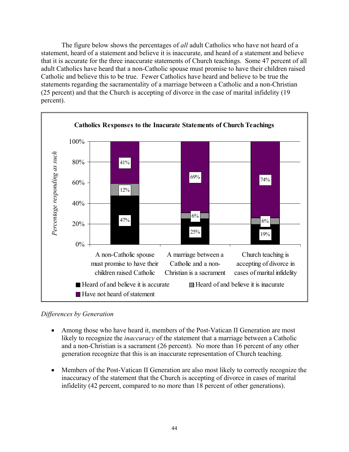The figure below shows the percentages of *all* adult Catholics who have not heard of a statement, heard of a statement and believe it is inaccurate, and heard of a statement and believe that it is accurate for the three inaccurate statements of Church teachings. Some 47 percent of all adult Catholics have heard that a non-Catholic spouse must promise to have their children raised Catholic and believe this to be true. Fewer Catholics have heard and believe to be true the statements regarding the sacramentality of a marriage between a Catholic and a non-Christian (25 percent) and that the Church is accepting of divorce in the case of marital infidelity (19 percent).



*Differences by Generation* 

- Among those who have heard it, members of the Post-Vatican II Generation are most likely to recognize the *inaccuracy* of the statement that a marriage between a Catholic and a non-Christian is a sacrament (26 percent). No more than 16 percent of any other generation recognize that this is an inaccurate representation of Church teaching.
- Members of the Post-Vatican II Generation are also most likely to correctly recognize the inaccuracy of the statement that the Church is accepting of divorce in cases of marital infidelity (42 percent, compared to no more than 18 percent of other generations).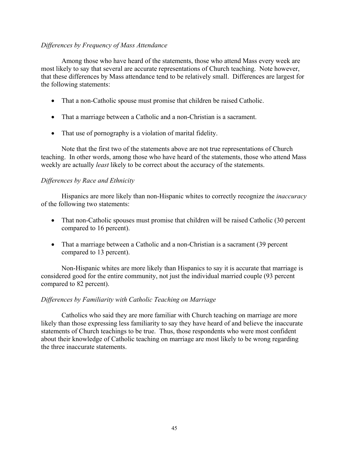### *Differences by Frequency of Mass Attendance*

 Among those who have heard of the statements, those who attend Mass every week are most likely to say that several are accurate representations of Church teaching.Note however, that these differences by Mass attendance tend to be relatively small. Differences are largest for the following statements:

- That a non-Catholic spouse must promise that children be raised Catholic.
- That a marriage between a Catholic and a non-Christian is a sacrament.
- That use of pornography is a violation of marital fidelity.

 Note that the first two of the statements above are not true representations of Church teaching. In other words, among those who have heard of the statements, those who attend Mass weekly are actually *least* likely to be correct about the accuracy of the statements.

### *Differences by Race and Ethnicity*

 Hispanics are more likely than non-Hispanic whites to correctly recognize the *inaccuracy* of the following two statements:

- That non-Catholic spouses must promise that children will be raised Catholic (30 percent compared to 16 percent).
- That a marriage between a Catholic and a non-Christian is a sacrament (39 percent compared to 13 percent).

 Non-Hispanic whites are more likely than Hispanics to say it is accurate that marriage is considered good for the entire community, not just the individual married couple (93 percent compared to 82 percent).

#### *Differences by Familiarity with Catholic Teaching on Marriage*

 Catholics who said they are more familiar with Church teaching on marriage are more likely than those expressing less familiarity to say they have heard of and believe the inaccurate statements of Church teachings to be true. Thus, those respondents who were most confident about their knowledge of Catholic teaching on marriage are most likely to be wrong regarding the three inaccurate statements.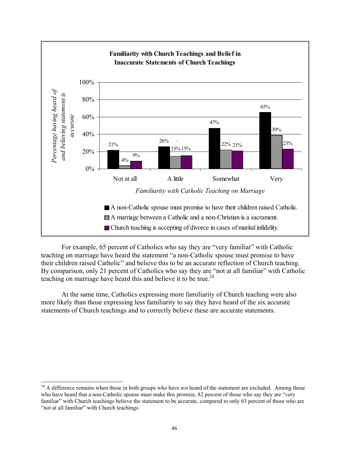

 For example, 65 percent of Catholics who say they are "very familiar" with Catholic teaching on marriage have heard the statement "a non-Catholic spouse must promise to have their children raised Catholic" and believe this to be an accurate reflection of Church teaching. By comparison, only 21 percent of Catholics who say they are "not at all familiar" with Catholic teaching on marriage have heard this and believe it to be true.<sup>24</sup>

 At the same time, Catholics expressing more familiarity of Church teaching were also more likely than those expressing less familiarity to say they have heard of the six accurate statements of Church teachings and to correctly believe these are accurate statements.

 $\overline{a}$ 

<sup>&</sup>lt;sup>24</sup> A difference remains when those in both groups who have *not* heard of the statement are excluded. Among those who have heard that a non-Catholic spouse must make this promise, 82 percent of those who say they are "very familiar" with Church teachings believe the statement to be accurate, compared to only 63 percent of those who are "not at all familiar" with Church teachings.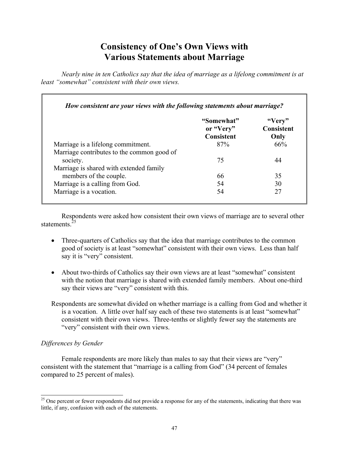# **Consistency of One's Own Views with Various Statements about Marriage**

*Nearly nine in ten Catholics say that the idea of marriage as a lifelong commitment is at least "somewhat" consistent with their own views.* 

|                                            | "Somewhat"<br>or "Very" | "Very"<br><b>Consistent</b> |
|--------------------------------------------|-------------------------|-----------------------------|
|                                            | Consistent              | Only                        |
| Marriage is a lifelong commitment.         | 87%                     | 66%                         |
| Marriage contributes to the common good of |                         |                             |
| society.                                   | 75                      | 44                          |
| Marriage is shared with extended family    |                         |                             |
| members of the couple.                     | 66                      | 35                          |
| Marriage is a calling from God.            | 54                      | 30                          |
| Marriage is a vocation.                    | 54                      | 27                          |

 Respondents were asked how consistent their own views of marriage are to several other statements.<sup>25</sup>

- Three-quarters of Catholics say that the idea that marriage contributes to the common good of society is at least "somewhat" consistent with their own views. Less than half say it is "very" consistent.
- About two-thirds of Catholics say their own views are at least "somewhat" consistent with the notion that marriage is shared with extended family members. About one-third say their views are "very" consistent with this.
- Respondents are somewhat divided on whether marriage is a calling from God and whether it is a vocation. A little over half say each of these two statements is at least "somewhat" consistent with their own views. Three-tenths or slightly fewer say the statements are "very" consistent with their own views.

# *Differences by Gender*

 $\overline{a}$ 

Female respondents are more likely than males to say that their views are "very" consistent with the statement that "marriage is a calling from God" (34 percent of females compared to 25 percent of males).

<sup>&</sup>lt;sup>25</sup> One percent or fewer respondents did not provide a response for any of the statements, indicating that there was little, if any, confusion with each of the statements.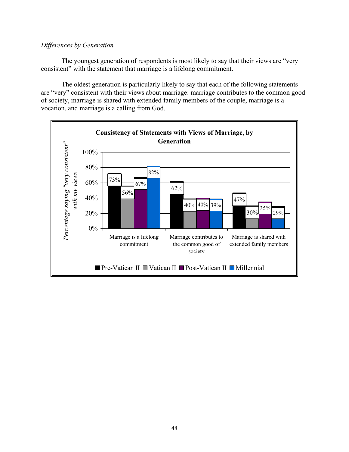### *Differences by Generation*

The youngest generation of respondents is most likely to say that their views are "very consistent" with the statement that marriage is a lifelong commitment.

The oldest generation is particularly likely to say that each of the following statements are "very" consistent with their views about marriage: marriage contributes to the common good of society, marriage is shared with extended family members of the couple, marriage is a vocation, and marriage is a calling from God.

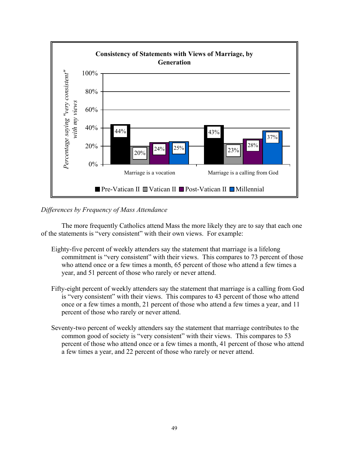

# *Differences by Frequency of Mass Attendance*

 The more frequently Catholics attend Mass the more likely they are to say that each one of the statements is "very consistent" with their own views. For example:

- Eighty-five percent of weekly attenders say the statement that marriage is a lifelong commitment is "very consistent" with their views. This compares to 73 percent of those who attend once or a few times a month, 65 percent of those who attend a few times a year, and 51 percent of those who rarely or never attend.
- Fifty-eight percent of weekly attenders say the statement that marriage is a calling from God is "very consistent" with their views. This compares to 43 percent of those who attend once or a few times a month, 21 percent of those who attend a few times a year, and 11 percent of those who rarely or never attend.
- Seventy-two percent of weekly attenders say the statement that marriage contributes to the common good of society is "very consistent" with their views. This compares to 53 percent of those who attend once or a few times a month, 41 percent of those who attend a few times a year, and 22 percent of those who rarely or never attend.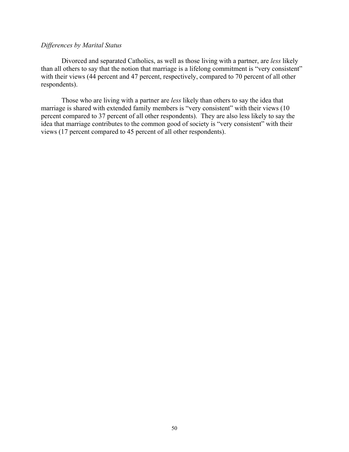#### *Differences by Marital Status*

 Divorced and separated Catholics, as well as those living with a partner, are *less* likely than all others to say that the notion that marriage is a lifelong commitment is "very consistent" with their views (44 percent and 47 percent, respectively, compared to 70 percent of all other respondents).

 Those who are living with a partner are *less* likely than others to say the idea that marriage is shared with extended family members is "very consistent" with their views (10 percent compared to 37 percent of all other respondents). They are also less likely to say the idea that marriage contributes to the common good of society is "very consistent" with their views (17 percent compared to 45 percent of all other respondents).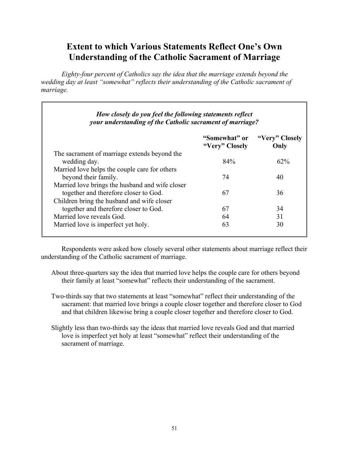# **Extent to which Various Statements Reflect One's Own Understanding of the Catholic Sacrament of Marriage**

 *Eighty-four percent of Catholics say the idea that the marriage extends beyond the wedding day at least "somewhat" reflects their understanding of the Catholic sacrament of marriage.*

г

|                                                 | "Somewhat" or  | "Very" Closely |
|-------------------------------------------------|----------------|----------------|
|                                                 | "Very" Closely | Only           |
| The sacrament of marriage extends beyond the    |                |                |
| wedding day.                                    | 84%            | 62%            |
| Married love helps the couple care for others   |                |                |
| beyond their family.                            | 74             | 40             |
| Married love brings the husband and wife closer |                |                |
| together and therefore closer to God.           | 67             | 36             |
| Children bring the husband and wife closer      |                |                |
| together and therefore closer to God.           | 67             | 34             |
| Married love reveals God.                       | 64             | 31             |
| Married love is imperfect yet holy.             | 63             | 30             |

 Respondents were asked how closely several other statements about marriage reflect their understanding of the Catholic sacrament of marriage.

- About three-quarters say the idea that married love helps the couple care for others beyond their family at least "somewhat" reflects their understanding of the sacrament.
- Two-thirds say that two statements at least "somewhat" reflect their understanding of the sacrament: that married love brings a couple closer together and therefore closer to God and that children likewise bring a couple closer together and therefore closer to God.
- Slightly less than two-thirds say the ideas that married love reveals God and that married love is imperfect yet holy at least "somewhat" reflect their understanding of the sacrament of marriage.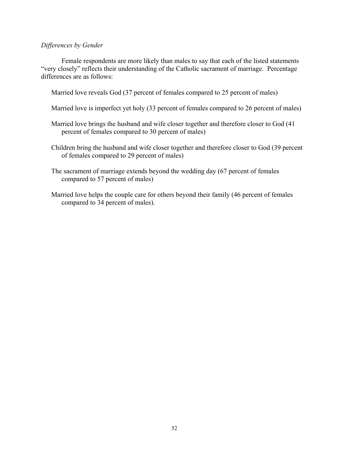#### *Differences by Gender*

Female respondents are more likely than males to say that each of the listed statements "very closely" reflects their understanding of the Catholic sacrament of marriage. Percentage differences are as follows:

Married love reveals God (37 percent of females compared to 25 percent of males)

Married love is imperfect yet holy (33 percent of females compared to 26 percent of males)

Married love brings the husband and wife closer together and therefore closer to God (41 percent of females compared to 30 percent of males)

Children bring the husband and wife closer together and therefore closer to God (39 percent of females compared to 29 percent of males)

The sacrament of marriage extends beyond the wedding day (67 percent of females compared to 57 percent of males)

Married love helps the couple care for others beyond their family (46 percent of females compared to 34 percent of males).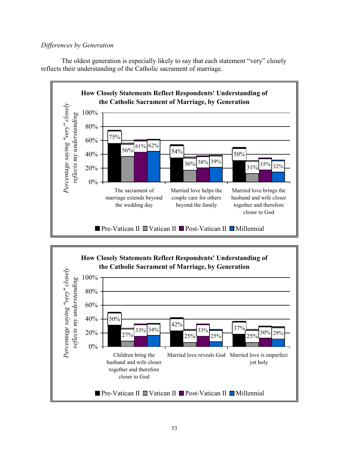# *Differences by Generation*

The oldest generation is especially likely to say that each statement "very" closely reflects their understanding of the Catholic sacrament of marriage.



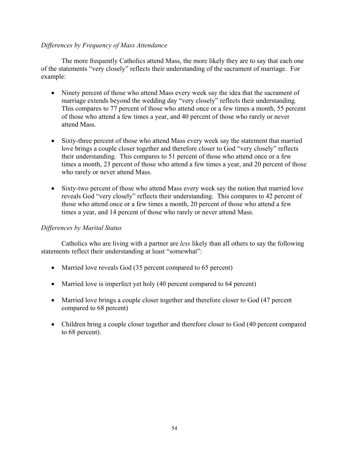### *Differences by Frequency of Mass Attendance*

 The more frequently Catholics attend Mass, the more likely they are to say that each one of the statements "very closely" reflects their understanding of the sacrament of marriage. For example:

- Ninety percent of those who attend Mass every week say the idea that the sacrament of marriage extends beyond the wedding day "very closely" reflects their understanding. This compares to 77 percent of those who attend once or a few times a month, 55 percent of those who attend a few times a year, and 40 percent of those who rarely or never attend Mass.
- Sixty-three percent of those who attend Mass every week say the statement that married love brings a couple closer together and therefore closer to God "very closely" reflects their understanding. This compares to 51 percent of those who attend once or a few times a month, 23 percent of those who attend a few times a year, and 20 percent of those who rarely or never attend Mass.
- Sixty-two percent of those who attend Mass every week say the notion that married love reveals God "very closely" reflects their understanding. This compares to 42 percent of those who attend once or a few times a month, 20 percent of those who attend a few times a year, and 14 percent of those who rarely or never attend Mass.

### *Differences by Marital Status*

 Catholics who are living with a partner are *less* likely than all others to say the following statements reflect their understanding at least "somewhat":

- Married love reveals God (35 percent compared to 65 percent)
- Married love is imperfect yet holy (40 percent compared to 64 percent)
- Married love brings a couple closer together and therefore closer to God (47 percent compared to 68 percent)
- Children bring a couple closer together and therefore closer to God (40 percent compared to 68 percent).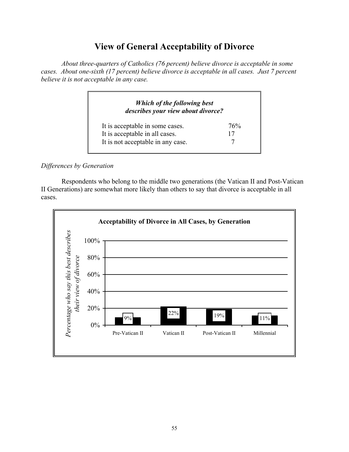# **View of General Acceptability of Divorce**

 *About three-quarters of Catholics (76 percent) believe divorce is acceptable in some cases. About one-sixth (17 percent) believe divorce is acceptable in all cases. Just 7 percent believe it is not acceptable in any case.* 

| Which of the following best<br>describes your view about divorce? |     |
|-------------------------------------------------------------------|-----|
| It is acceptable in some cases.                                   | 76% |
| It is acceptable in all cases.                                    | 17  |
| It is not acceptable in any case.                                 |     |

# *Differences by Generation*

Respondents who belong to the middle two generations (the Vatican II and Post-Vatican II Generations) are somewhat more likely than others to say that divorce is acceptable in all cases.

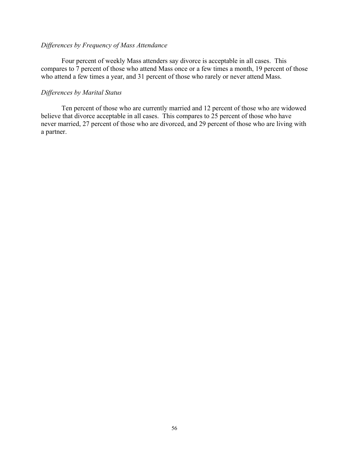#### *Differences by Frequency of Mass Attendance*

 Four percent of weekly Mass attenders say divorce is acceptable in all cases. This compares to 7 percent of those who attend Mass once or a few times a month, 19 percent of those who attend a few times a year, and 31 percent of those who rarely or never attend Mass.

#### *Differences by Marital Status*

 Ten percent of those who are currently married and 12 percent of those who are widowed believe that divorce acceptable in all cases. This compares to 25 percent of those who have never married, 27 percent of those who are divorced, and 29 percent of those who are living with a partner.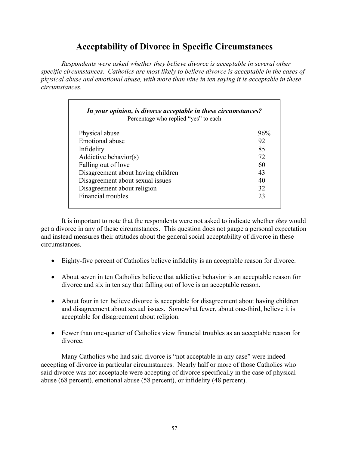# **Acceptability of Divorce in Specific Circumstances**

*Respondents were asked whether they believe divorce is acceptable in several other specific circumstances. Catholics are most likely to believe divorce is acceptable in the cases of physical abuse and emotional abuse, with more than nine in ten saying it is acceptable in these circumstances.* 

| In your opinion, is divorce acceptable in these circumstances?<br>Percentage who replied "yes" to each |     |  |
|--------------------------------------------------------------------------------------------------------|-----|--|
| Physical abuse                                                                                         | 96% |  |
| Emotional abuse                                                                                        | 92  |  |
| Infidelity                                                                                             | 85  |  |
| Addictive behavior(s)                                                                                  | 72  |  |
| Falling out of love                                                                                    | 60  |  |
| Disagreement about having children                                                                     | 43  |  |
| Disagreement about sexual issues                                                                       | 40  |  |
| Disagreement about religion                                                                            | 32  |  |
| Financial troubles                                                                                     | 23  |  |

 It is important to note that the respondents were not asked to indicate whether *they* would get a divorce in any of these circumstances. This question does not gauge a personal expectation and instead measures their attitudes about the general social acceptability of divorce in these circumstances.

- Eighty-five percent of Catholics believe infidelity is an acceptable reason for divorce.
- About seven in ten Catholics believe that addictive behavior is an acceptable reason for divorce and six in ten say that falling out of love is an acceptable reason.
- About four in ten believe divorce is acceptable for disagreement about having children and disagreement about sexual issues. Somewhat fewer, about one-third, believe it is acceptable for disagreement about religion.
- Fewer than one-quarter of Catholics view financial troubles as an acceptable reason for divorce.

Many Catholics who had said divorce is "not acceptable in any case" were indeed accepting of divorce in particular circumstances. Nearly half or more of those Catholics who said divorce was not acceptable were accepting of divorce specifically in the case of physical abuse (68 percent), emotional abuse (58 percent), or infidelity (48 percent).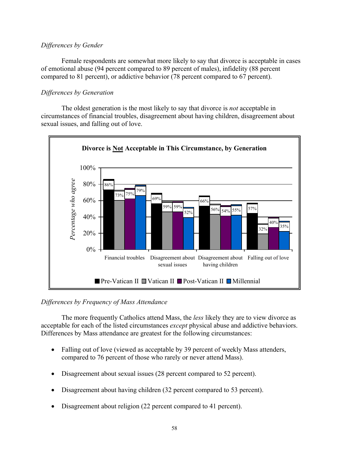# *Differences by Gender*

Female respondents are somewhat more likely to say that divorce is acceptable in cases of emotional abuse (94 percent compared to 89 percent of males), infidelity (88 percent compared to 81 percent), or addictive behavior (78 percent compared to 67 percent).

# *Differences by Generation*

The oldest generation is the most likely to say that divorce is *not* acceptable in circumstances of financial troubles, disagreement about having children, disagreement about sexual issues, and falling out of love.



# *Differences by Frequency of Mass Attendance*

 The more frequently Catholics attend Mass, the *less* likely they are to view divorce as acceptable for each of the listed circumstances *except* physical abuse and addictive behaviors. Differences by Mass attendance are greatest for the following circumstances:

- Falling out of love (viewed as acceptable by 39 percent of weekly Mass attenders, compared to 76 percent of those who rarely or never attend Mass).
- Disagreement about sexual issues (28 percent compared to 52 percent).
- Disagreement about having children (32 percent compared to 53 percent).
- Disagreement about religion (22 percent compared to 41 percent).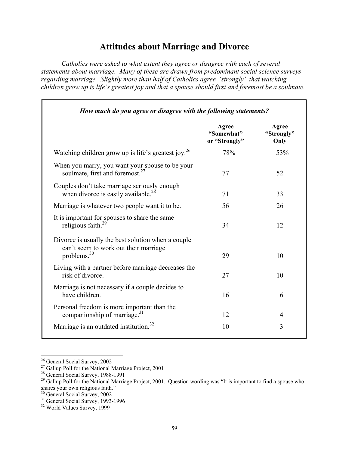# **Attitudes about Marriage and Divorce**

*Catholics were asked to what extent they agree or disagree with each of several statements about marriage. Many of these are drawn from predominant social science surveys regarding marriage. Slightly more than half of Catholics agree "strongly" that watching children grow up is life's greatest joy and that a spouse should first and foremost be a soulmate.* 

|                                                                                                               | Agree<br>"Somewhat"<br>or "Strongly" | Agree<br>"Strongly"<br>Only |
|---------------------------------------------------------------------------------------------------------------|--------------------------------------|-----------------------------|
| Watching children grow up is life's greatest joy. <sup>26</sup>                                               | 78%                                  | 53%                         |
| When you marry, you want your spouse to be your<br>soulmate, first and foremost. <sup>27</sup>                | 77                                   | 52                          |
| Couples don't take marriage seriously enough<br>when divorce is easily available. <sup>28</sup>               | 71                                   | 33                          |
| Marriage is whatever two people want it to be.                                                                | 56                                   | 26                          |
| It is important for spouses to share the same<br>religious faith. $^{29}$                                     | 34                                   | 12                          |
| Divorce is usually the best solution when a couple<br>can't seem to work out their marriage<br>problems. $30$ | 29                                   | 10                          |
| Living with a partner before marriage decreases the<br>risk of divorce.                                       | 27                                   | 10                          |
| Marriage is not necessary if a couple decides to<br>have children.                                            | 16                                   | 6                           |
| Personal freedom is more important than the<br>companionship of marriage. <sup>31</sup>                       | 12                                   | 4                           |
| Marriage is an outdated institution. <sup>32</sup>                                                            | 10                                   | 3                           |

 $\overline{a}$ 

<sup>&</sup>lt;sup>26</sup> General Social Survey, 2002

 $^{27}$  Gallup Poll for the National Marriage Project, 2001

<sup>&</sup>lt;sup>28</sup> General Social Survey, 1988-1991

<sup>&</sup>lt;sup>29</sup> Gallup Poll for the National Marriage Project, 2001. Question wording was "It is important to find a spouse who shares your own religious faith."

<sup>30</sup> General Social Survey, 2002

<sup>&</sup>lt;sup>31</sup> General Social Survey, 1993-1996

<sup>32</sup> World Values Survey, 1999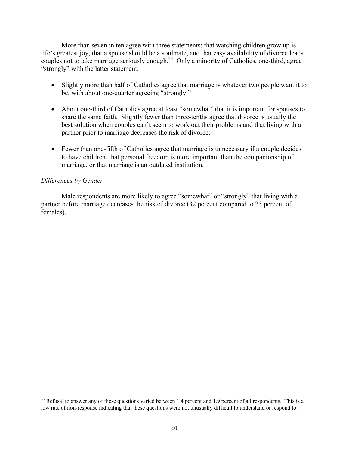More than seven in ten agree with three statements: that watching children grow up is life's greatest joy, that a spouse should be a soulmate, and that easy availability of divorce leads couples not to take marriage seriously enough.<sup>33</sup> Only a minority of Catholics, one-third, agree "strongly" with the latter statement.

- Slightly more than half of Catholics agree that marriage is whatever two people want it to be, with about one-quarter agreeing "strongly."
- About one-third of Catholics agree at least "somewhat" that it is important for spouses to share the same faith. Slightly fewer than three-tenths agree that divorce is usually the best solution when couples can't seem to work out their problems and that living with a partner prior to marriage decreases the risk of divorce.
- Fewer than one-fifth of Catholics agree that marriage is unnecessary if a couple decides to have children, that personal freedom is more important than the companionship of marriage, or that marriage is an outdated institution.

# *Differences by Gender*

 $\overline{a}$ 

Male respondents are more likely to agree "somewhat" or "strongly" that living with a partner before marriage decreases the risk of divorce (32 percent compared to 23 percent of females).

 $33$  Refusal to answer any of these questions varied between 1.4 percent and 1.9 percent of all respondents. This is a low rate of non-response indicating that these questions were not unusually difficult to understand or respond to.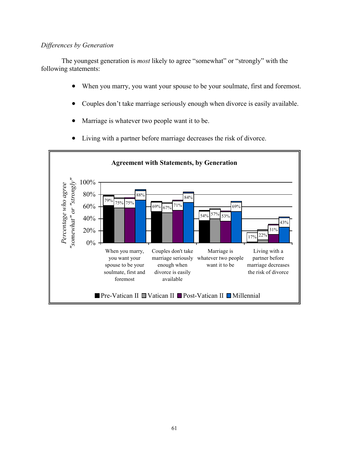### *Differences by Generation*

The youngest generation is *most* likely to agree "somewhat" or "strongly" with the following statements:

- When you marry, you want your spouse to be your soulmate, first and foremost.
- Couples don't take marriage seriously enough when divorce is easily available.
- Marriage is whatever two people want it to be.



• Living with a partner before marriage decreases the risk of divorce.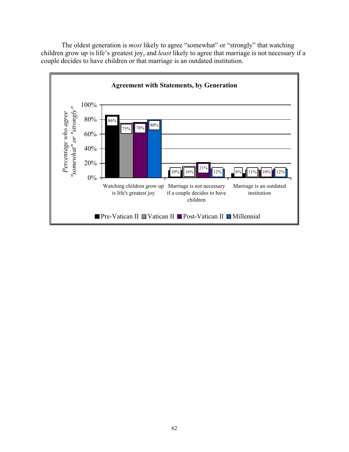The oldest generation is *most* likely to agree "somewhat" or "strongly" that watching children grow up is life's greatest joy, and *least* likely to agree that marriage is not necessary if a couple decides to have children or that marriage is an outdated institution.

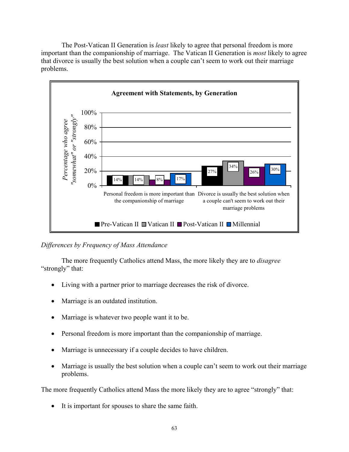The Post-Vatican II Generation is *least* likely to agree that personal freedom is more important than the companionship of marriage. The Vatican II Generation is *most* likely to agree that divorce is usually the best solution when a couple can't seem to work out their marriage problems.



# *Differences by Frequency of Mass Attendance*

 The more frequently Catholics attend Mass, the more likely they are to *disagree* "strongly" that:

- Living with a partner prior to marriage decreases the risk of divorce.
- Marriage is an outdated institution.
- Marriage is whatever two people want it to be.
- Personal freedom is more important than the companionship of marriage.
- Marriage is unnecessary if a couple decides to have children.
- Marriage is usually the best solution when a couple can't seem to work out their marriage problems.

The more frequently Catholics attend Mass the more likely they are to agree "strongly" that:

• It is important for spouses to share the same faith.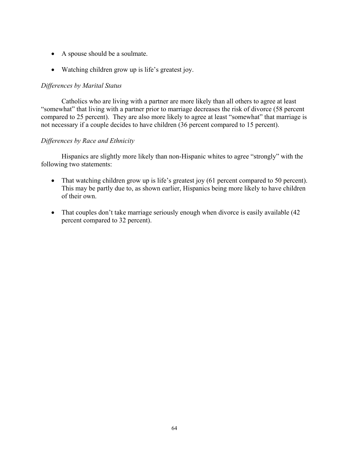- A spouse should be a soulmate.
- Watching children grow up is life's greatest joy.

### *Differences by Marital Status*

 Catholics who are living with a partner are more likely than all others to agree at least "somewhat" that living with a partner prior to marriage decreases the risk of divorce (58 percent compared to 25 percent). They are also more likely to agree at least "somewhat" that marriage is not necessary if a couple decides to have children (36 percent compared to 15 percent).

# *Differences by Race and Ethnicity*

 Hispanics are slightly more likely than non-Hispanic whites to agree "strongly" with the following two statements:

- That watching children grow up is life's greatest joy (61 percent compared to 50 percent). This may be partly due to, as shown earlier, Hispanics being more likely to have children of their own.
- That couples don't take marriage seriously enough when divorce is easily available (42) percent compared to 32 percent).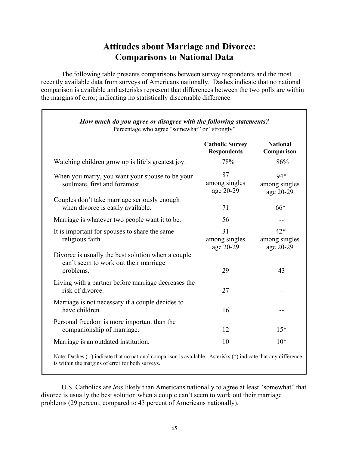# **Attitudes about Marriage and Divorce: Comparisons to National Data**

 The following table presents comparisons between survey respondents and the most recently available data from surveys of Americans nationally. Dashes indicate that no national comparison is available and asterisks represent that differences between the two polls are within the margins of error; indicating no statistically discernable difference.

|                                                                                                          | <b>Catholic Survey</b><br><b>Respondents</b> | <b>National</b><br>Comparison       |
|----------------------------------------------------------------------------------------------------------|----------------------------------------------|-------------------------------------|
| Watching children grow up is life's greatest joy.                                                        | 78%                                          | 86%                                 |
| When you marry, you want your spouse to be your<br>soulmate, first and foremost.                         | 87<br>among singles<br>age 20-29             | 94*<br>among singles<br>age 20-29   |
| Couples don't take marriage seriously enough<br>when divorce is easily available.                        | 71                                           | $66*$                               |
| Marriage is whatever two people want it to be.                                                           | 56                                           |                                     |
| It is important for spouses to share the same<br>religious faith.                                        | 31<br>among singles<br>age 20-29             | $42*$<br>among singles<br>age 20-29 |
| Divorce is usually the best solution when a couple<br>can't seem to work out their marriage<br>problems. | 29                                           | 43                                  |
| Living with a partner before marriage decreases the<br>risk of divorce.                                  | 27                                           |                                     |
| Marriage is not necessary if a couple decides to<br>have children.                                       | 16                                           |                                     |
| Personal freedom is more important than the<br>companionship of marriage.                                | 12                                           | $15*$                               |
| Marriage is an outdated institution.                                                                     | 10                                           | $10*$                               |

 U.S. Catholics are *less* likely than Americans nationally to agree at least "somewhat" that divorce is usually the best solution when a couple can't seem to work out their marriage problems (29 percent, compared to 43 percent of Americans nationally).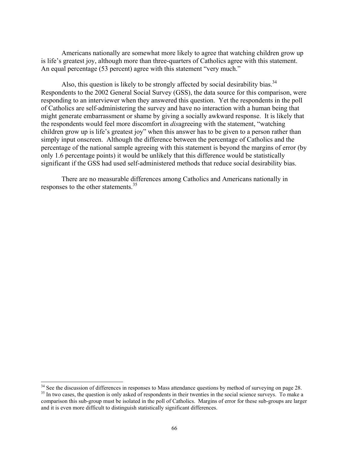Americans nationally are somewhat more likely to agree that watching children grow up is life's greatest joy, although more than three-quarters of Catholics agree with this statement. An equal percentage (53 percent) agree with this statement "very much."

Also, this question is likely to be strongly affected by social desirability bias.<sup>34</sup> Respondents to the 2002 General Social Survey (GSS), the data source for this comparison, were responding to an interviewer when they answered this question. Yet the respondents in the poll of Catholics are self-administering the survey and have no interaction with a human being that might generate embarrassment or shame by giving a socially awkward response. It is likely that the respondents would feel more discomfort in *dis*agreeing with the statement, "watching children grow up is life's greatest joy" when this answer has to be given to a person rather than simply input onscreen. Although the difference between the percentage of Catholics and the percentage of the national sample agreeing with this statement is beyond the margins of error (by only 1.6 percentage points) it would be unlikely that this difference would be statistically significant if the GSS had used self-administered methods that reduce social desirability bias.

There are no measurable differences among Catholics and Americans nationally in responses to the other statements.<sup>35</sup>

 $\overline{a}$ 

 $34$  See the discussion of differences in responses to Mass attendance questions by method of surveying on page 28. <sup>35</sup> In two cases, the question is only asked of respondents in their twenties in the social science surveys. To make a comparison this sub-group must be isolated in the poll of Catholics. Margins of error for these sub-groups are larger and it is even more difficult to distinguish statistically significant differences.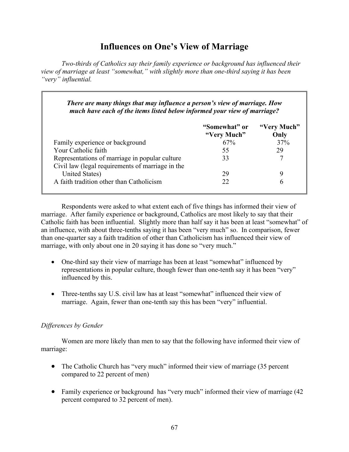# **Influences on One's View of Marriage**

*Two-thirds of Catholics say their family experience or background has influenced their view of marriage at least "somewhat," with slightly more than one-third saying it has been "very" influential.* 

| There are many things that may influence a person's view of marriage. How<br>much have each of the items listed below informed your view of marriage? |                              |                     |
|-------------------------------------------------------------------------------------------------------------------------------------------------------|------------------------------|---------------------|
|                                                                                                                                                       | "Somewhat" or<br>"Very Much" | "Very Much"<br>Only |
| Family experience or background                                                                                                                       | 67%                          | 37%                 |
| Your Catholic faith                                                                                                                                   | 55                           | 29                  |
| Representations of marriage in popular culture<br>Civil law (legal requirements of marriage in the                                                    | 33                           |                     |
| United States)                                                                                                                                        | 29                           | 9                   |
| A faith tradition other than Catholicism                                                                                                              | 22                           | 6                   |

 Respondents were asked to what extent each of five things has informed their view of marriage. After family experience or background, Catholics are most likely to say that their Catholic faith has been influential. Slightly more than half say it has been at least "somewhat" of an influence, with about three-tenths saying it has been "very much" so. In comparison, fewer than one-quarter say a faith tradition of other than Catholicism has influenced their view of marriage, with only about one in 20 saying it has done so "very much."

- One-third say their view of marriage has been at least "somewhat" influenced by representations in popular culture, though fewer than one-tenth say it has been "very" influenced by this.
- Three-tenths say U.S. civil law has at least "somewhat" influenced their view of marriage. Again, fewer than one-tenth say this has been "very" influential.

# *Differences by Gender*

 Women are more likely than men to say that the following have informed their view of marriage:

- The Catholic Church has "very much" informed their view of marriage (35 percent compared to 22 percent of men)
- Family experience or background has "very much" informed their view of marriage (42 percent compared to 32 percent of men).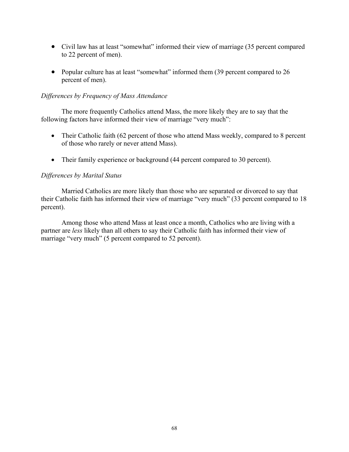- Civil law has at least "somewhat" informed their view of marriage (35 percent compared to 22 percent of men).
- Popular culture has at least "somewhat" informed them (39 percent compared to 26 percent of men).

#### *Differences by Frequency of Mass Attendance*

 The more frequently Catholics attend Mass, the more likely they are to say that the following factors have informed their view of marriage "very much":

- Their Catholic faith (62 percent of those who attend Mass weekly, compared to 8 percent of those who rarely or never attend Mass).
- Their family experience or background (44 percent compared to 30 percent).

#### *Differences by Marital Status*

 Married Catholics are more likely than those who are separated or divorced to say that their Catholic faith has informed their view of marriage "very much" (33 percent compared to 18 percent).

Among those who attend Mass at least once a month, Catholics who are living with a partner are *less* likely than all others to say their Catholic faith has informed their view of marriage "very much" (5 percent compared to 52 percent).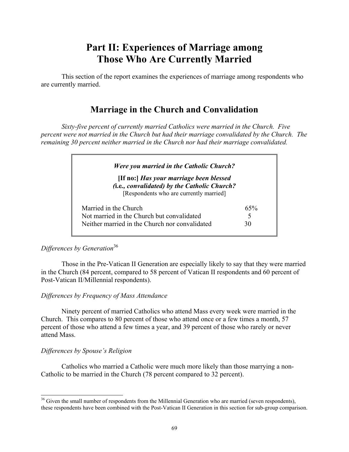# **Part II: Experiences of Marriage among Those Who Are Currently Married**

 This section of the report examines the experiences of marriage among respondents who are currently married.

## **Marriage in the Church and Convalidation**

*Sixty-five percent of currently married Catholics were married in the Church. Five percent were not married in the Church but had their marriage convalidated by the Church. The remaining 30 percent neither married in the Church nor had their marriage convalidated.* 

| <b>Were you married in the Catholic Church?</b>                                                                                    |          |
|------------------------------------------------------------------------------------------------------------------------------------|----------|
| [If no:] Has your marriage been blessed<br>(i.e., convalidated) by the Catholic Church?<br>[Respondents who are currently married] |          |
| Married in the Church<br>Not married in the Church but convalidated                                                                | 65%<br>5 |
| Neither married in the Church nor convalidated                                                                                     | 30       |

## *Differences by Generation*<sup>36</sup>

 Those in the Pre-Vatican II Generation are especially likely to say that they were married in the Church (84 percent, compared to 58 percent of Vatican II respondents and 60 percent of Post-Vatican II/Millennial respondents).

### *Differences by Frequency of Mass Attendance*

 Ninety percent of married Catholics who attend Mass every week were married in the Church. This compares to 80 percent of those who attend once or a few times a month, 57 percent of those who attend a few times a year, and 39 percent of those who rarely or never attend Mass.

### *Differences by Spouse's Religion*

 $\overline{a}$ 

 Catholics who married a Catholic were much more likely than those marrying a non-Catholic to be married in the Church (78 percent compared to 32 percent).

<sup>&</sup>lt;sup>36</sup> Given the small number of respondents from the Millennial Generation who are married (seven respondents), these respondents have been combined with the Post-Vatican II Generation in this section for sub-group comparison.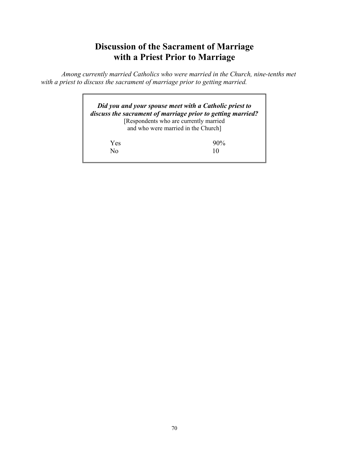# **Discussion of the Sacrament of Marriage with a Priest Prior to Marriage**

*Among currently married Catholics who were married in the Church, nine-tenths met with a priest to discuss the sacrament of marriage prior to getting married.* 

|     | Did you and your spouse meet with a Catholic priest to<br>discuss the sacrament of marriage prior to getting married?<br>[Respondents who are currently married<br>and who were married in the Church] |
|-----|--------------------------------------------------------------------------------------------------------------------------------------------------------------------------------------------------------|
| Yes | $90\%$                                                                                                                                                                                                 |
| Nο  | 10                                                                                                                                                                                                     |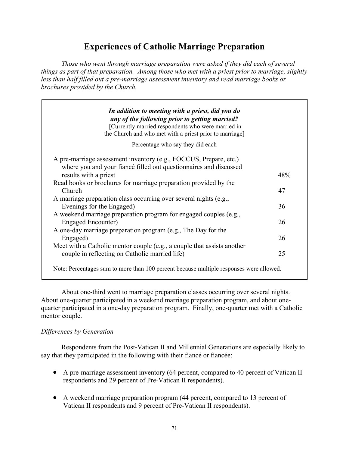# **Experiences of Catholic Marriage Preparation**

*Those who went through marriage preparation were asked if they did each of several things as part of that preparation. Among those who met with a priest prior to marriage, slightly less than half filled out a pre-marriage assessment inventory and read marriage books or brochures provided by the Church.* 

| In addition to meeting with a priest, did you do                                                     |     |
|------------------------------------------------------------------------------------------------------|-----|
| any of the following prior to getting married?<br>[Currently married respondents who were married in |     |
| the Church and who met with a priest prior to marriage]                                              |     |
| Percentage who say they did each                                                                     |     |
| A pre-marriage assessment inventory (e.g., FOCCUS, Prepare, etc.)                                    |     |
| where you and your fiance filled out questionnaires and discussed                                    |     |
| results with a priest                                                                                | 48% |
| Read books or brochures for marriage preparation provided by the                                     |     |
| Church                                                                                               | 47  |
| A marriage preparation class occurring over several nights (e.g.,                                    |     |
| Evenings for the Engaged)                                                                            | 36  |
| A weekend marriage preparation program for engaged couples (e.g.,                                    |     |
| <b>Engaged Encounter)</b>                                                                            | 26  |
| A one-day marriage preparation program (e.g., The Day for the                                        |     |
| Engaged)                                                                                             | 26  |
| Meet with a Catholic mentor couple (e.g., a couple that assists another                              |     |
| couple in reflecting on Catholic married life)                                                       | 25  |
|                                                                                                      |     |
| Note: Percentages sum to more than 100 percent because multiple responses were allowed.              |     |

 About one-third went to marriage preparation classes occurring over several nights. About one-quarter participated in a weekend marriage preparation program, and about onequarter participated in a one-day preparation program. Finally, one-quarter met with a Catholic mentor couple.

### *Differences by Generation*

 Respondents from the Post-Vatican II and Millennial Generations are especially likely to say that they participated in the following with their fiancé or fiancée:

- A pre-marriage assessment inventory (64 percent, compared to 40 percent of Vatican II respondents and 29 percent of Pre-Vatican II respondents).
- A weekend marriage preparation program (44 percent, compared to 13 percent of Vatican II respondents and 9 percent of Pre-Vatican II respondents).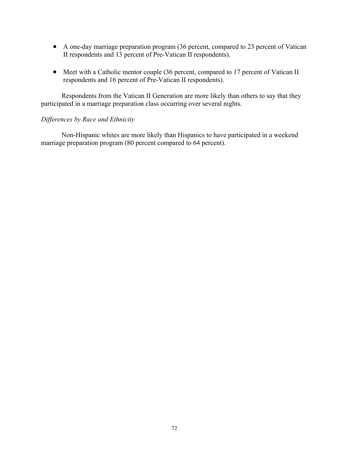- A one-day marriage preparation program (36 percent, compared to 23 percent of Vatican II respondents and 13 percent of Pre-Vatican II respondents).
- Meet with a Catholic mentor couple (36 percent, compared to 17 percent of Vatican II respondents and 16 percent of Pre-Vatican II respondents).

 Respondents from the Vatican II Generation are more likely than others to say that they participated in a marriage preparation class occurring over several nights.

#### *Differences by Race and Ethnicity*

 Non-Hispanic whites are more likely than Hispanics to have participated in a weekend marriage preparation program (80 percent compared to 64 percent).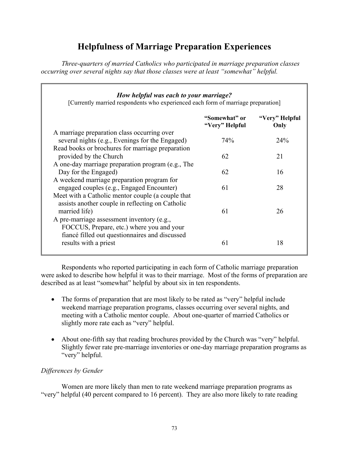# **Helpfulness of Marriage Preparation Experiences**

*Three-quarters of married Catholics who participated in marriage preparation classes occurring over several nights say that those classes were at least "somewhat" helpful.* 

#### *How helpful was each to your marriage?*

[Currently married respondents who experienced each form of marriage preparation]

|                                                                                                | "Somewhat" or<br>"Very" Helpful | "Very" Helpful<br>Only |
|------------------------------------------------------------------------------------------------|---------------------------------|------------------------|
| A marriage preparation class occurring over                                                    |                                 |                        |
| several nights (e.g., Evenings for the Engaged)                                                | 74%                             | 24%                    |
| Read books or brochures for marriage preparation                                               |                                 |                        |
| provided by the Church                                                                         | 62                              | 21                     |
| A one-day marriage preparation program (e.g., The                                              |                                 |                        |
| Day for the Engaged)                                                                           | 62                              | 16                     |
| A weekend marriage preparation program for                                                     |                                 |                        |
| engaged couples (e.g., Engaged Encounter)<br>Meet with a Catholic mentor couple (a couple that | 61                              | 28                     |
| assists another couple in reflecting on Catholic                                               |                                 |                        |
| married life)                                                                                  | 61                              | 26                     |
| A pre-marriage assessment inventory (e.g.,                                                     |                                 |                        |
| FOCCUS, Prepare, etc.) where you and your                                                      |                                 |                        |
| fiancé filled out questionnaires and discussed                                                 |                                 |                        |
| results with a priest                                                                          | 61                              | 18                     |
|                                                                                                |                                 |                        |

 Respondents who reported participating in each form of Catholic marriage preparation were asked to describe how helpful it was to their marriage. Most of the forms of preparation are described as at least "somewhat" helpful by about six in ten respondents.

- The forms of preparation that are most likely to be rated as "very" helpful include weekend marriage preparation programs, classes occurring over several nights, and meeting with a Catholic mentor couple. About one-quarter of married Catholics or slightly more rate each as "very" helpful.
- About one-fifth say that reading brochures provided by the Church was "very" helpful. Slightly fewer rate pre-marriage inventories or one-day marriage preparation programs as "very" helpful.

## *Differences by Gender*

 Women are more likely than men to rate weekend marriage preparation programs as "very" helpful (40 percent compared to 16 percent). They are also more likely to rate reading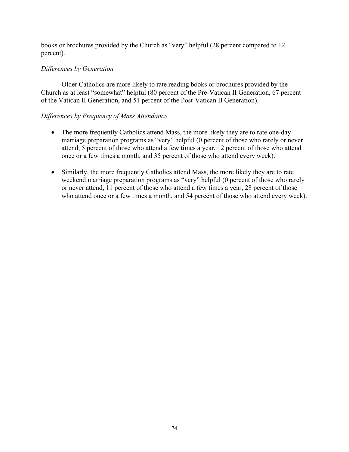books or brochures provided by the Church as "very" helpful (28 percent compared to 12 percent).

### *Differences by Generation*

 Older Catholics are more likely to rate reading books or brochures provided by the Church as at least "somewhat" helpful (80 percent of the Pre-Vatican II Generation, 67 percent of the Vatican II Generation, and 51 percent of the Post-Vatican II Generation).

## *Differences by Frequency of Mass Attendance*

- The more frequently Catholics attend Mass, the more likely they are to rate one-day marriage preparation programs as "very" helpful (0 percent of those who rarely or never attend, 5 percent of those who attend a few times a year, 12 percent of those who attend once or a few times a month, and 35 percent of those who attend every week).
- Similarly, the more frequently Catholics attend Mass, the more likely they are to rate weekend marriage preparation programs as "very" helpful (0 percent of those who rarely or never attend, 11 percent of those who attend a few times a year, 28 percent of those who attend once or a few times a month, and 54 percent of those who attend every week).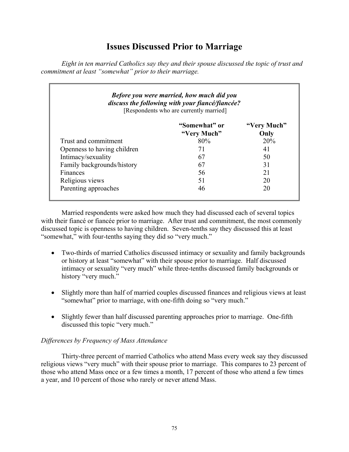## **Issues Discussed Prior to Marriage**

*Eight in ten married Catholics say they and their spouse discussed the topic of trust and commitment at least "somewhat" prior to their marriage.* 

| <b>Before you were married, how much did you</b><br>discuss the following with your fiancé/fiancée?<br>[Respondents who are currently married] |                              |                     |  |
|------------------------------------------------------------------------------------------------------------------------------------------------|------------------------------|---------------------|--|
|                                                                                                                                                | "Somewhat" or<br>"Very Much" | "Very Much"<br>Only |  |
| Trust and commitment                                                                                                                           | 80%                          | 20%                 |  |
| Openness to having children                                                                                                                    | 71                           | 41                  |  |
| Intimacy/sexuality                                                                                                                             | 67                           | 50                  |  |
| Family backgrounds/history                                                                                                                     | 67                           | 31                  |  |
| Finances                                                                                                                                       | 56                           | 21                  |  |
| Religious views                                                                                                                                | 51                           | 20                  |  |
| Parenting approaches                                                                                                                           | 46                           | 20                  |  |

 Married respondents were asked how much they had discussed each of several topics with their fiance or fiance prior to marriage. After trust and commitment, the most commonly discussed topic is openness to having children. Seven-tenths say they discussed this at least "somewhat," with four-tenths saying they did so "very much."

- Two-thirds of married Catholics discussed intimacy or sexuality and family backgrounds or history at least "somewhat" with their spouse prior to marriage. Half discussed intimacy or sexuality "very much" while three-tenths discussed family backgrounds or history "very much."
- Slightly more than half of married couples discussed finances and religious views at least "somewhat" prior to marriage, with one-fifth doing so "very much."
- Slightly fewer than half discussed parenting approaches prior to marriage. One-fifth discussed this topic "very much."

### *Differences by Frequency of Mass Attendance*

 Thirty-three percent of married Catholics who attend Mass every week say they discussed religious views "very much" with their spouse prior to marriage. This compares to 23 percent of those who attend Mass once or a few times a month, 17 percent of those who attend a few times a year, and 10 percent of those who rarely or never attend Mass.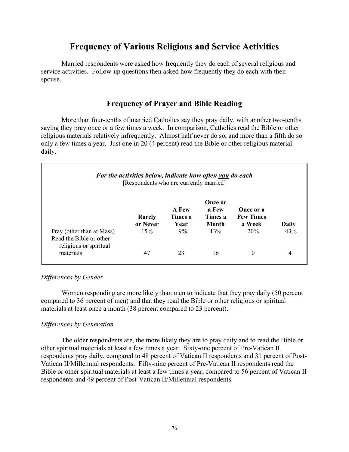## **Frequency of Various Religious and Service Activities**

 Married respondents were asked how frequently they do each of several religious and service activities. Follow-up questions then asked how frequently they do each with their spouse.

## **Frequency of Prayer and Bible Reading**

 More than four-tenths of married Catholics say they pray daily, with another two-tenths saying they pray once or a few times a week. In comparison, Catholics read the Bible or other religious materials relatively infrequently. Almost half never do so, and more than a fifth do so only a few times a year. Just one in 20 (4 percent) read the Bible or other religious material daily.

| For the activities below, indicate how often you do each<br>[Respondents who are currently married] |                    |                                 |                                      |                                         |       |
|-----------------------------------------------------------------------------------------------------|--------------------|---------------------------------|--------------------------------------|-----------------------------------------|-------|
|                                                                                                     | Rarely<br>or Never | <b>A</b> Few<br>Times a<br>Year | Once or<br>a Few<br>Times a<br>Month | Once or a<br><b>Few Times</b><br>a Week | Daily |
| Pray (other than at Mass)<br>Read the Bible or other<br>religious or spiritual                      | 15%                | 9%                              | 13%                                  | 20%                                     | 43%   |
| materials                                                                                           | 47                 | 23                              | 16                                   | 10                                      | 4     |

#### *Differences by Gender*

 Women responding are more likely than men to indicate that they pray daily (50 percent compared to 36 percent of men) and that they read the Bible or other religious or spiritual materials at least once a month (38 percent compared to 23 percent).

#### *Differences by Generation*

 The older respondents are, the more likely they are to pray daily and to read the Bible or other spiritual materials at least a few times a year. Sixty-one percent of Pre-Vatican II respondents pray daily, compared to 48 percent of Vatican II respondents and 31 percent of Post-Vatican II/Millennial respondents. Fifty-nine percent of Pre-Vatican II respondents read the Bible or other spiritual materials at least a few times a year, compared to 56 percent of Vatican II respondents and 49 percent of Post-Vatican II/Millennial respondents.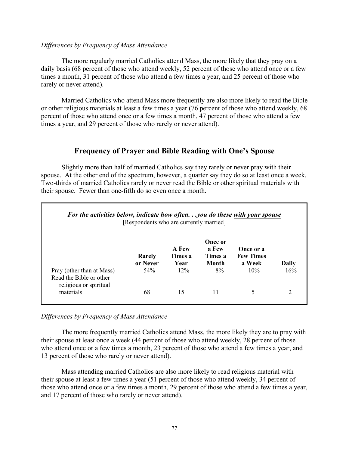#### *Differences by Frequency of Mass Attendance*

 The more regularly married Catholics attend Mass, the more likely that they pray on a daily basis (68 percent of those who attend weekly, 52 percent of those who attend once or a few times a month, 31 percent of those who attend a few times a year, and 25 percent of those who rarely or never attend).

 Married Catholics who attend Mass more frequently are also more likely to read the Bible or other religious materials at least a few times a year (76 percent of those who attend weekly, 68 percent of those who attend once or a few times a month, 47 percent of those who attend a few times a year, and 29 percent of those who rarely or never attend).

## **Frequency of Prayer and Bible Reading with One's Spouse**

 Slightly more than half of married Catholics say they rarely or never pray with their spouse. At the other end of the spectrum, however, a quarter say they do so at least once a week. Two-thirds of married Catholics rarely or never read the Bible or other spiritual materials with their spouse. Fewer than one-fifth do so even once a month.

| For the activities below, indicate how oftenyou do these with your spouse<br>[Respondents who are currently married] |                    |                          |                                      |                                         |       |
|----------------------------------------------------------------------------------------------------------------------|--------------------|--------------------------|--------------------------------------|-----------------------------------------|-------|
|                                                                                                                      | Rarely<br>or Never | A Few<br>Times a<br>Year | Once or<br>a Few<br>Times a<br>Month | Once or a<br><b>Few Times</b><br>a Week | Daily |
| Pray (other than at Mass)<br>Read the Bible or other<br>religious or spiritual                                       | 54%                | $12\%$                   | 8%                                   | 10%                                     | 16%   |
| materials                                                                                                            | 68                 | 15                       | 11                                   | 5                                       | 2     |

#### *Differences by Frequency of Mass Attendance*

 The more frequently married Catholics attend Mass, the more likely they are to pray with their spouse at least once a week (44 percent of those who attend weekly, 28 percent of those who attend once or a few times a month, 23 percent of those who attend a few times a year, and 13 percent of those who rarely or never attend).

 Mass attending married Catholics are also more likely to read religious material with their spouse at least a few times a year (51 percent of those who attend weekly, 34 percent of those who attend once or a few times a month, 29 percent of those who attend a few times a year, and 17 percent of those who rarely or never attend).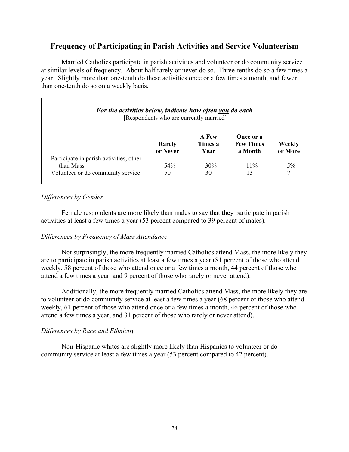## **Frequency of Participating in Parish Activities and Service Volunteerism**

 Married Catholics participate in parish activities and volunteer or do community service at similar levels of frequency. About half rarely or never do so. Three-tenths do so a few times a year. Slightly more than one-tenth do these activities once or a few times a month, and fewer than one-tenth do so on a weekly basis.

| For the activities below, indicate how often you do each<br>[Respondents who are currently married] |                    |                          |                                          |                   |
|-----------------------------------------------------------------------------------------------------|--------------------|--------------------------|------------------------------------------|-------------------|
|                                                                                                     | Rarely<br>or Never | A Few<br>Times a<br>Year | Once or a<br><b>Few Times</b><br>a Month | Weekly<br>or More |
| Participate in parish activities, other                                                             |                    |                          |                                          |                   |
| than Mass                                                                                           | 54%                | 30%                      | $11\%$                                   | $5\%$             |
| Volunteer or do community service                                                                   | 50                 | 30                       | 13                                       |                   |

## *Differences by Gender*

 Female respondents are more likely than males to say that they participate in parish activities at least a few times a year (53 percent compared to 39 percent of males).

### *Differences by Frequency of Mass Attendance*

 Not surprisingly, the more frequently married Catholics attend Mass, the more likely they are to participate in parish activities at least a few times a year (81 percent of those who attend weekly, 58 percent of those who attend once or a few times a month, 44 percent of those who attend a few times a year, and 9 percent of those who rarely or never attend).

 Additionally, the more frequently married Catholics attend Mass, the more likely they are to volunteer or do community service at least a few times a year (68 percent of those who attend weekly, 61 percent of those who attend once or a few times a month, 46 percent of those who attend a few times a year, and 31 percent of those who rarely or never attend).

### *Differences by Race and Ethnicity*

 Non-Hispanic whites are slightly more likely than Hispanics to volunteer or do community service at least a few times a year (53 percent compared to 42 percent).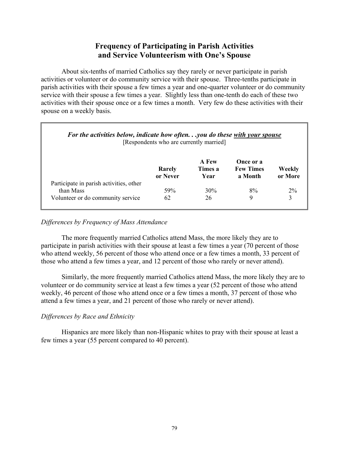## **Frequency of Participating in Parish Activities and Service Volunteerism with One's Spouse**

 About six-tenths of married Catholics say they rarely or never participate in parish activities or volunteer or do community service with their spouse. Three-tenths participate in parish activities with their spouse a few times a year and one-quarter volunteer or do community service with their spouse a few times a year. Slightly less than one-tenth do each of these two activities with their spouse once or a few times a month. Very few do these activities with their spouse on a weekly basis.

| For the activities below, indicate how oftenyou do these with your spouse<br>[Respondents who are currently married] |                    |                          |                                          |                   |
|----------------------------------------------------------------------------------------------------------------------|--------------------|--------------------------|------------------------------------------|-------------------|
|                                                                                                                      | Rarely<br>or Never | A Few<br>Times a<br>Year | Once or a<br><b>Few Times</b><br>a Month | Weekly<br>or More |
| Participate in parish activities, other                                                                              |                    |                          |                                          |                   |
| than Mass                                                                                                            | 59%                | 30%                      | 8%                                       | $2\%$             |
| Volunteer or do community service                                                                                    | 62                 | 26                       | 9                                        |                   |

#### *Differences by Frequency of Mass Attendance*

 The more frequently married Catholics attend Mass, the more likely they are to participate in parish activities with their spouse at least a few times a year (70 percent of those who attend weekly, 56 percent of those who attend once or a few times a month, 33 percent of those who attend a few times a year, and 12 percent of those who rarely or never attend).

 Similarly, the more frequently married Catholics attend Mass, the more likely they are to volunteer or do community service at least a few times a year (52 percent of those who attend weekly, 46 percent of those who attend once or a few times a month, 37 percent of those who attend a few times a year, and 21 percent of those who rarely or never attend).

### *Differences by Race and Ethnicity*

 Hispanics are more likely than non-Hispanic whites to pray with their spouse at least a few times a year (55 percent compared to 40 percent).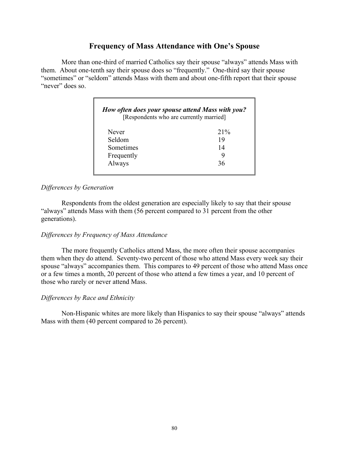## **Frequency of Mass Attendance with One's Spouse**

 More than one-third of married Catholics say their spouse "always" attends Mass with them. About one-tenth say their spouse does so "frequently." One-third say their spouse "sometimes" or "seldom" attends Mass with them and about one-fifth report that their spouse "never" does so.

| [Respondents who are currently married] |        |
|-----------------------------------------|--------|
| Never                                   | $21\%$ |
| Seldom                                  | 19     |
| Sometimes                               | 14     |
| Frequently                              |        |
| Always                                  | 36     |

#### *Differences by Generation*

 Respondents from the oldest generation are especially likely to say that their spouse "always" attends Mass with them (56 percent compared to 31 percent from the other generations).

#### *Differences by Frequency of Mass Attendance*

 The more frequently Catholics attend Mass, the more often their spouse accompanies them when they do attend. Seventy-two percent of those who attend Mass every week say their spouse "always" accompanies them. This compares to 49 percent of those who attend Mass once or a few times a month, 20 percent of those who attend a few times a year, and 10 percent of those who rarely or never attend Mass.

#### *Differences by Race and Ethnicity*

 Non-Hispanic whites are more likely than Hispanics to say their spouse "always" attends Mass with them (40 percent compared to 26 percent).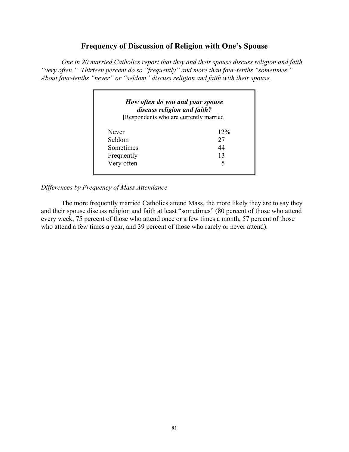## **Frequency of Discussion of Religion with One's Spouse**

 *One in 20 married Catholics report that they and their spouse discuss religion and faith "very often." Thirteen percent do so "frequently" and more than four-tenths "sometimes." About four-tenths "never" or "seldom" discuss religion and faith with their spouse.* 

| discuss religion and faith?<br>[Respondents who are currently married] |        |
|------------------------------------------------------------------------|--------|
| Never                                                                  | $12\%$ |
| Seldom                                                                 | 27     |
| Sometimes                                                              | 44     |
| Frequently                                                             | 13     |
| Very often                                                             | ↰      |

*Differences by Frequency of Mass Attendance* 

 The more frequently married Catholics attend Mass, the more likely they are to say they and their spouse discuss religion and faith at least "sometimes" (80 percent of those who attend every week, 75 percent of those who attend once or a few times a month, 57 percent of those who attend a few times a year, and 39 percent of those who rarely or never attend).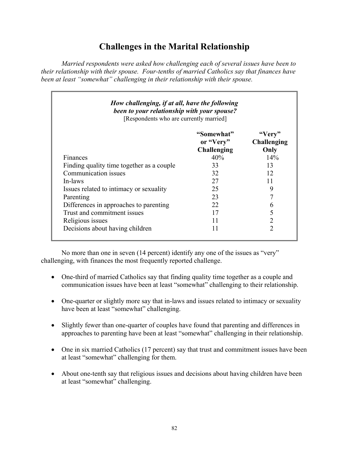# **Challenges in the Marital Relationship**

*Married respondents were asked how challenging each of several issues have been to their relationship with their spouse. Four-tenths of married Catholics say that finances have been at least "somewhat" challenging in their relationship with their spouse.* 

| How challenging, if at all, have the following<br>been to your relationship with your spouse?<br>[Respondents who are currently married] |                                        |                                      |  |  |
|------------------------------------------------------------------------------------------------------------------------------------------|----------------------------------------|--------------------------------------|--|--|
|                                                                                                                                          | "Somewhat"<br>or "Very"<br>Challenging | "Very"<br><b>Challenging</b><br>Only |  |  |
| Finances                                                                                                                                 | 40%                                    | 14%                                  |  |  |
| Finding quality time together as a couple                                                                                                | 33                                     | 13                                   |  |  |
| Communication issues                                                                                                                     | 32                                     | 12                                   |  |  |
| In-laws                                                                                                                                  | 27                                     | 11                                   |  |  |
| Issues related to intimacy or sexuality                                                                                                  | 25                                     | 9                                    |  |  |
| Parenting                                                                                                                                | 23                                     | 7                                    |  |  |
| Differences in approaches to parenting                                                                                                   | 22                                     | 6                                    |  |  |
| Trust and commitment issues                                                                                                              | 17                                     | 5                                    |  |  |
| Religious issues                                                                                                                         | 11                                     | 2                                    |  |  |
| Decisions about having children                                                                                                          | 11                                     | $\overline{2}$                       |  |  |

 No more than one in seven (14 percent) identify any one of the issues as "very" challenging, with finances the most frequently reported challenge.

- One-third of married Catholics say that finding quality time together as a couple and communication issues have been at least "somewhat" challenging to their relationship.
- One-quarter or slightly more say that in-laws and issues related to intimacy or sexuality have been at least "somewhat" challenging.
- Slightly fewer than one-quarter of couples have found that parenting and differences in approaches to parenting have been at least "somewhat" challenging in their relationship.
- One in six married Catholics (17 percent) say that trust and commitment issues have been at least "somewhat" challenging for them.
- About one-tenth say that religious issues and decisions about having children have been at least "somewhat" challenging.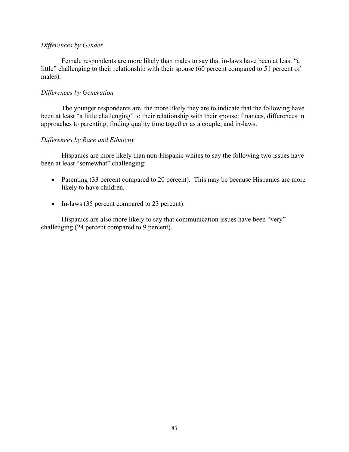#### *Differences by Gender*

 Female respondents are more likely than males to say that in-laws have been at least "a little" challenging to their relationship with their spouse (60 percent compared to 51 percent of males).

#### *Differences by Generation*

The younger respondents are, the more likely they are to indicate that the following have been at least "a little challenging" to their relationship with their spouse: finances, differences in approaches to parenting, finding quality time together as a couple, and in-laws.

#### *Differences by Race and Ethnicity*

Hispanics are more likely than non-Hispanic whites to say the following two issues have been at least "somewhat" challenging:

- Parenting (33 percent compared to 20 percent). This may be because Hispanics are more likely to have children.
- In-laws (35 percent compared to 23 percent).

Hispanics are also more likely to say that communication issues have been "very" challenging (24 percent compared to 9 percent).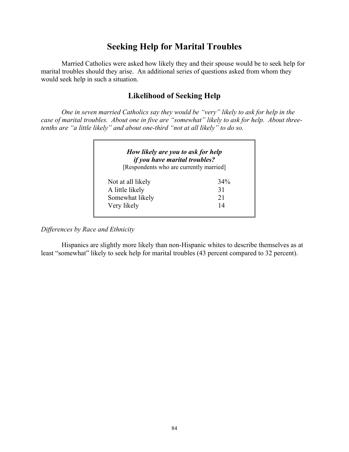## **Seeking Help for Marital Troubles**

 Married Catholics were asked how likely they and their spouse would be to seek help for marital troubles should they arise. An additional series of questions asked from whom they would seek help in such a situation.

## **Likelihood of Seeking Help**

*One in seven married Catholics say they would be "very" likely to ask for help in the case of marital troubles. About one in five are "somewhat" likely to ask for help. About threetenths are "a little likely" and about one-third "not at all likely" to do so.* 

| <i>if you have marital troubles?</i><br>[Respondents who are currently married] |     |
|---------------------------------------------------------------------------------|-----|
| Not at all likely                                                               | 34% |
| A little likely                                                                 | 31  |
| Somewhat likely                                                                 | 21  |
| Very likely                                                                     | 14  |

*Differences by Race and Ethnicity* 

 Hispanics are slightly more likely than non-Hispanic whites to describe themselves as at least "somewhat" likely to seek help for marital troubles (43 percent compared to 32 percent).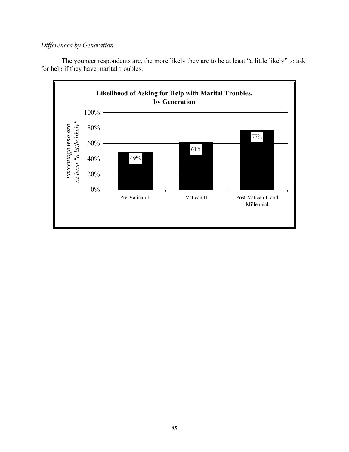## *Differences by Generation*

The younger respondents are, the more likely they are to be at least "a little likely" to ask for help if they have marital troubles.

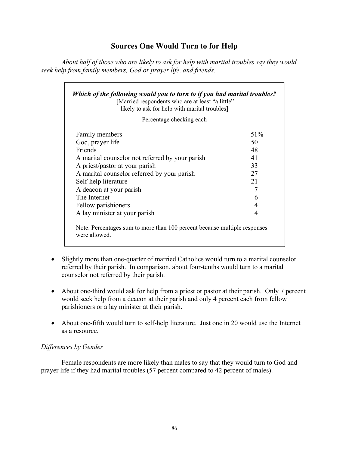## **Sources One Would Turn to for Help**

*About half of those who are likely to ask for help with marital troubles say they would seek help from family members, God or prayer life, and friends.* 

| Which of the following would you to turn to if you had marital troubles?<br>[Married respondents who are at least "a little"<br>likely to ask for help with marital troubles] |     |  |  |  |
|-------------------------------------------------------------------------------------------------------------------------------------------------------------------------------|-----|--|--|--|
| Percentage checking each                                                                                                                                                      |     |  |  |  |
| <b>Family members</b>                                                                                                                                                         | 51% |  |  |  |
| God, prayer life                                                                                                                                                              | 50  |  |  |  |
| Friends                                                                                                                                                                       | 48  |  |  |  |
| A marital counselor not referred by your parish                                                                                                                               | 41  |  |  |  |
| A priest/pastor at your parish                                                                                                                                                | 33  |  |  |  |
| A marital counselor referred by your parish                                                                                                                                   | 27  |  |  |  |
| Self-help literature                                                                                                                                                          | 21  |  |  |  |
| A deacon at your parish                                                                                                                                                       | 7   |  |  |  |
| The Internet                                                                                                                                                                  | 6   |  |  |  |
| Fellow parishioners                                                                                                                                                           | 4   |  |  |  |
| A lay minister at your parish                                                                                                                                                 | 4   |  |  |  |
| Note: Percentages sum to more than 100 percent because multiple responses<br>were allowed.                                                                                    |     |  |  |  |

- Slightly more than one-quarter of married Catholics would turn to a marital counselor referred by their parish. In comparison, about four-tenths would turn to a marital counselor not referred by their parish.
- About one-third would ask for help from a priest or pastor at their parish. Only 7 percent would seek help from a deacon at their parish and only 4 percent each from fellow parishioners or a lay minister at their parish.
- About one-fifth would turn to self-help literature. Just one in 20 would use the Internet as a resource.

### *Differences by Gender*

 Female respondents are more likely than males to say that they would turn to God and prayer life if they had marital troubles (57 percent compared to 42 percent of males).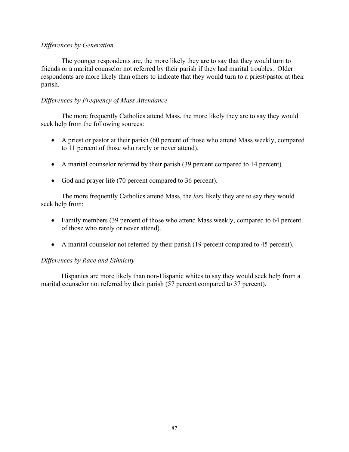#### *Differences by Generation*

The younger respondents are, the more likely they are to say that they would turn to friends or a marital counselor not referred by their parish if they had marital troubles. Older respondents are more likely than others to indicate that they would turn to a priest/pastor at their parish.

### *Differences by Frequency of Mass Attendance*

 The more frequently Catholics attend Mass, the more likely they are to say they would seek help from the following sources:

- A priest or pastor at their parish (60 percent of those who attend Mass weekly, compared to 11 percent of those who rarely or never attend).
- A marital counselor referred by their parish (39 percent compared to 14 percent).
- God and prayer life (70 percent compared to 36 percent).

 The more frequently Catholics attend Mass, the *less* likely they are to say they would seek help from:

- Family members (39 percent of those who attend Mass weekly, compared to 64 percent of those who rarely or never attend).
- A marital counselor not referred by their parish (19 percent compared to 45 percent).

### *Differences by Race and Ethnicity*

 Hispanics are more likely than non-Hispanic whites to say they would seek help from a marital counselor not referred by their parish (57 percent compared to 37 percent).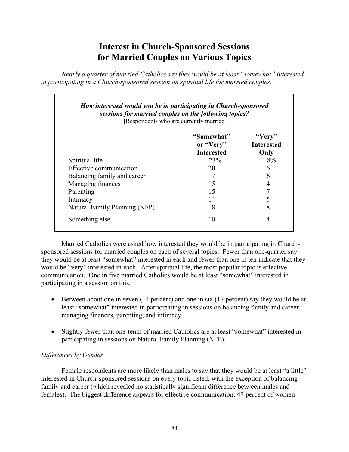## **Interest in Church-Sponsored Sessions for Married Couples on Various Topics**

*Nearly a quarter of married Catholics say they would be at least "somewhat" interested in participating in a Church-sponsored session on spiritual life for married couples.* 

| sessions for married couples on the following topics?<br>[Respondents who are currently married] |                                              |                                     |  |  |
|--------------------------------------------------------------------------------------------------|----------------------------------------------|-------------------------------------|--|--|
|                                                                                                  | "Somewhat"<br>or "Very"<br><b>Interested</b> | "Very"<br><b>Interested</b><br>Only |  |  |
| Spiritual life                                                                                   | <b>23%</b>                                   | 8%                                  |  |  |
| Effective communication                                                                          | 20                                           | 6                                   |  |  |
| Balancing family and career                                                                      | 17                                           | 6                                   |  |  |
| Managing finances                                                                                | 15                                           | 4                                   |  |  |
| Parenting                                                                                        | 15                                           | 7                                   |  |  |
| Intimacy                                                                                         | 14                                           |                                     |  |  |
| Natural Family Planning (NFP)                                                                    | 8                                            | 8                                   |  |  |
| Something else                                                                                   | 10                                           | 4                                   |  |  |

 Married Catholics were asked how interested they would be in participating in Churchsponsored sessions for married couples on each of several topics. Fewer than one-quarter say they would be at least "somewhat" interested in each and fewer than one in ten indicate that they would be "very" interested in each. After spiritual life, the most popular topic is effective communication. One in five married Catholics would be at least "somewhat" interested in participating in a session on this.

- Between about one in seven (14 percent) and one in six (17 percent) say they would be at least "somewhat" interested in participating in sessions on balancing family and career, managing finances, parenting, and intimacy.
- Slightly fewer than one-tenth of married Catholics are at least "somewhat" interested in participating in sessions on Natural Family Planning (NFP).

## *Differences by Gender*

Female respondents are more likely than males to say that they would be at least "a little" interested in Church-sponsored sessions on every topic listed, with the exception of balancing family and career (which revealed no statistically significant difference between males and females). The biggest difference appears for effective communication: 47 percent of women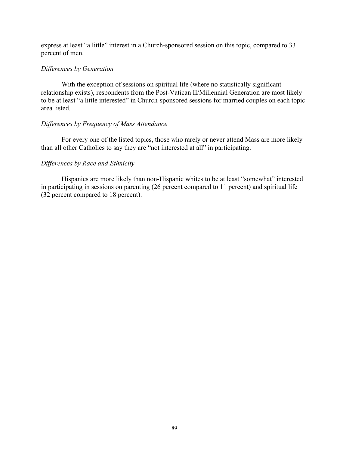express at least "a little" interest in a Church-sponsored session on this topic, compared to 33 percent of men.

#### *Differences by Generation*

With the exception of sessions on spiritual life (where no statistically significant relationship exists), respondents from the Post-Vatican II/Millennial Generation are most likely to be at least "a little interested" in Church-sponsored sessions for married couples on each topic area listed.

#### *Differences by Frequency of Mass Attendance*

 For every one of the listed topics, those who rarely or never attend Mass are more likely than all other Catholics to say they are "not interested at all" in participating.

#### *Differences by Race and Ethnicity*

 Hispanics are more likely than non-Hispanic whites to be at least "somewhat" interested in participating in sessions on parenting (26 percent compared to 11 percent) and spiritual life (32 percent compared to 18 percent).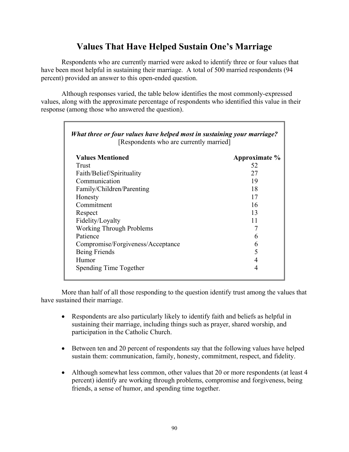## **Values That Have Helped Sustain One's Marriage**

Respondents who are currently married were asked to identify three or four values that have been most helpful in sustaining their marriage. A total of 500 married respondents (94 percent) provided an answer to this open-ended question.

Although responses varied, the table below identifies the most commonly-expressed values, along with the approximate percentage of respondents who identified this value in their response (among those who answered the question).

| What three or four values have helped most in sustaining your marriage?<br>[Respondents who are currently married] |               |  |  |
|--------------------------------------------------------------------------------------------------------------------|---------------|--|--|
| <b>Values Mentioned</b>                                                                                            | Approximate % |  |  |
| Trust                                                                                                              | 52            |  |  |
| Faith/Belief/Spirituality                                                                                          | 27            |  |  |
| Communication                                                                                                      | 19            |  |  |
| Family/Children/Parenting                                                                                          | 18            |  |  |
| Honesty                                                                                                            | 17            |  |  |
| Commitment                                                                                                         | 16            |  |  |
| Respect                                                                                                            | 13            |  |  |
| Fidelity/Loyalty                                                                                                   | 11            |  |  |
| <b>Working Through Problems</b>                                                                                    | 7             |  |  |
| Patience                                                                                                           | 6             |  |  |
| Compromise/Forgiveness/Acceptance                                                                                  | 6             |  |  |
| Being Friends                                                                                                      | 5             |  |  |
| Humor                                                                                                              | 4             |  |  |
| Spending Time Together                                                                                             | 4             |  |  |

More than half of all those responding to the question identify trust among the values that have sustained their marriage.

- Respondents are also particularly likely to identify faith and beliefs as helpful in sustaining their marriage, including things such as prayer, shared worship, and participation in the Catholic Church.
- Between ten and 20 percent of respondents say that the following values have helped sustain them: communication, family, honesty, commitment, respect, and fidelity.
- Although somewhat less common, other values that 20 or more respondents (at least 4 percent) identify are working through problems, compromise and forgiveness, being friends, a sense of humor, and spending time together.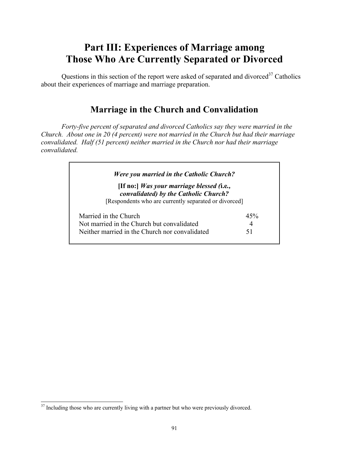# **Part III: Experiences of Marriage among Those Who Are Currently Separated or Divorced**

Questions in this section of the report were asked of separated and divorced $37$  Catholics about their experiences of marriage and marriage preparation.

## **Marriage in the Church and Convalidation**

*Forty-five percent of separated and divorced Catholics say they were married in the Church. About one in 20 (4 percent) were not married in the Church but had their marriage convalidated. Half (51 percent) neither married in the Church nor had their marriage convalidated.* 

| Were you married in the Catholic Church?                                                                                                    |     |
|---------------------------------------------------------------------------------------------------------------------------------------------|-----|
| [If no:] Was your marriage blessed (i.e.,<br>convalidated) by the Catholic Church?<br>[Respondents who are currently separated or divorced] |     |
| Married in the Church                                                                                                                       | 45% |
| Not married in the Church but convalidated                                                                                                  | 4   |
|                                                                                                                                             | 51  |

 $\overline{a}$ 

<sup>&</sup>lt;sup>37</sup> Including those who are currently living with a partner but who were previously divorced.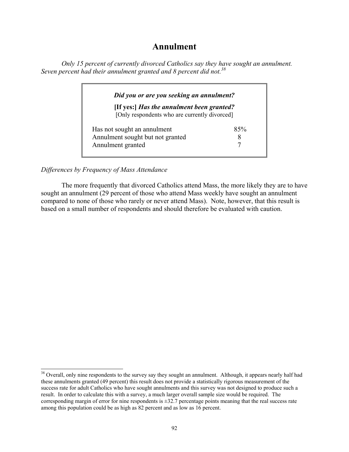## **Annulment**

*Only 15 percent of currently divorced Catholics say they have sought an annulment. Seven percent had their annulment granted and 8 percent did not.38*

| Did you or are you seeking an annulment?                                                   |     |  |  |
|--------------------------------------------------------------------------------------------|-----|--|--|
| [If yes:] Has the annulment been granted?<br>[Only respondents who are currently divorced] |     |  |  |
| Has not sought an annulment                                                                | 85% |  |  |
| Annulment sought but not granted                                                           | x   |  |  |
| Annulment granted                                                                          |     |  |  |

*Differences by Frequency of Mass Attendance* 

l

 The more frequently that divorced Catholics attend Mass, the more likely they are to have sought an annulment (29 percent of those who attend Mass weekly have sought an annulment compared to none of those who rarely or never attend Mass). Note, however, that this result is based on a small number of respondents and should therefore be evaluated with caution.

<sup>&</sup>lt;sup>38</sup> Overall, only nine respondents to the survey say they sought an annulment. Although, it appears nearly half had these annulments granted (49 percent) this result does not provide a statistically rigorous measurement of the success rate for adult Catholics who have sought annulments and this survey was not designed to produce such a result. In order to calculate this with a survey, a much larger overall sample size would be required. The corresponding margin of error for nine respondents is  $\pm 32.7$  percentage points meaning that the real success rate among this population could be as high as 82 percent and as low as 16 percent.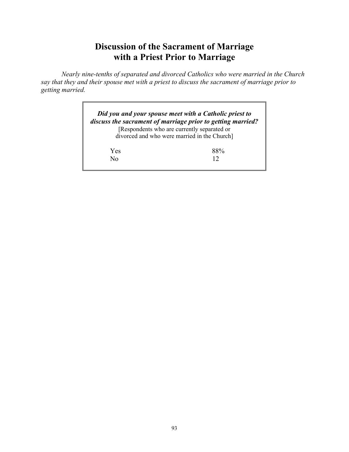# **Discussion of the Sacrament of Marriage with a Priest Prior to Marriage**

*Nearly nine-tenths of separated and divorced Catholics who were married in the Church say that they and their spouse met with a priest to discuss the sacrament of marriage prior to getting married.* 

|     | Did you and your spouse meet with a Catholic priest to<br>discuss the sacrament of marriage prior to getting married? |
|-----|-----------------------------------------------------------------------------------------------------------------------|
|     | [Respondents who are currently separated or                                                                           |
|     | divorced and who were married in the Church]                                                                          |
| Yes | $88\%$                                                                                                                |
| Nο  | 12                                                                                                                    |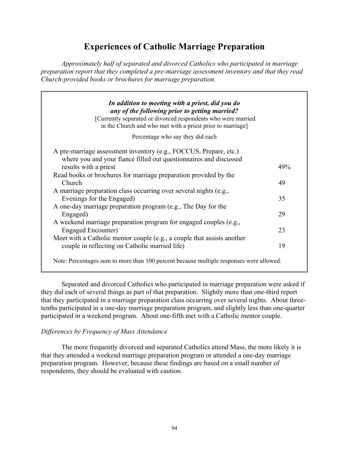# **Experiences of Catholic Marriage Preparation**

*Approximately half of separated and divorced Catholics who participated in marriage preparation report that they completed a pre-marriage assessment inventory and that they read Church-provided books or brochures for marriage preparation.* 

| any of the following prior to getting married?<br>[Currently separated or divorced respondents who were married |     |
|-----------------------------------------------------------------------------------------------------------------|-----|
| in the Church and who met with a priest prior to marriage]                                                      |     |
| Percentage who say they did each                                                                                |     |
| A pre-marriage assessment inventory (e.g., FOCCUS, Prepare, etc.)                                               |     |
| where you and your fiancé filled out questionnaires and discussed                                               |     |
| results with a priest                                                                                           | 49% |
| Read books or brochures for marriage preparation provided by the                                                |     |
| Church                                                                                                          | 49  |
| A marriage preparation class occurring over several nights (e.g.,                                               |     |
| Evenings for the Engaged)                                                                                       | 35  |
| A one-day marriage preparation program (e.g., The Day for the                                                   |     |
| Engaged)                                                                                                        | 29  |
| A weekend marriage preparation program for engaged couples (e.g.,                                               |     |
| <b>Engaged Encounter)</b>                                                                                       | 23  |
| Meet with a Catholic mentor couple (e.g., a couple that assists another                                         |     |
| couple in reflecting on Catholic married life)                                                                  | 19  |

 Separated and divorced Catholics who participated in marriage preparation were asked if they did each of several things as part of that preparation. Slightly more than one-third report that they participated in a marriage preparation class occurring over several nights. About threetenths participated in a one-day marriage preparation program, and slightly less than one-quarter participated in a weekend program. About one-fifth met with a Catholic mentor couple.

### *Differences by Frequency of Mass Attendance*

 The more frequently divorced and separated Catholics attend Mass, the more likely it is that they attended a weekend marriage preparation program or attended a one-day marriage preparation program. However, because these findings are based on a small number of respondents, they should be evaluated with caution.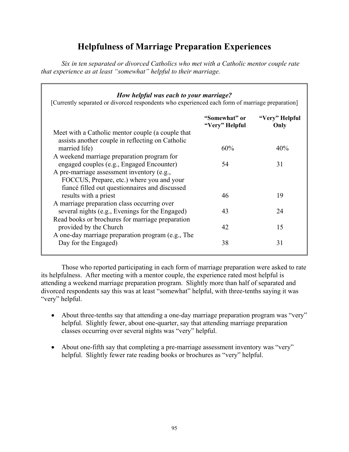# **Helpfulness of Marriage Preparation Experiences**

*Six in ten separated or divorced Catholics who met with a Catholic mentor couple rate that experience as at least "somewhat" helpful to their marriage.* 

### *How helpful was each to your marriage?*  [Currently separated or divorced respondents who experienced each form of marriage preparation] **"Somewhat" or "Very" Helpful "Very" Helpful Only**  Meet with a Catholic mentor couple (a couple that assists another couple in reflecting on Catholic married life)  $60\%$   $40\%$ A weekend marriage preparation program for engaged couples (e.g., Engaged Encounter) 54 31 A pre-marriage assessment inventory (e.g., FOCCUS, Prepare, etc.) where you and your fiancé filled out questionnaires and discussed results with a priest 19 A marriage preparation class occurring over several nights (e.g., Evenings for the Engaged) 43 24 Read books or brochures for marriage preparation provided by the Church 15 A one-day marriage preparation program (e.g., The Day for the Engaged) 38 31

 Those who reported participating in each form of marriage preparation were asked to rate its helpfulness. After meeting with a mentor couple, the experience rated most helpful is attending a weekend marriage preparation program. Slightly more than half of separated and divorced respondents say this was at least "somewhat" helpful, with three-tenths saying it was "very" helpful.

- About three-tenths say that attending a one-day marriage preparation program was "very" helpful. Slightly fewer, about one-quarter, say that attending marriage preparation classes occurring over several nights was "very" helpful.
- About one-fifth say that completing a pre-marriage assessment inventory was "very" helpful. Slightly fewer rate reading books or brochures as "very" helpful.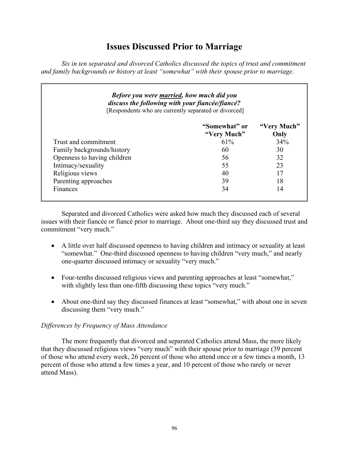## **Issues Discussed Prior to Marriage**

*Six in ten separated and divorced Catholics discussed the topics of trust and commitment and family backgrounds or history at least "somewhat" with their spouse prior to marriage.* 

| <b>Before you were married, how much did you</b><br>discuss the following with your fiancée/fiancé?<br>[Respondents who are currently separated or divorced] |                              |                     |  |  |
|--------------------------------------------------------------------------------------------------------------------------------------------------------------|------------------------------|---------------------|--|--|
|                                                                                                                                                              | "Somewhat" or<br>"Very Much" | "Very Much"<br>Only |  |  |
| Trust and commitment                                                                                                                                         | $61\%$                       | 34%                 |  |  |
| Family backgrounds/history                                                                                                                                   | 60                           | 30                  |  |  |
| Openness to having children                                                                                                                                  | 56                           | 32                  |  |  |
| Intimacy/sexuality                                                                                                                                           | 55                           | 23                  |  |  |
| Religious views                                                                                                                                              | 40                           | 17                  |  |  |
| Parenting approaches                                                                                                                                         | 39                           | 18                  |  |  |
| Finances                                                                                                                                                     | 34                           | 14                  |  |  |

 Separated and divorced Catholics were asked how much they discussed each of several issues with their fiancée or fiancé prior to marriage. About one-third say they discussed trust and commitment "very much."

- A little over half discussed openness to having children and intimacy or sexuality at least "somewhat." One-third discussed openness to having children "very much," and nearly one-quarter discussed intimacy or sexuality "very much."
- Four-tenths discussed religious views and parenting approaches at least "somewhat," with slightly less than one-fifth discussing these topics "very much."
- About one-third say they discussed finances at least "somewhat," with about one in seven discussing them "very much."

### *Differences by Frequency of Mass Attendance*

 The more frequently that divorced and separated Catholics attend Mass, the more likely that they discussed religious views "very much" with their spouse prior to marriage (39 percent of those who attend every week, 26 percent of those who attend once or a few times a month, 13 percent of those who attend a few times a year, and 10 percent of those who rarely or never attend Mass).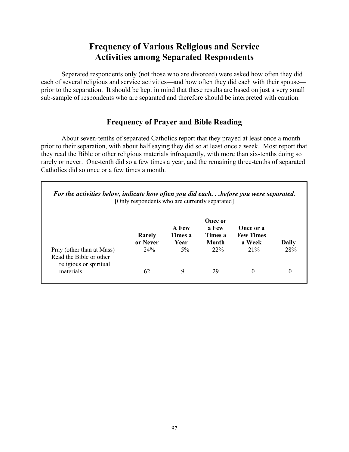## **Frequency of Various Religious and Service Activities among Separated Respondents**

 Separated respondents only (not those who are divorced) were asked how often they did each of several religious and service activities—and how often they did each with their spouse prior to the separation. It should be kept in mind that these results are based on just a very small sub-sample of respondents who are separated and therefore should be interpreted with caution.

## **Frequency of Prayer and Bible Reading**

 About seven-tenths of separated Catholics report that they prayed at least once a month prior to their separation, with about half saying they did so at least once a week. Most report that they read the Bible or other religious materials infrequently, with more than six-tenths doing so rarely or never. One-tenth did so a few times a year, and the remaining three-tenths of separated Catholics did so once or a few times a month.

| For the activities below, indicate how often you did eachbefore you were separated. | [Only respondents who are currently separated] |                          |                                      |                                         |          |
|-------------------------------------------------------------------------------------|------------------------------------------------|--------------------------|--------------------------------------|-----------------------------------------|----------|
|                                                                                     | Rarely<br>or Never                             | A Few<br>Times a<br>Year | Once or<br>a Few<br>Times a<br>Month | Once or a<br><b>Few Times</b><br>a Week | Daily    |
| Pray (other than at Mass)<br>Read the Bible or other<br>religious or spiritual      | 24%                                            | $5\%$                    | 22%                                  | 21%                                     | 28%      |
| materials                                                                           | 62                                             | 9                        | 29                                   | $\Omega$                                | $\theta$ |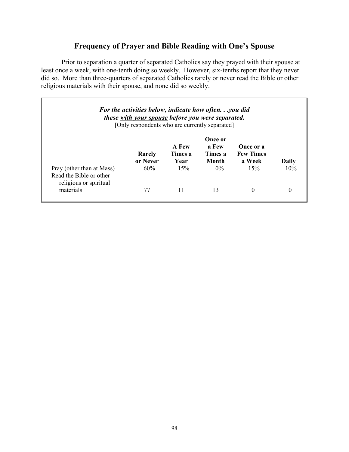## **Frequency of Prayer and Bible Reading with One's Spouse**

 Prior to separation a quarter of separated Catholics say they prayed with their spouse at least once a week, with one-tenth doing so weekly. However, six-tenths report that they never did so. More than three-quarters of separated Catholics rarely or never read the Bible or other religious materials with their spouse, and none did so weekly.

| <b>For the activities below, indicate how oftenyou did</b><br><i>these with your spouse before you were separated.</i><br>[Only respondents who are currently separated] |                    |                          |                                      |                                         |                 |
|--------------------------------------------------------------------------------------------------------------------------------------------------------------------------|--------------------|--------------------------|--------------------------------------|-----------------------------------------|-----------------|
|                                                                                                                                                                          | Rarely<br>or Never | A Few<br>Times a<br>Year | Once or<br>a Few<br>Times a<br>Month | Once or a<br><b>Few Times</b><br>a Week | Daily           |
| Pray (other than at Mass)<br>Read the Bible or other<br>religious or spiritual<br>materials                                                                              | 60%                | 15%                      | $0\%$<br>13                          | 15%<br>0                                | 10%<br>$\theta$ |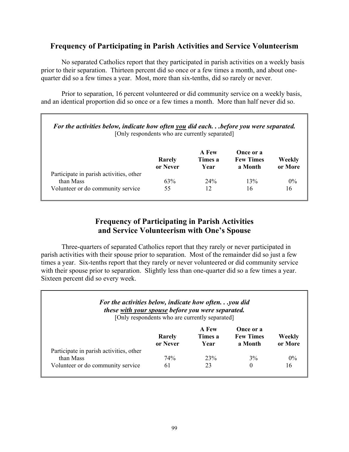## **Frequency of Participating in Parish Activities and Service Volunteerism**

 No separated Catholics report that they participated in parish activities on a weekly basis prior to their separation. Thirteen percent did so once or a few times a month, and about onequarter did so a few times a year. Most, more than six-tenths, did so rarely or never.

 Prior to separation, 16 percent volunteered or did community service on a weekly basis, and an identical proportion did so once or a few times a month. More than half never did so.

| For the activities below, indicate how often you did eachbefore you were separated.<br>[Only respondents who are currently separated] |                    |                          |                                          |                   |
|---------------------------------------------------------------------------------------------------------------------------------------|--------------------|--------------------------|------------------------------------------|-------------------|
|                                                                                                                                       | Rarely<br>or Never | A Few<br>Times a<br>Year | Once or a<br><b>Few Times</b><br>a Month | Weekly<br>or More |
| Participate in parish activities, other                                                                                               |                    |                          |                                          |                   |
| than Mass                                                                                                                             | 63%                | 24%                      | 13%                                      | $0\%$             |
| Volunteer or do community service                                                                                                     | 55                 | 12                       | 16                                       | 16                |

## **Frequency of Participating in Parish Activities and Service Volunteerism with One's Spouse**

 Three-quarters of separated Catholics report that they rarely or never participated in parish activities with their spouse prior to separation. Most of the remainder did so just a few times a year. Six-tenths report that they rarely or never volunteered or did community service with their spouse prior to separation. Slightly less than one-quarter did so a few times a year. Sixteen percent did so every week.

#### *For the activities below, indicate how often. . .you did these with your spouse before you were separated.* [Only respondents who are currently separated]

|                                                      | <b>Rarely</b><br>or Never | A Few<br>Times a<br>Year | Once or a<br><b>Few Times</b><br>a Month | Weekly<br>or More |
|------------------------------------------------------|---------------------------|--------------------------|------------------------------------------|-------------------|
| Participate in parish activities, other<br>than Mass | 74%                       | 23%                      | 3%                                       | $0\%$             |
| Volunteer or do community service                    | 61                        | 23                       |                                          | 16                |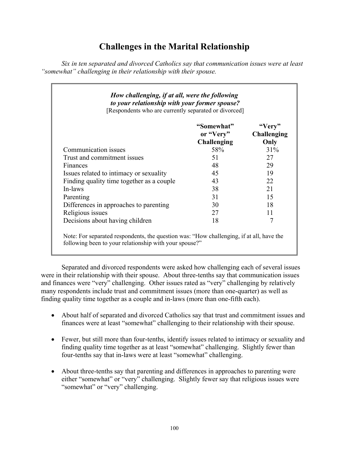# **Challenges in the Marital Relationship**

*Six in ten separated and divorced Catholics say that communication issues were at least "somewhat" challenging in their relationship with their spouse.* 

| How challenging, if at all, were the following<br>to your relationship with your former spouse?<br>[Respondents who are currently separated or divorced] |                                        |                                      |
|----------------------------------------------------------------------------------------------------------------------------------------------------------|----------------------------------------|--------------------------------------|
|                                                                                                                                                          | "Somewhat"<br>or "Very"<br>Challenging | "Very"<br><b>Challenging</b><br>Only |
| Communication issues                                                                                                                                     | 58%                                    | $31\%$                               |
| Trust and commitment issues                                                                                                                              | 51                                     | 27                                   |
| Finances                                                                                                                                                 | 48                                     | 29                                   |
| Issues related to intimacy or sexuality                                                                                                                  | 45                                     | 19                                   |
| Finding quality time together as a couple                                                                                                                | 43                                     | 22                                   |
| In-laws                                                                                                                                                  | 38                                     | 21                                   |
| Parenting                                                                                                                                                | 31                                     | 15                                   |
| Differences in approaches to parenting                                                                                                                   | 30                                     | 18                                   |
| Religious issues                                                                                                                                         | 27                                     | 11                                   |
| Decisions about having children                                                                                                                          | 18                                     | 7                                    |

 Note: For separated respondents, the question was: "How challenging, if at all, have the following been to your relationship with your spouse?"

 Separated and divorced respondents were asked how challenging each of several issues were in their relationship with their spouse. About three-tenths say that communication issues and finances were "very" challenging. Other issues rated as "very" challenging by relatively many respondents include trust and commitment issues (more than one-quarter) as well as finding quality time together as a couple and in-laws (more than one-fifth each).

- About half of separated and divorced Catholics say that trust and commitment issues and finances were at least "somewhat" challenging to their relationship with their spouse.
- Fewer, but still more than four-tenths, identify issues related to intimacy or sexuality and finding quality time together as at least "somewhat" challenging. Slightly fewer than four-tenths say that in-laws were at least "somewhat" challenging.
- About three-tenths say that parenting and differences in approaches to parenting were either "somewhat" or "very" challenging. Slightly fewer say that religious issues were "somewhat" or "very" challenging.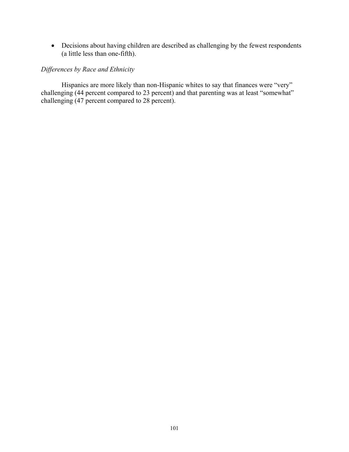• Decisions about having children are described as challenging by the fewest respondents (a little less than one-fifth).

### *Differences by Race and Ethnicity*

 Hispanics are more likely than non-Hispanic whites to say that finances were "very" challenging (44 percent compared to 23 percent) and that parenting was at least "somewhat" challenging (47 percent compared to 28 percent).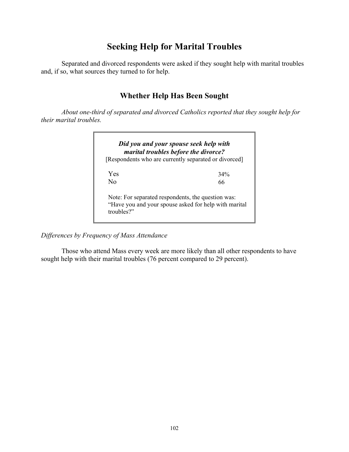## **Seeking Help for Marital Troubles**

 Separated and divorced respondents were asked if they sought help with marital troubles and, if so, what sources they turned to for help.

## **Whether Help Has Been Sought**

*About one-third of separated and divorced Catholics reported that they sought help for their marital troubles.* 



*Differences by Frequency of Mass Attendance* 

 Those who attend Mass every week are more likely than all other respondents to have sought help with their marital troubles (76 percent compared to 29 percent).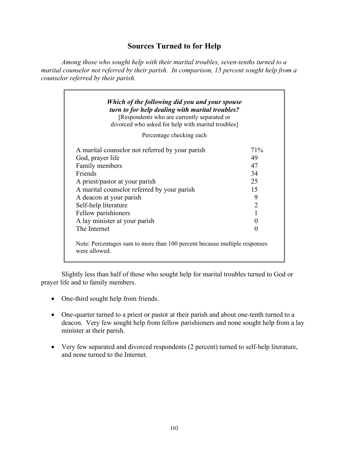## **Sources Turned to for Help**

*Among those who sought help with their marital troubles, seven-tenths turned to a marital counselor not referred by their parish. In comparison, 15 percent sought help from a counselor referred by their parish.* 

| [Respondents who are currently separated or<br>divorced who asked for help with marital troubles] |                   |
|---------------------------------------------------------------------------------------------------|-------------------|
| Percentage checking each                                                                          |                   |
| A marital counselor not referred by your parish                                                   | 71\%              |
| God, prayer life                                                                                  | 49                |
| Family members                                                                                    | 47                |
| Friends                                                                                           | 34                |
| A priest/pastor at your parish                                                                    | 25                |
| A marital counselor referred by your parish                                                       | 15                |
| A deacon at your parish                                                                           | 9                 |
| Self-help literature                                                                              | $\overline{2}$    |
| Fellow parishioners                                                                               |                   |
| A lay minister at your parish                                                                     | $\mathbf{\Omega}$ |
| The Internet                                                                                      | 0                 |

 Slightly less than half of those who sought help for marital troubles turned to God or prayer life and to family members.

- One-third sought help from friends.
- One-quarter turned to a priest or pastor at their parish and about one-tenth turned to a deacon. Very few sought help from fellow parishioners and none sought help from a lay minister at their parish.
- Very few separated and divorced respondents (2 percent) turned to self-help literature, and none turned to the Internet.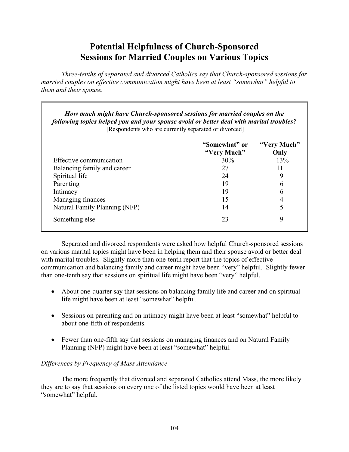## **Potential Helpfulness of Church-Sponsored Sessions for Married Couples on Various Topics**

 *Three-tenths of separated and divorced Catholics say that Church-sponsored sessions for married couples on effective communication might have been at least "somewhat" helpful to them and their spouse.* 

| How much might have Church-sponsored sessions for married couples on the<br>following topics helped you and your spouse avoid or better deal with marital troubles?<br>[Respondents who are currently separated or divorced] |                              |                     |  |  |
|------------------------------------------------------------------------------------------------------------------------------------------------------------------------------------------------------------------------------|------------------------------|---------------------|--|--|
|                                                                                                                                                                                                                              | "Somewhat" or<br>"Very Much" | "Very Much"<br>Only |  |  |
| Effective communication                                                                                                                                                                                                      | 30%                          | 13%                 |  |  |
| Balancing family and career                                                                                                                                                                                                  | 27                           | 11                  |  |  |
| Spiritual life                                                                                                                                                                                                               | 24                           | 9                   |  |  |
| Parenting                                                                                                                                                                                                                    | 19                           | 6                   |  |  |
| Intimacy                                                                                                                                                                                                                     | 19                           | 6                   |  |  |
| Managing finances                                                                                                                                                                                                            | 15                           | 4                   |  |  |
| Natural Family Planning (NFP)                                                                                                                                                                                                | 14                           | 5                   |  |  |
| Something else                                                                                                                                                                                                               | 23                           | 9                   |  |  |

 Separated and divorced respondents were asked how helpful Church-sponsored sessions on various marital topics might have been in helping them and their spouse avoid or better deal with marital troubles. Slightly more than one-tenth report that the topics of effective communication and balancing family and career might have been "very" helpful. Slightly fewer than one-tenth say that sessions on spiritual life might have been "very" helpful.

- About one-quarter say that sessions on balancing family life and career and on spiritual life might have been at least "somewhat" helpful.
- Sessions on parenting and on intimacy might have been at least "somewhat" helpful to about one-fifth of respondents.
- Fewer than one-fifth say that sessions on managing finances and on Natural Family Planning (NFP) might have been at least "somewhat" helpful.

### *Differences by Frequency of Mass Attendance*

 The more frequently that divorced and separated Catholics attend Mass, the more likely they are to say that sessions on every one of the listed topics would have been at least "somewhat" helpful.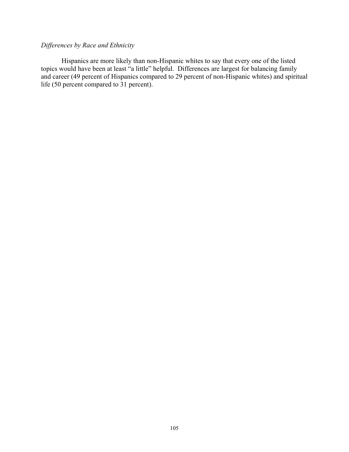## *Differences by Race and Ethnicity*

 Hispanics are more likely than non-Hispanic whites to say that every one of the listed topics would have been at least "a little" helpful. Differences are largest for balancing family and career (49 percent of Hispanics compared to 29 percent of non-Hispanic whites) and spiritual life (50 percent compared to 31 percent).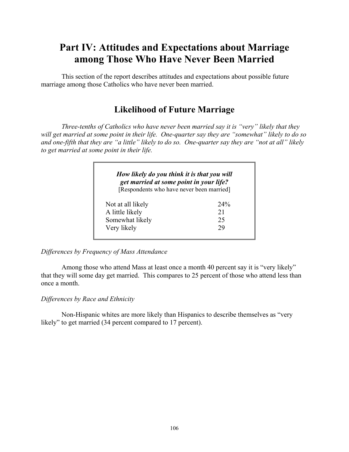# **Part IV: Attitudes and Expectations about Marriage among Those Who Have Never Been Married**

 This section of the report describes attitudes and expectations about possible future marriage among those Catholics who have never been married.

# **Likelihood of Future Marriage**

*Three-tenths of Catholics who have never been married say it is "very" likely that they will get married at some point in their life. One-quarter say they are "somewhat" likely to do so and one-fifth that they are "a little" likely to do so. One-quarter say they are "not at all" likely to get married at some point in their life.* 

| How likely do you think it is that you will<br>get married at some point in your life? |        |
|----------------------------------------------------------------------------------------|--------|
| [Respondents who have never been married]                                              |        |
| Not at all likely                                                                      | $24\%$ |
| A little likely                                                                        | 21     |
| Somewhat likely                                                                        | 25     |
| Very likely                                                                            | 29     |

*Differences by Frequency of Mass Attendance* 

 Among those who attend Mass at least once a month 40 percent say it is "very likely" that they will some day get married. This compares to 25 percent of those who attend less than once a month.

## *Differences by Race and Ethnicity*

 Non-Hispanic whites are more likely than Hispanics to describe themselves as "very likely" to get married (34 percent compared to 17 percent).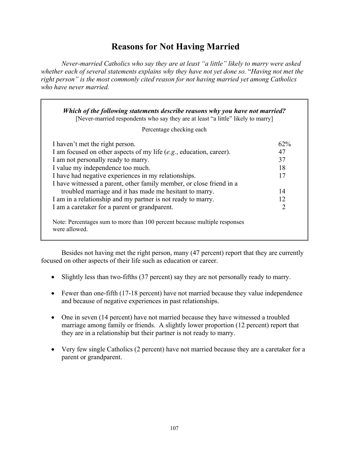## **Reasons for Not Having Married**

*Never-married Catholics who say they are at least "a little" likely to marry were asked whether each of several statements explains why they have not yet done so.* "*Having not met the right person" is the most commonly cited reason for not having married yet among Catholics who have never married.* 

| Percentage checking each                                               |                |
|------------------------------------------------------------------------|----------------|
| I haven't met the right person.                                        | $62\%$         |
| I am focused on other aspects of my life $(e.g.,)$ education, career). | 47             |
| I am not personally ready to marry.                                    | 37             |
| I value my independence too much.                                      | 18             |
| I have had negative experiences in my relationships.                   | 17             |
| I have witnessed a parent, other family member, or close friend in a   |                |
| troubled marriage and it has made me hesitant to marry.                | 14             |
| I am in a relationship and my partner is not ready to marry.           | 12             |
| I am a caretaker for a parent or grandparent.                          | $\overline{2}$ |

 Besides not having met the right person, many (47 percent) report that they are currently focused on other aspects of their life such as education or career.

- Slightly less than two-fifths (37 percent) say they are not personally ready to marry.
- Fewer than one-fifth (17-18 percent) have not married because they value independence and because of negative experiences in past relationships.
- One in seven (14 percent) have not married because they have witnessed a troubled marriage among family or friends. A slightly lower proportion (12 percent) report that they are in a relationship but their partner is not ready to marry.
- Very few single Catholics (2 percent) have not married because they are a caretaker for a parent or grandparent.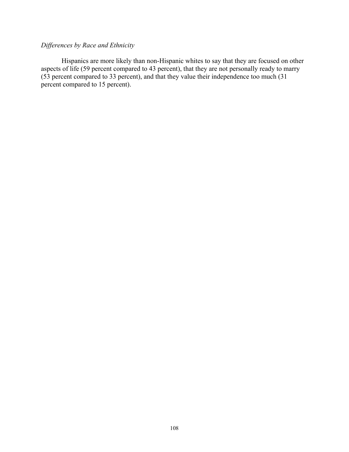## *Differences by Race and Ethnicity*

 Hispanics are more likely than non-Hispanic whites to say that they are focused on other aspects of life (59 percent compared to 43 percent), that they are not personally ready to marry (53 percent compared to 33 percent), and that they value their independence too much (31 percent compared to 15 percent).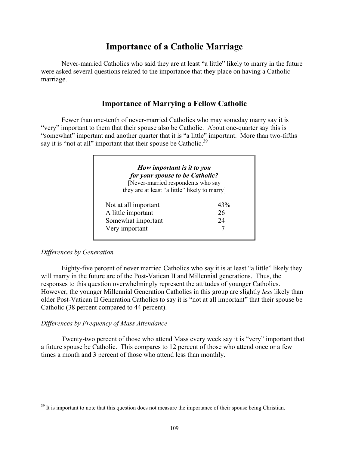## **Importance of a Catholic Marriage**

 Never-married Catholics who said they are at least "a little" likely to marry in the future were asked several questions related to the importance that they place on having a Catholic marriage.

## **Importance of Marrying a Fellow Catholic**

 Fewer than one-tenth of never-married Catholics who may someday marry say it is "very" important to them that their spouse also be Catholic. About one-quarter say this is "somewhat" important and another quarter that it is "a little" important. More than two-fifths say it is "not at all" important that their spouse be Catholic.<sup>39</sup>

| How important is it to you<br>for your spouse to be Catholic?<br>[Never-married respondents who say |     |
|-----------------------------------------------------------------------------------------------------|-----|
| they are at least "a little" likely to marry]                                                       |     |
| Not at all important                                                                                | 43% |
| A little important                                                                                  | 26  |
| Somewhat important                                                                                  | 24  |
| Very important                                                                                      |     |

## *Differences by Generation*

 $\overline{a}$ 

 Eighty-five percent of never married Catholics who say it is at least "a little" likely they will marry in the future are of the Post-Vatican II and Millennial generations. Thus, the responses to this question overwhelmingly represent the attitudes of younger Catholics. However, the younger Millennial Generation Catholics in this group are slightly *less* likely than older Post-Vatican II Generation Catholics to say it is "not at all important" that their spouse be Catholic (38 percent compared to 44 percent).

#### *Differences by Frequency of Mass Attendance*

Twenty-two percent of those who attend Mass every week say it is "very" important that a future spouse be Catholic. This compares to 12 percent of those who attend once or a few times a month and 3 percent of those who attend less than monthly.

<sup>&</sup>lt;sup>39</sup> It is important to note that this question does not measure the importance of their spouse being Christian.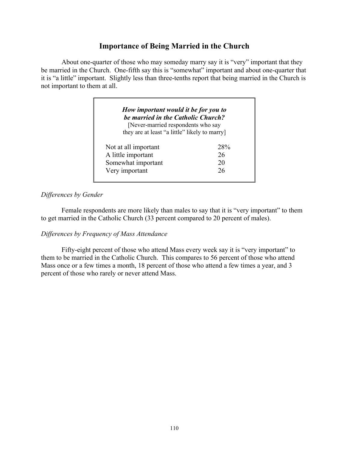## **Importance of Being Married in the Church**

 About one-quarter of those who may someday marry say it is "very" important that they be married in the Church. One-fifth say this is "somewhat" important and about one-quarter that it is "a little" important. Slightly less than three-tenths report that being married in the Church is not important to them at all.

| How important would it be for you to<br>be married in the Catholic Church?<br>[Never-married respondents who say |     |
|------------------------------------------------------------------------------------------------------------------|-----|
| they are at least "a little" likely to marry                                                                     |     |
| Not at all important                                                                                             | 28% |
| A little important                                                                                               | 26  |
| Somewhat important                                                                                               | 20  |
| Very important                                                                                                   | 26  |

#### *Differences by Gender*

 Female respondents are more likely than males to say that it is "very important" to them to get married in the Catholic Church (33 percent compared to 20 percent of males).

#### *Differences by Frequency of Mass Attendance*

 Fifty-eight percent of those who attend Mass every week say it is "very important" to them to be married in the Catholic Church. This compares to 56 percent of those who attend Mass once or a few times a month, 18 percent of those who attend a few times a year, and 3 percent of those who rarely or never attend Mass.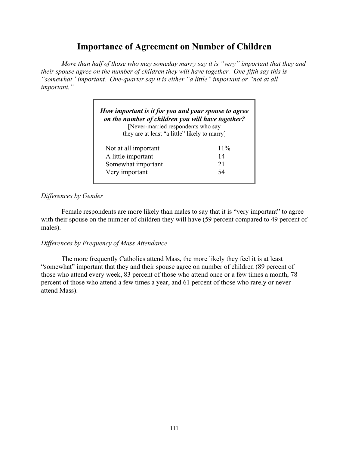## **Importance of Agreement on Number of Children**

*More than half of those who may someday marry say it is "very" important that they and their spouse agree on the number of children they will have together. One-fifth say this is "somewhat" important. One-quarter say it is either "a little" important or "not at all important."* 

| How important is it for you and your spouse to agree<br>on the number of children you will have together?<br>[Never-married respondents who say<br>they are at least "a little" likely to marry |        |
|-------------------------------------------------------------------------------------------------------------------------------------------------------------------------------------------------|--------|
| Not at all important                                                                                                                                                                            | $11\%$ |
| A little important                                                                                                                                                                              | 14     |
| Somewhat important                                                                                                                                                                              | 21     |
| Very important                                                                                                                                                                                  | 54     |

## *Differences by Gender*

Female respondents are more likely than males to say that it is "very important" to agree with their spouse on the number of children they will have (59 percent compared to 49 percent of males).

### *Differences by Frequency of Mass Attendance*

 The more frequently Catholics attend Mass, the more likely they feel it is at least "somewhat" important that they and their spouse agree on number of children (89 percent of those who attend every week, 83 percent of those who attend once or a few times a month, 78 percent of those who attend a few times a year, and 61 percent of those who rarely or never attend Mass).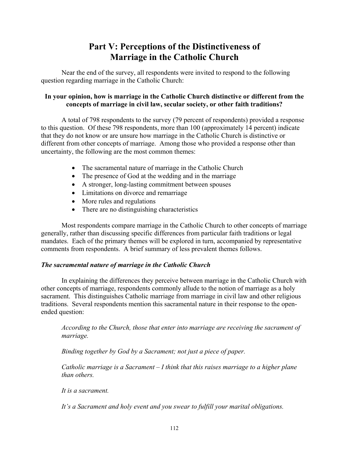## **Part V: Perceptions of the Distinctiveness of Marriage in the Catholic Church**

Near the end of the survey, all respondents were invited to respond to the following question regarding marriage in the Catholic Church:

## **In your opinion, how is marriage in the Catholic Church distinctive or different from the concepts of marriage in civil law, secular society, or other faith traditions?**

A total of 798 respondents to the survey (79 percent of respondents) provided a response to this question. Of these 798 respondents, more than 100 (approximately 14 percent) indicate that they do not know or are unsure how marriage in the Catholic Church is distinctive or different from other concepts of marriage. Among those who provided a response other than uncertainty, the following are the most common themes:

- The sacramental nature of marriage in the Catholic Church
- The presence of God at the wedding and in the marriage
- A stronger, long-lasting commitment between spouses
- Limitations on divorce and remarriage
- More rules and regulations
- There are no distinguishing characteristics

Most respondents compare marriage in the Catholic Church to other concepts of marriage generally, rather than discussing specific differences from particular faith traditions or legal mandates. Each of the primary themes will be explored in turn, accompanied by representative comments from respondents. A brief summary of less prevalent themes follows.

## *The sacramental nature of marriage in the Catholic Church*

In explaining the differences they perceive between marriage in the Catholic Church with other concepts of marriage, respondents commonly allude to the notion of marriage as a holy sacrament. This distinguishes Catholic marriage from marriage in civil law and other religious traditions. Several respondents mention this sacramental nature in their response to the openended question:

*According to the Church, those that enter into marriage are receiving the sacrament of marriage.* 

*Binding together by God by a Sacrament; not just a piece of paper.* 

*Catholic marriage is a Sacrament – I think that this raises marriage to a higher plane than others.* 

*It is a sacrament.* 

*It's a Sacrament and holy event and you swear to fulfill your marital obligations.*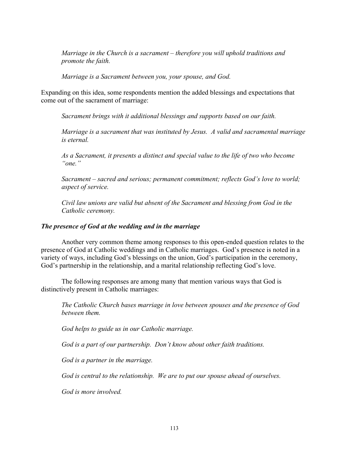*Marriage in the Church is a sacrament – therefore you will uphold traditions and promote the faith.* 

*Marriage is a Sacrament between you, your spouse, and God.* 

Expanding on this idea, some respondents mention the added blessings and expectations that come out of the sacrament of marriage:

*Sacrament brings with it additional blessings and supports based on our faith.* 

*Marriage is a sacrament that was instituted by Jesus. A valid and sacramental marriage is eternal.* 

*As a Sacrament, it presents a distinct and special value to the life of two who become "one."* 

*Sacrament – sacred and serious; permanent commitment; reflects God's love to world; aspect of service.* 

*Civil law unions are valid but absent of the Sacrament and blessing from God in the Catholic ceremony.* 

### *The presence of God at the wedding and in the marriage*

 Another very common theme among responses to this open-ended question relates to the presence of God at Catholic weddings and in Catholic marriages. God's presence is noted in a variety of ways, including God's blessings on the union, God's participation in the ceremony, God's partnership in the relationship, and a marital relationship reflecting God's love.

The following responses are among many that mention various ways that God is distinctively present in Catholic marriages:

*The Catholic Church bases marriage in love between spouses and the presence of God between them.* 

*God helps to guide us in our Catholic marriage.* 

*God is a part of our partnership. Don't know about other faith traditions.* 

*God is a partner in the marriage.* 

*God is central to the relationship. We are to put our spouse ahead of ourselves.* 

*God is more involved.*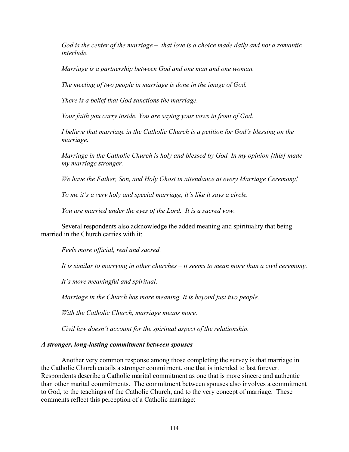*God is the center of the marriage – that love is a choice made daily and not a romantic interlude.* 

*Marriage is a partnership between God and one man and one woman.* 

*The meeting of two people in marriage is done in the image of God.* 

*There is a belief that God sanctions the marriage.* 

*Your faith you carry inside. You are saying your vows in front of God.* 

*I believe that marriage in the Catholic Church is a petition for God's blessing on the marriage.* 

*Marriage in the Catholic Church is holy and blessed by God. In my opinion [this] made my marriage stronger.* 

*We have the Father, Son, and Holy Ghost in attendance at every Marriage Ceremony!* 

*To me it's a very holy and special marriage, it's like it says a circle.* 

*You are married under the eyes of the Lord. It is a sacred vow.* 

Several respondents also acknowledge the added meaning and spirituality that being married in the Church carries with it:

*Feels more official, real and sacred.* 

*It is similar to marrying in other churches – it seems to mean more than a civil ceremony.* 

*It's more meaningful and spiritual.* 

*Marriage in the Church has more meaning. It is beyond just two people.* 

*With the Catholic Church, marriage means more.* 

*Civil law doesn't account for the spiritual aspect of the relationship.* 

#### *A stronger, long-lasting commitment between spouses*

 Another very common response among those completing the survey is that marriage in the Catholic Church entails a stronger commitment, one that is intended to last forever. Respondents describe a Catholic marital commitment as one that is more sincere and authentic than other marital commitments. The commitment between spouses also involves a commitment to God, to the teachings of the Catholic Church, and to the very concept of marriage. These comments reflect this perception of a Catholic marriage: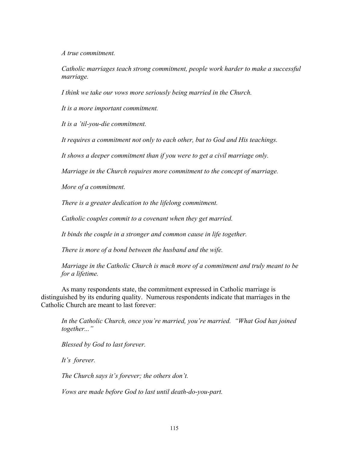*A true commitment.* 

*Catholic marriages teach strong commitment, people work harder to make a successful marriage.* 

*I think we take our vows more seriously being married in the Church.* 

*It is a more important commitment.* 

*It is a 'til-you-die commitment.* 

*It requires a commitment not only to each other, but to God and His teachings.* 

*It shows a deeper commitment than if you were to get a civil marriage only.* 

*Marriage in the Church requires more commitment to the concept of marriage.* 

*More of a commitment.* 

*There is a greater dedication to the lifelong commitment.* 

*Catholic couples commit to a covenant when they get married.* 

*It binds the couple in a stronger and common cause in life together.* 

*There is more of a bond between the husband and the wife.* 

*Marriage in the Catholic Church is much more of a commitment and truly meant to be for a lifetime.* 

As many respondents state, the commitment expressed in Catholic marriage is distinguished by its enduring quality. Numerous respondents indicate that marriages in the Catholic Church are meant to last forever:

*In the Catholic Church, once you're married, you're married. "What God has joined together..."* 

*Blessed by God to last forever.* 

*It's forever.* 

*The Church says it's forever; the others don't.* 

*Vows are made before God to last until death-do-you-part.*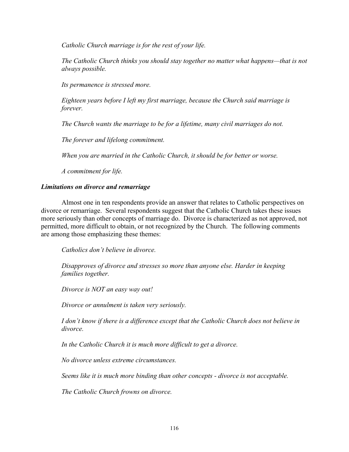*Catholic Church marriage is for the rest of your life.* 

*The Catholic Church thinks you should stay together no matter what happens—that is not always possible.* 

*Its permanence is stressed more.* 

*Eighteen years before I left my first marriage, because the Church said marriage is forever.* 

*The Church wants the marriage to be for a lifetime, many civil marriages do not.* 

*The forever and lifelong commitment.* 

*When you are married in the Catholic Church, it should be for better or worse.* 

*A commitment for life.* 

#### *Limitations on divorce and remarriage*

 Almost one in ten respondents provide an answer that relates to Catholic perspectives on divorce or remarriage. Several respondents suggest that the Catholic Church takes these issues more seriously than other concepts of marriage do. Divorce is characterized as not approved, not permitted, more difficult to obtain, or not recognized by the Church. The following comments are among those emphasizing these themes:

*Catholics don't believe in divorce.* 

*Disapproves of divorce and stresses so more than anyone else. Harder in keeping families together.* 

*Divorce is NOT an easy way out!* 

*Divorce or annulment is taken very seriously.* 

*I don't know if there is a difference except that the Catholic Church does not believe in divorce.* 

*In the Catholic Church it is much more difficult to get a divorce.* 

*No divorce unless extreme circumstances.* 

*Seems like it is much more binding than other concepts - divorce is not acceptable.* 

*The Catholic Church frowns on divorce.*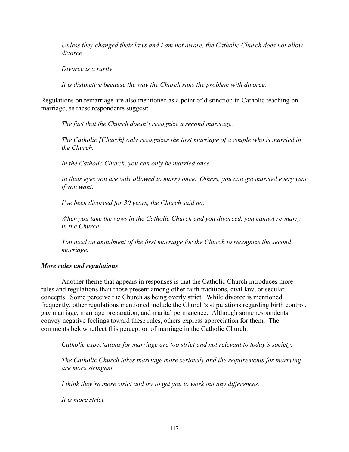*Unless they changed their laws and I am not aware, the Catholic Church does not allow divorce.* 

*Divorce is a rarity.* 

*It is distinctive because the way the Church runs the problem with divorce.* 

Regulations on remarriage are also mentioned as a point of distinction in Catholic teaching on marriage, as these respondents suggest:

*The fact that the Church doesn't recognize a second marriage.* 

*The Catholic [Church] only recognizes the first marriage of a couple who is married in the Church.* 

*In the Catholic Church, you can only be married once.* 

*In their eyes you are only allowed to marry once. Others, you can get married every year if you want.* 

*I've been divorced for 30 years, the Church said no.* 

*When you take the vows in the Catholic Church and you divorced, you cannot re-marry in the Church.* 

*You need an annulment of the first marriage for the Church to recognize the second marriage.* 

#### *More rules and regulations*

 Another theme that appears in responses is that the Catholic Church introduces more rules and regulations than those present among other faith traditions, civil law, or secular concepts. Some perceive the Church as being overly strict. While divorce is mentioned frequently, other regulations mentioned include the Church's stipulations regarding birth control, gay marriage, marriage preparation, and marital permanence. Although some respondents convey negative feelings toward these rules, others express appreciation for them. The comments below reflect this perception of marriage in the Catholic Church:

*Catholic expectations for marriage are too strict and not relevant to today's society.* 

*The Catholic Church takes marriage more seriously and the requirements for marrying are more stringent.* 

*I think they're more strict and try to get you to work out any differences.* 

*It is more strict.*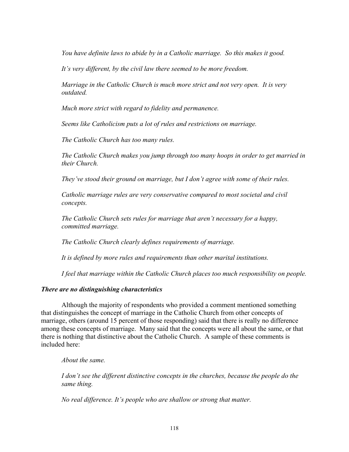*You have definite laws to abide by in a Catholic marriage. So this makes it good.* 

*It's very different, by the civil law there seemed to be more freedom.* 

*Marriage in the Catholic Church is much more strict and not very open. It is very outdated.* 

*Much more strict with regard to fidelity and permanence.* 

*Seems like Catholicism puts a lot of rules and restrictions on marriage.* 

*The Catholic Church has too many rules.* 

*The Catholic Church makes you jump through too many hoops in order to get married in their Church.* 

*They've stood their ground on marriage, but I don't agree with some of their rules.* 

*Catholic marriage rules are very conservative compared to most societal and civil concepts.* 

*The Catholic Church sets rules for marriage that aren't necessary for a happy, committed marriage.* 

*The Catholic Church clearly defines requirements of marriage.* 

*It is defined by more rules and requirements than other marital institutions.* 

*I feel that marriage within the Catholic Church places too much responsibility on people.* 

#### *There are no distinguishing characteristics*

 Although the majority of respondents who provided a comment mentioned something that distinguishes the concept of marriage in the Catholic Church from other concepts of marriage, others (around 15 percent of those responding) said that there is really no difference among these concepts of marriage. Many said that the concepts were all about the same, or that there is nothing that distinctive about the Catholic Church. A sample of these comments is included here:

*About the same.* 

*I don't see the different distinctive concepts in the churches, because the people do the same thing.* 

*No real difference. It's people who are shallow or strong that matter.*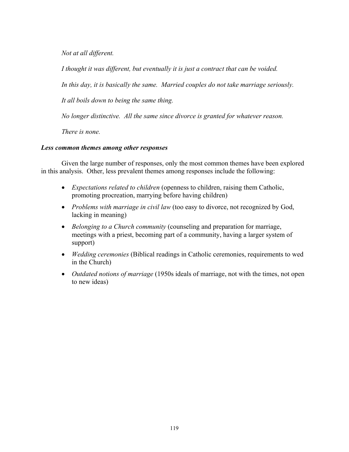*Not at all different.* 

*I thought it was different, but eventually it is just a contract that can be voided.* 

*In this day, it is basically the same. Married couples do not take marriage seriously.* 

*It all boils down to being the same thing.* 

*No longer distinctive. All the same since divorce is granted for whatever reason.* 

*There is none.* 

### *Less common themes among other responses*

 Given the large number of responses, only the most common themes have been explored in this analysis. Other, less prevalent themes among responses include the following:

- *Expectations related to children* (openness to children, raising them Catholic, promoting procreation, marrying before having children)
- *Problems with marriage in civil law* (too easy to divorce, not recognized by God, lacking in meaning)
- *Belonging to a Church community* (counseling and preparation for marriage, meetings with a priest, becoming part of a community, having a larger system of support)
- *Wedding ceremonies* (Biblical readings in Catholic ceremonies, requirements to wed in the Church)
- *Outdated notions of marriage* (1950s ideals of marriage, not with the times, not open to new ideas)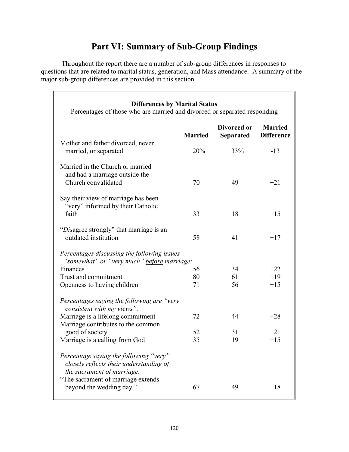# **Part VI: Summary of Sub-Group Findings**

 Throughout the report there are a number of sub-group differences in responses to questions that are related to marital status, generation, and Mass attendance. A summary of the major sub-group differences are provided in this section

| <b>Differences by Marital Status</b><br>Percentages of those who are married and divorced or separated responding                                     |                |                          |                                     |
|-------------------------------------------------------------------------------------------------------------------------------------------------------|----------------|--------------------------|-------------------------------------|
|                                                                                                                                                       | <b>Married</b> | Divorced or<br>Separated | <b>Married</b><br><b>Difference</b> |
| Mother and father divorced, never<br>married, or separated                                                                                            | 20%            | 33%                      | $-13$                               |
| Married in the Church or married<br>and had a marriage outside the<br>Church convalidated                                                             | 70             | 49                       | $+21$                               |
| Say their view of marriage has been<br>"very" informed by their Catholic<br>faith                                                                     | 33             | 18                       | $+15$                               |
| "Disagree strongly" that marriage is an<br>outdated institution                                                                                       | 58             | 41                       | $+17$                               |
| Percentages discussing the following issues<br>"somewhat" or "very much" before marriage:                                                             |                |                          |                                     |
| Finances                                                                                                                                              | 56             | 34                       | $+22$                               |
| Trust and commitment                                                                                                                                  | 80             | 61                       | $+19$                               |
| Openness to having children                                                                                                                           | 71             | 56                       | $+15$                               |
| Percentages saying the following are "very"<br>consistent with my views":                                                                             |                |                          |                                     |
| Marriage is a lifelong commitment<br>Marriage contributes to the common                                                                               | 72             | 44                       | $+28$                               |
| good of society                                                                                                                                       | 52             | 31                       | $+21$                               |
| Marriage is a calling from God                                                                                                                        | 35             | 19                       | $+15$                               |
| Percentage saying the following "very"<br>closely reflects their understanding of<br>the sacrament of marriage:<br>"The sacrament of marriage extends |                |                          |                                     |
| beyond the wedding day."                                                                                                                              | 67             | 49                       | $+18$                               |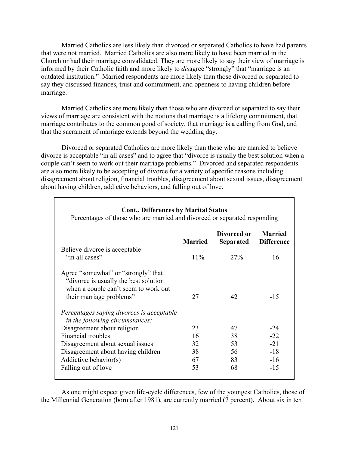Married Catholics are less likely than divorced or separated Catholics to have had parents that were not married. Married Catholics are also more likely to have been married in the Church or had their marriage convalidated. They are more likely to say their view of marriage is informed by their Catholic faith and more likely to *dis*agree "strongly" that "marriage is an outdated institution." Married respondents are more likely than those divorced or separated to say they discussed finances, trust and commitment, and openness to having children before marriage.

Married Catholics are more likely than those who are divorced or separated to say their views of marriage are consistent with the notions that marriage is a lifelong commitment, that marriage contributes to the common good of society, that marriage is a calling from God, and that the sacrament of marriage extends beyond the wedding day.

 Divorced or separated Catholics are more likely than those who are married to believe divorce is acceptable "in all cases" and to agree that "divorce is usually the best solution when a couple can't seem to work out their marriage problems." Divorced and separated respondents are also more likely to be accepting of divorce for a variety of specific reasons including disagreement about religion, financial troubles, disagreement about sexual issues, disagreement about having children, addictive behaviors, and falling out of love.

| <b>Cont., Differences by Marital Status</b><br>Percentages of those who are married and divorced or separated responding                          |                |                          |                                     |
|---------------------------------------------------------------------------------------------------------------------------------------------------|----------------|--------------------------|-------------------------------------|
|                                                                                                                                                   | <b>Married</b> | Divorced or<br>Separated | <b>Married</b><br><b>Difference</b> |
| Believe divorce is acceptable<br>"in all cases"                                                                                                   | $11\%$         | 27%                      | $-16$                               |
| Agree "somewhat" or "strongly" that<br>"divorce is usually the best solution"<br>when a couple can't seem to work out<br>their marriage problems" | 27             | 42                       | $-15$                               |
| Percentages saying divorces is acceptable<br><i>in the following circumstances:</i>                                                               |                |                          |                                     |
| Disagreement about religion                                                                                                                       | 23             | 47                       | $-24$                               |
| Financial troubles                                                                                                                                | 16             | 38                       | $-22$                               |
| Disagreement about sexual issues                                                                                                                  | 32             | 53                       | $-21$                               |
| Disagreement about having children                                                                                                                | 38             | 56                       | $-18$                               |
| Addictive behavior(s)                                                                                                                             | 67             | 83                       | $-16$                               |
| Falling out of love                                                                                                                               | 53             | 68                       | $-15$                               |

 As one might expect given life-cycle differences, few of the youngest Catholics, those of the Millennial Generation (born after 1981), are currently married (7 percent). About six in ten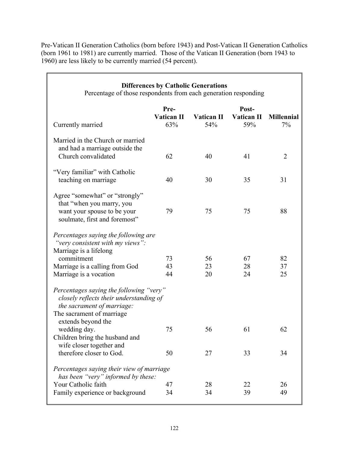Pre-Vatican II Generation Catholics (born before 1943) and Post-Vatican II Generation Catholics (born 1961 to 1981) are currently married. Those of the Vatican II Generation (born 1943 to 1960) are less likely to be currently married (54 percent).

 $\mathsf{r}$ 

| Percentage of those respondents from each generation responding                                                                                    | <b>Differences by Catholic Generations</b> |                          |                            |                         |
|----------------------------------------------------------------------------------------------------------------------------------------------------|--------------------------------------------|--------------------------|----------------------------|-------------------------|
| Currently married                                                                                                                                  | Pre-<br>Vatican II<br>63%                  | <b>Vatican II</b><br>54% | Post-<br>Vatican II<br>59% | <b>Millennial</b><br>7% |
| Married in the Church or married<br>and had a marriage outside the<br>Church convalidated                                                          | 62                                         | 40                       | 41                         | $\overline{2}$          |
| "Very familiar" with Catholic<br>teaching on marriage                                                                                              | 40                                         | 30                       | 35                         | 31                      |
| Agree "somewhat" or "strongly"<br>that "when you marry, you<br>want your spouse to be your<br>soulmate, first and foremost"                        | 79                                         | 75                       | 75                         | 88                      |
| Percentages saying the following are<br>"very consistent with my views":<br>Marriage is a lifelong<br>commitment<br>Marriage is a calling from God | 73<br>43                                   | 56<br>23                 | 67<br>28                   | 82<br>37                |
| Marriage is a vocation<br>Percentages saying the following "very"<br>closely reflects their understanding of                                       | 44                                         | 20                       | 24                         | 25                      |
| the sacrament of marriage:<br>The sacrament of marriage<br>extends beyond the<br>wedding day.                                                      | 75                                         | 56                       | 61                         | 62                      |
| Children bring the husband and<br>wife closer together and<br>therefore closer to God.                                                             | 50                                         | 27                       | 33                         | 34                      |
| Percentages saying their view of marriage<br>has been "very" informed by these:<br>Your Catholic faith<br>Family experience or background          | 47<br>34                                   | 28<br>34                 | 22<br>39                   | 26<br>49                |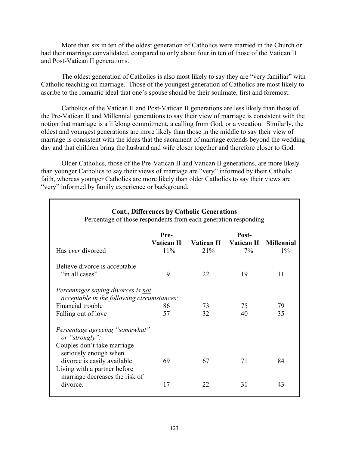More than six in ten of the oldest generation of Catholics were married in the Church or had their marriage convalidated, compared to only about four in ten of those of the Vatican II and Post-Vatican II generations.

The oldest generation of Catholics is also most likely to say they are "very familiar" with Catholic teaching on marriage. Those of the youngest generation of Catholics are most likely to ascribe to the romantic ideal that one's spouse should be their soulmate, first and foremost.

 Catholics of the Vatican II and Post-Vatican II generations are less likely than those of the Pre-Vatican II and Millennial generations to say their view of marriage is consistent with the notion that marriage is a lifelong commitment, a calling from God, or a vocation. Similarly, the oldest and youngest generations are more likely than those in the middle to say their view of marriage is consistent with the ideas that the sacrament of marriage extends beyond the wedding day and that children bring the husband and wife closer together and therefore closer to God.

 Older Catholics, those of the Pre-Vatican II and Vatican II generations, are more likely than younger Catholics to say their views of marriage are "very" informed by their Catholic faith, whereas younger Catholics are more likely than older Catholics to say their views are "very" informed by family experience or background.

| <b>Cont., Differences by Catholic Generations</b><br>Percentage of those respondents from each generation responding                     |                           |                          |                           |                            |
|------------------------------------------------------------------------------------------------------------------------------------------|---------------------------|--------------------------|---------------------------|----------------------------|
| Has <i>ever</i> divorced                                                                                                                 | Pre-<br>Vatican II<br>11% | <b>Vatican II</b><br>21% | Post-<br>Vatican II<br>7% | <b>Millennial</b><br>$1\%$ |
| Believe divorce is acceptable<br>"in all cases"                                                                                          | 9                         | 22                       | 19                        | 11                         |
| Percentages saying divorces is not<br><i>acceptable in the following circumstances:</i><br>Financial trouble<br>Falling out of love      | 86<br>57                  | 73<br>32                 | 75<br>40                  | 79<br>35                   |
| Percentage agreeing "somewhat"<br>or "strongly":<br>Couples don't take marriage<br>seriously enough when<br>divorce is easily available. | 69                        | 67                       | 71                        | 84                         |
| Living with a partner before<br>marriage decreases the risk of<br>divorce.                                                               | 17                        | 22                       | 31                        | 43                         |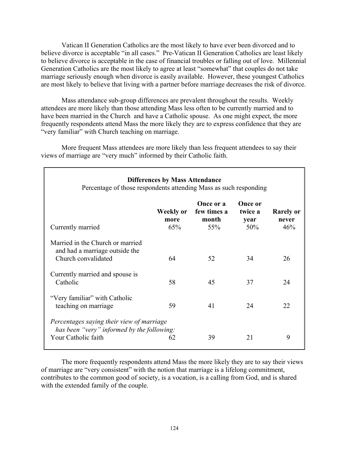Vatican II Generation Catholics are the most likely to have ever been divorced and to believe divorce is acceptable "in all cases." Pre-Vatican II Generation Catholics are least likely to believe divorce is acceptable in the case of financial troubles or falling out of love. Millennial Generation Catholics are the most likely to agree at least "somewhat" that couples do not take marriage seriously enough when divorce is easily available. However, these youngest Catholics are most likely to believe that living with a partner before marriage decreases the risk of divorce.

Mass attendance sub-group differences are prevalent throughout the results. Weekly attendees are more likely than those attending Mass less often to be currently married and to have been married in the Church and have a Catholic spouse. As one might expect, the more frequently respondents attend Mass the more likely they are to express confidence that they are "very familiar" with Church teaching on marriage.

More frequent Mass attendees are more likely than less frequent attendees to say their views of marriage are "very much" informed by their Catholic faith.

| <b>Differences by Mass Attendance</b><br>Percentage of those respondents attending Mass as such responding     |                          |                                          |                                          |                                  |
|----------------------------------------------------------------------------------------------------------------|--------------------------|------------------------------------------|------------------------------------------|----------------------------------|
| Currently married                                                                                              | Weekly or<br>more<br>65% | Once or a<br>few times a<br>month<br>55% | <b>Once or</b><br>twice a<br>year<br>50% | <b>Rarely or</b><br>never<br>46% |
| Married in the Church or married<br>and had a marriage outside the<br>Church convalidated                      | 64                       | 52                                       | 34                                       | 26                               |
| Currently married and spouse is<br>Catholic                                                                    | 58                       | 45                                       | 37                                       | 24                               |
| "Very familiar" with Catholic<br>teaching on marriage                                                          | 59                       | 41                                       | 24                                       | 22                               |
| Percentages saying their view of marriage<br>has been "very" informed by the following:<br>Your Catholic faith | 62                       | 39                                       | 21                                       | 9                                |

The more frequently respondents attend Mass the more likely they are to say their views of marriage are "very consistent" with the notion that marriage is a lifelong commitment, contributes to the common good of society, is a vocation, is a calling from God, and is shared with the extended family of the couple.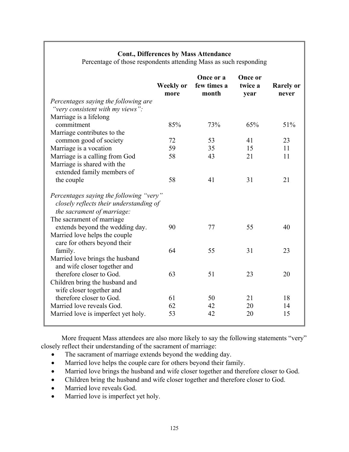## **Cont., Differences by Mass Attendance**

Percentage of those respondents attending Mass as such responding

|                                                                                                                                               | <b>Weekly or</b><br>more | Once or a<br>few times a<br>month | Once or<br>twice a<br>year | <b>Rarely or</b><br>never |
|-----------------------------------------------------------------------------------------------------------------------------------------------|--------------------------|-----------------------------------|----------------------------|---------------------------|
| Percentages saying the following are                                                                                                          |                          |                                   |                            |                           |
| "very consistent with my views":                                                                                                              |                          |                                   |                            |                           |
| Marriage is a lifelong                                                                                                                        |                          |                                   |                            |                           |
| commitment                                                                                                                                    | 85%                      | 73%                               | 65%                        | 51%                       |
| Marriage contributes to the                                                                                                                   |                          |                                   |                            |                           |
| common good of society                                                                                                                        | 72                       | 53                                | 41                         | 23                        |
| Marriage is a vocation                                                                                                                        | 59                       | 35                                | 15                         | 11                        |
| Marriage is a calling from God                                                                                                                | 58                       | 43                                | 21                         | 11                        |
| Marriage is shared with the<br>extended family members of                                                                                     |                          |                                   |                            |                           |
| the couple                                                                                                                                    | 58                       | 41                                | 31                         | 21                        |
| Percentages saying the following "very"<br>closely reflects their understanding of<br>the sacrament of marriage:<br>The sacrament of marriage |                          |                                   |                            |                           |
| extends beyond the wedding day.<br>Married love helps the couple                                                                              | 90                       | 77                                | 55                         | 40                        |
| care for others beyond their                                                                                                                  |                          |                                   |                            |                           |
| family.<br>Married love brings the husband<br>and wife closer together and                                                                    | 64                       | 55                                | 31                         | 23                        |
| therefore closer to God.                                                                                                                      | 63                       | 51                                | 23                         | 20                        |
| Children bring the husband and<br>wife closer together and                                                                                    |                          |                                   |                            |                           |
| therefore closer to God.                                                                                                                      | 61                       | 50                                | 21                         | 18                        |
| Married love reveals God.                                                                                                                     | 62                       | 42                                | 20                         | 14                        |
| Married love is imperfect yet holy.                                                                                                           | 53                       | 42                                | 20                         | 15                        |

More frequent Mass attendees are also more likely to say the following statements "very" closely reflect their understanding of the sacrament of marriage:

- The sacrament of marriage extends beyond the wedding day.
- Married love helps the couple care for others beyond their family.
- Married love brings the husband and wife closer together and therefore closer to God.
- Children bring the husband and wife closer together and therefore closer to God.
- Married love reveals God.
- Married love is imperfect yet holy.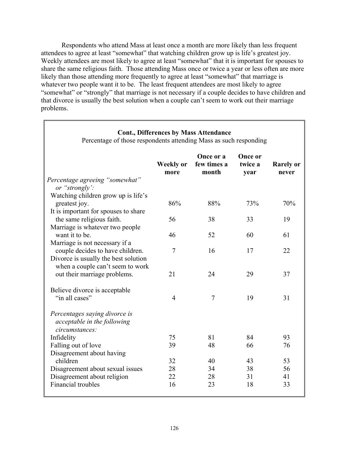Respondents who attend Mass at least once a month are more likely than less frequent attendees to agree at least "somewhat" that watching children grow up is life's greatest joy. Weekly attendees are most likely to agree at least "somewhat" that it is important for spouses to share the same religious faith. Those attending Mass once or twice a year or less often are more likely than those attending more frequently to agree at least "somewhat" that marriage is whatever two people want it to be. The least frequent attendees are most likely to agree "somewhat" or "strongly" that marriage is not necessary if a couple decides to have children and that divorce is usually the best solution when a couple can't seem to work out their marriage problems.

| Cont., Differences by Mass Attendance<br>Percentage of those respondents attending Mass as such responding |                          |                                   |                            |                           |
|------------------------------------------------------------------------------------------------------------|--------------------------|-----------------------------------|----------------------------|---------------------------|
|                                                                                                            | <b>Weekly or</b><br>more | Once or a<br>few times a<br>month | Once or<br>twice a<br>year | <b>Rarely or</b><br>never |
| Percentage agreeing "somewhat"<br>or "strongly":                                                           |                          |                                   |                            |                           |
| Watching children grow up is life's<br>greatest joy.                                                       | 86%                      | 88%                               | 73%                        | 70%                       |
| It is important for spouses to share<br>the same religious faith.<br>Marriage is whatever two people       | 56                       | 38                                | 33                         | 19                        |
| want it to be.<br>Marriage is not necessary if a                                                           | 46                       | 52                                | 60                         | 61                        |
| couple decides to have children.<br>Divorce is usually the best solution                                   | $\overline{7}$           | 16                                | 17                         | 22                        |
| when a couple can't seem to work<br>out their marriage problems.                                           | 21                       | 24                                | 29                         | 37                        |
| Believe divorce is acceptable<br>"in all cases"                                                            | $\overline{4}$           | $\overline{7}$                    | 19                         | 31                        |
| Percentages saying divorce is<br>acceptable in the following<br>circumstances:                             |                          |                                   |                            |                           |
| Infidelity                                                                                                 | 75                       | 81                                | 84                         | 93                        |
| Falling out of love                                                                                        | 39                       | 48                                | 66                         | 76                        |
| Disagreement about having                                                                                  |                          |                                   |                            |                           |
| children                                                                                                   | 32                       | 40                                | 43                         | 53                        |
| Disagreement about sexual issues                                                                           | 28                       | 34                                | 38                         | 56                        |
| Disagreement about religion                                                                                | 22                       | 28                                | 31                         | 41                        |
| <b>Financial</b> troubles                                                                                  | 16                       | 23                                | 18                         | 33                        |

#### **Cont., Differences by Mass Attendance**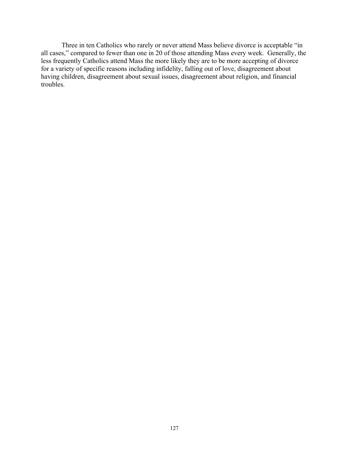Three in ten Catholics who rarely or never attend Mass believe divorce is acceptable "in all cases," compared to fewer than one in 20 of those attending Mass every week. Generally, the less frequently Catholics attend Mass the more likely they are to be more accepting of divorce for a variety of specific reasons including infidelity, falling out of love, disagreement about having children, disagreement about sexual issues, disagreement about religion, and financial troubles.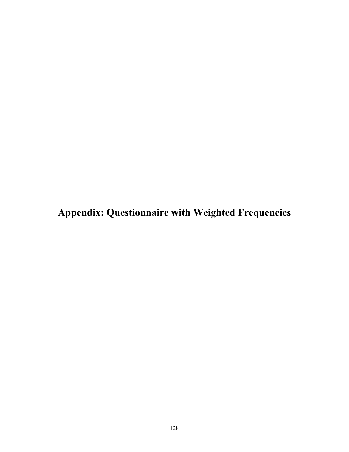**Appendix: Questionnaire with Weighted Frequencies**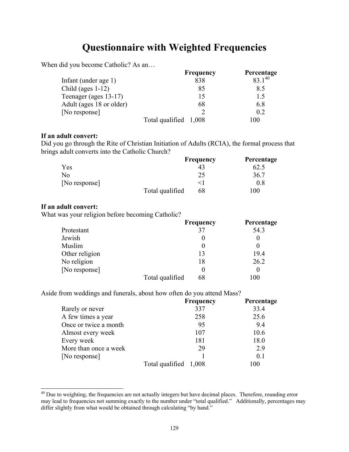# **Questionnaire with Weighted Frequencies**

When did you become Catholic? As an...

|                          | <b>Frequency</b>      | Percentage  |
|--------------------------|-----------------------|-------------|
| Infant (under age 1)     | 838                   | $83.1^{40}$ |
| Child (ages $1-12$ )     | 85                    | 8.5         |
| Teenager (ages 13-17)    | 15                    | 15          |
| Adult (ages 18 or older) | 68                    | 6.8         |
| [No response]            |                       | 0.2         |
|                          | Total qualified 1,008 | 100         |

#### **If an adult convert:**

Did you go through the Rite of Christian Initiation of Adults (RCIA), the formal process that brings adult converts into the Catholic Church?

|               |                 | <b>Frequency</b> | Percentage |
|---------------|-----------------|------------------|------------|
| Yes           |                 | 43               | 62.5       |
| No            |                 | 25               | 36.7       |
| [No response] |                 |                  | 0.8        |
|               | Total qualified | 68               | 00         |

#### **If an adult convert:**

l

What was your religion before becoming Catholic?

|                |                 | <b>Frequency</b> | Percentage |
|----------------|-----------------|------------------|------------|
| Protestant     |                 | 37               | 54.3       |
| Jewish         |                 |                  |            |
| Muslim         |                 |                  |            |
| Other religion |                 | 13               | 19.4       |
| No religion    |                 | 18               | 26.2       |
| [No response]  |                 |                  |            |
|                | Total qualified | 68               | 100        |

Aside from weddings and funerals, about how often do you attend Mass?

|                       | <b>Frequency</b>      | Percentage |
|-----------------------|-----------------------|------------|
| Rarely or never       | 337                   | 33.4       |
| A few times a year    | 258                   | 25.6       |
| Once or twice a month | 95                    | 9.4        |
| Almost every week     | 107                   | 10.6       |
| Every week            | 181                   | 18.0       |
| More than once a week | 29                    | 2.9        |
| [No response]         |                       | 0.1        |
|                       | Total qualified 1,008 | 00         |

<sup>&</sup>lt;sup>40</sup> Due to weighting, the frequencies are not actually integers but have decimal places. Therefore, rounding error may lead to frequencies not summing exactly to the number under "total qualified." Additionally, percentages may differ slightly from what would be obtained through calculating "by hand."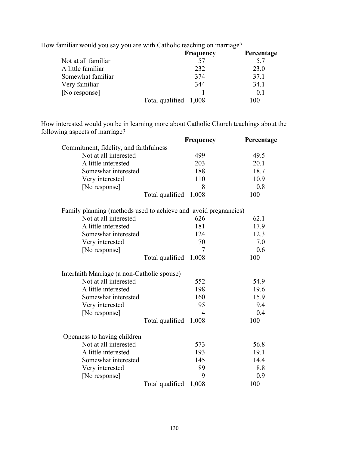|                     | <b>Frequency</b>      | Percentage |
|---------------------|-----------------------|------------|
| Not at all familiar | 57                    | 5.7        |
| A little familiar   | 232                   | 23.0       |
| Somewhat familiar   | 374                   | 37.1       |
| Very familiar       | 344                   | 34.1       |
| [No response]       |                       | 0.1        |
|                     | Total qualified 1,008 | 100        |

How familiar would you say you are with Catholic teaching on marriage?

How interested would you be in learning more about Catholic Church teachings about the following aspects of marriage?

| fonowing aspects of marriage:               | Frequency                                                       | Percentage |
|---------------------------------------------|-----------------------------------------------------------------|------------|
| Commitment, fidelity, and faithfulness      |                                                                 |            |
| Not at all interested                       | 499                                                             | 49.5       |
| A little interested                         | 203                                                             | 20.1       |
| Somewhat interested                         | 188                                                             | 18.7       |
| Very interested                             | 110                                                             | 10.9       |
| [No response]                               | 8                                                               | 0.8        |
|                                             | Total qualified 1,008                                           | 100        |
|                                             | Family planning (methods used to achieve and avoid pregnancies) |            |
| Not at all interested                       | 626                                                             | 62.1       |
| A little interested                         | 181                                                             | 17.9       |
| Somewhat interested                         | 124                                                             | 12.3       |
| Very interested                             | 70                                                              | 7.0        |
| [No response]                               | 7                                                               | 0.6        |
|                                             | Total qualified<br>1,008                                        | 100        |
| Interfaith Marriage (a non-Catholic spouse) |                                                                 |            |
| Not at all interested                       | 552                                                             | 54.9       |
| A little interested                         | 198                                                             | 19.6       |
| Somewhat interested                         | 160                                                             | 15.9       |
| Very interested                             | 95                                                              | 9.4        |
| [No response]                               | $\overline{4}$                                                  | 0.4        |
|                                             | Total qualified<br>1,008                                        | 100        |
| Openness to having children                 |                                                                 |            |
| Not at all interested                       | 573                                                             | 56.8       |
| A little interested                         | 193                                                             | 19.1       |
| Somewhat interested                         | 145                                                             | 14.4       |
| Very interested                             | 89                                                              | 8.8        |
| [No response]                               | 9                                                               | 0.9        |
|                                             | Total qualified<br>1,008                                        | 100        |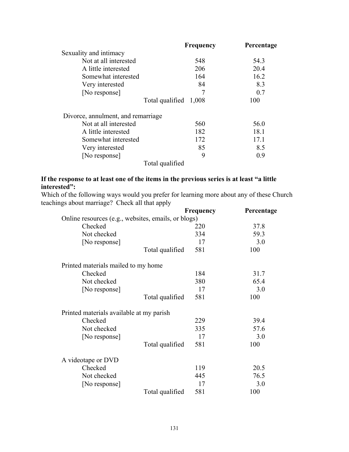|                                    | <b>Frequency</b>      | Percentage |
|------------------------------------|-----------------------|------------|
| Sexuality and intimacy             |                       |            |
| Not at all interested              | 548                   | 54.3       |
| A little interested                | 206                   | 20.4       |
| Somewhat interested                | 164                   | 16.2       |
| Very interested                    | 84                    | 8.3        |
| [No response]                      | 7                     | 0.7        |
|                                    | Total qualified 1,008 | 100        |
| Divorce, annulment, and remarriage |                       |            |
| Not at all interested              | 560                   | 56.0       |
| A little interested                | 182                   | 18.1       |
| Somewhat interested                | 172                   | 17.1       |
| Very interested                    | 85                    | 8.5        |
| [No response]                      | 9                     | 0.9        |
| Total qualified                    |                       |            |

## **If the response to at least one of the items in the previous series is at least "a little interested":**

Which of the following ways would you prefer for learning more about any of these Church teachings about marriage? Check all that apply

|                                                     | <b>Frequency</b> | Percentage |
|-----------------------------------------------------|------------------|------------|
| Online resources (e.g., websites, emails, or blogs) |                  |            |
| Checked                                             | 220              | 37.8       |
| Not checked                                         | 334              | 59.3       |
| [No response]                                       | 17               | 3.0        |
| Total qualified                                     | 581              | 100        |
| Printed materials mailed to my home                 |                  |            |
| Checked                                             | 184              | 31.7       |
| Not checked                                         | 380              | 65.4       |
| [No response]                                       | 17               | 3.0        |
| Total qualified                                     | 581              | 100        |
| Printed materials available at my parish            |                  |            |
| Checked                                             | 229              | 39.4       |
| Not checked                                         | 335              | 57.6       |
| [No response]                                       | 17               | 3.0        |
| Total qualified                                     | 581              | 100        |
| A videotape or DVD                                  |                  |            |
| Checked                                             | 119              | 20.5       |
| Not checked                                         | 445              | 76.5       |
| [No response]                                       | 17               | 3.0        |
| Total qualified                                     | 581              | 100        |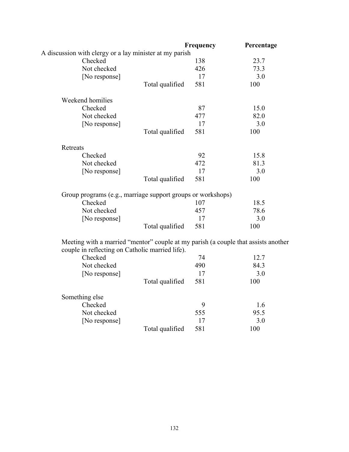|                                                                                                                                       |                 | Frequency | Percentage |
|---------------------------------------------------------------------------------------------------------------------------------------|-----------------|-----------|------------|
| A discussion with clergy or a lay minister at my parish                                                                               |                 |           |            |
| Checked                                                                                                                               |                 | 138       | 23.7       |
| Not checked                                                                                                                           |                 | 426       | 73.3       |
| [No response]                                                                                                                         |                 | 17        | 3.0        |
|                                                                                                                                       | Total qualified | 581       | 100        |
| Weekend homilies                                                                                                                      |                 |           |            |
| Checked                                                                                                                               |                 | 87        | 15.0       |
| Not checked                                                                                                                           |                 | 477       | 82.0       |
| [No response]                                                                                                                         |                 | 17        | 3.0        |
|                                                                                                                                       | Total qualified | 581       | 100        |
| Retreats                                                                                                                              |                 |           |            |
| Checked                                                                                                                               |                 | 92        | 15.8       |
| Not checked                                                                                                                           |                 | 472       | 81.3       |
| [No response]                                                                                                                         |                 | 17        | 3.0        |
|                                                                                                                                       | Total qualified | 581       | 100        |
| Group programs (e.g., marriage support groups or workshops)                                                                           |                 |           |            |
| Checked                                                                                                                               |                 | 107       | 18.5       |
| Not checked                                                                                                                           |                 | 457       | 78.6       |
| [No response]                                                                                                                         |                 | 17        | 3.0        |
|                                                                                                                                       | Total qualified | 581       | 100        |
| Meeting with a married "mentor" couple at my parish (a couple that assists another<br>couple in reflecting on Catholic married life). |                 |           |            |
| Checked                                                                                                                               |                 | 74        | 12.7       |
| Not checked                                                                                                                           |                 | 490       | 84.3       |
| [No response]                                                                                                                         |                 | 17        | 3.0        |
|                                                                                                                                       | Total qualified | 581       | 100        |
| Something else                                                                                                                        |                 |           |            |
| Checked                                                                                                                               |                 | 9         | 1.6        |
| Not checked                                                                                                                           |                 | 555       | 95.5       |
| [No response]                                                                                                                         |                 | 17        | 3.0        |
|                                                                                                                                       | Total qualified | 581       | 100        |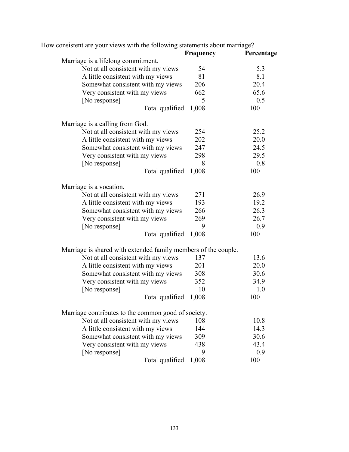|                                                                | <b>Frequency</b> | Percentage |
|----------------------------------------------------------------|------------------|------------|
| Marriage is a lifelong commitment.                             |                  |            |
| Not at all consistent with my views                            | 54               | 5.3        |
| A little consistent with my views                              | 81               | 8.1        |
| Somewhat consistent with my views                              | 206              | 20.4       |
| Very consistent with my views                                  | 662              | 65.6       |
| [No response]                                                  | 5                | 0.5        |
| Total qualified                                                | 1,008            | 100        |
| Marriage is a calling from God.                                |                  |            |
| Not at all consistent with my views                            | 254              | 25.2       |
| A little consistent with my views                              | 202              | 20.0       |
| Somewhat consistent with my views                              | 247              | 24.5       |
| Very consistent with my views                                  | 298              | 29.5       |
| [No response]                                                  | 8                | 0.8        |
| Total qualified                                                | 1,008            | 100        |
| Marriage is a vocation.                                        |                  |            |
| Not at all consistent with my views                            | 271              | 26.9       |
| A little consistent with my views                              | 193              | 19.2       |
| Somewhat consistent with my views                              | 266              | 26.3       |
| Very consistent with my views                                  | 269              | 26.7       |
| [No response]                                                  | 9                | 0.9        |
| Total qualified                                                | 1,008            | 100        |
| Marriage is shared with extended family members of the couple. |                  |            |
| Not at all consistent with my views                            | 137              | 13.6       |
| A little consistent with my views                              | 201              | 20.0       |
| Somewhat consistent with my views                              | 308              | 30.6       |
| Very consistent with my views                                  | 352              | 34.9       |
| [No response]                                                  | 10               | 1.0        |
| Total qualified                                                | 1,008            | 100        |
| Marriage contributes to the common good of society.            |                  |            |
| Not at all consistent with my views                            | 108              | 10.8       |
| A little consistent with my views                              | 144              | 14.3       |
| Somewhat consistent with my views                              | 309              | 30.6       |
| Very consistent with my views                                  | 438              | 43.4       |
| [No response]                                                  | 9                | 0.9        |
| Total qualified                                                | 1,008            | 100        |
|                                                                |                  |            |

How consistent are your views with the following statements about marriage?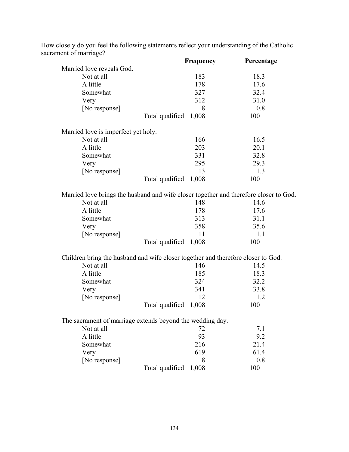| $\frac{1}{2}$                                                                         | Frequency                | Percentage |
|---------------------------------------------------------------------------------------|--------------------------|------------|
| Married love reveals God.                                                             |                          |            |
| Not at all                                                                            | 183                      | 18.3       |
| A little                                                                              | 178                      | 17.6       |
| Somewhat                                                                              | 327                      | 32.4       |
| Very                                                                                  | 312                      | 31.0       |
| [No response]                                                                         | 8                        | 0.8        |
|                                                                                       | Total qualified 1,008    | 100        |
| Married love is imperfect yet holy.                                                   |                          |            |
| Not at all                                                                            | 166                      | 16.5       |
| A little                                                                              | 203                      | 20.1       |
| Somewhat                                                                              | 331                      | 32.8       |
| Very                                                                                  | 295                      | 29.3       |
| [No response]                                                                         | 13                       | 1.3        |
|                                                                                       | Total qualified<br>1,008 | 100        |
| Married love brings the husband and wife closer together and therefore closer to God. |                          |            |
| Not at all                                                                            | 148                      | 14.6       |
| A little                                                                              | 178                      | 17.6       |
| Somewhat                                                                              | 313                      | 31.1       |
| Very                                                                                  | 358                      | 35.6       |
| [No response]                                                                         | 11                       | 1.1        |
|                                                                                       | Total qualified<br>1,008 | 100        |
| Children bring the husband and wife closer together and therefore closer to God.      |                          |            |
| Not at all                                                                            | 146                      | 14.5       |
| A little                                                                              | 185                      | 18.3       |
| Somewhat                                                                              | 324                      | 32.2       |
| Very                                                                                  | 341                      | 33.8       |
| [No response]                                                                         | 12                       | 1.2        |
|                                                                                       | Total qualified<br>1,008 | 100        |
| The sacrament of marriage extends beyond the wedding day.                             |                          |            |
| Not at all                                                                            | 72                       | 7.1        |
| A little                                                                              | 93                       | 9.2        |
| Somewhat                                                                              | 216                      | 21.4       |
| Very                                                                                  | 619                      | 61.4       |
| [No response]                                                                         | 8                        | 0.8        |
|                                                                                       | Total qualified<br>1,008 | 100        |

How closely do you feel the following statements reflect your understanding of the Catholic sacrament of marriage?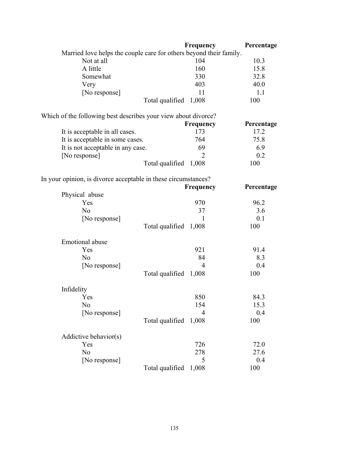|                                                                    |                       | Frequency        | Percentage |
|--------------------------------------------------------------------|-----------------------|------------------|------------|
| Married love helps the couple care for others beyond their family. |                       |                  |            |
| Not at all                                                         |                       | 104              | 10.3       |
| A little                                                           |                       | 160              | 15.8       |
| Somewhat                                                           |                       | 330              | 32.8       |
| Very                                                               |                       | 403              | 40.0       |
| [No response]                                                      |                       | 11               | 1.1        |
|                                                                    | Total qualified       | 1,008            | 100        |
| Which of the following best describes your view about divorce?     |                       |                  |            |
|                                                                    |                       | Frequency        | Percentage |
| It is acceptable in all cases.                                     |                       | 173              | 17.2       |
| It is acceptable in some cases.                                    |                       | 764              | 75.8       |
| It is not acceptable in any case.                                  |                       | 69               | 6.9        |
| [No response]                                                      |                       | $\overline{2}$   | 0.2        |
|                                                                    | Total qualified 1,008 |                  | 100        |
| In your opinion, is divorce acceptable in these circumstances?     |                       |                  |            |
|                                                                    |                       | <b>Frequency</b> | Percentage |
| Physical abuse                                                     |                       |                  |            |
| Yes                                                                |                       | 970              | 96.2       |
| N <sub>o</sub>                                                     |                       | 37               | 3.6        |
| [No response]                                                      |                       | 1                | 0.1        |
|                                                                    | Total qualified       | 1,008            | 100        |
| Emotional abuse                                                    |                       |                  |            |
| Yes                                                                |                       | 921              | 91.4       |
| N <sub>o</sub>                                                     |                       | 84               | 8.3        |
| [No response]                                                      |                       | $\overline{4}$   | 0.4        |
|                                                                    | Total qualified       | 1,008            | 100        |
| Infidelity                                                         |                       |                  |            |
| Y es                                                               |                       | 850              | 84.3       |
| N <sub>o</sub>                                                     |                       | 154              | 15.3       |
| [No response]                                                      |                       | $\overline{4}$   | 0.4        |
|                                                                    | Total qualified       | 1,008            | 100        |
| Addictive behavior(s)                                              |                       |                  |            |
| Yes                                                                |                       | 726              | 72.0       |
| No                                                                 |                       | 278              | 27.6       |
| [No response]                                                      |                       | 5                | 0.4        |
|                                                                    | Total qualified       | 1,008            | 100        |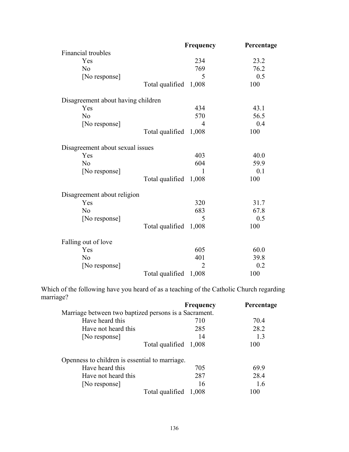| Frequency                                                                                             | Percentage                                                                                              |
|-------------------------------------------------------------------------------------------------------|---------------------------------------------------------------------------------------------------------|
|                                                                                                       |                                                                                                         |
| 234                                                                                                   | 23.2                                                                                                    |
| 769                                                                                                   | 76.2                                                                                                    |
| 5                                                                                                     | 0.5                                                                                                     |
|                                                                                                       | 100                                                                                                     |
|                                                                                                       |                                                                                                         |
| 434                                                                                                   | 43.1                                                                                                    |
| 570                                                                                                   | 56.5                                                                                                    |
| 4                                                                                                     | 0.4                                                                                                     |
| 1,008                                                                                                 | 100                                                                                                     |
|                                                                                                       |                                                                                                         |
| 403                                                                                                   | 40.0                                                                                                    |
| 604                                                                                                   | 59.9                                                                                                    |
| 1                                                                                                     | 0.1                                                                                                     |
|                                                                                                       | 100                                                                                                     |
|                                                                                                       |                                                                                                         |
| 320                                                                                                   | 31.7                                                                                                    |
| 683                                                                                                   | 67.8                                                                                                    |
| 5                                                                                                     | 0.5                                                                                                     |
| 1,008                                                                                                 | 100                                                                                                     |
|                                                                                                       |                                                                                                         |
| 605                                                                                                   | 60.0                                                                                                    |
| 401                                                                                                   | 39.8                                                                                                    |
| $\overline{2}$                                                                                        | 0.2                                                                                                     |
| 1,008                                                                                                 | 100                                                                                                     |
| Disagreement about having children<br>Disagreement about sexual issues<br>Disagreement about religion | Total qualified 1,008<br>Total qualified<br>Total qualified 1,008<br>Total qualified<br>Total qualified |

Which of the following have you heard of as a teaching of the Catholic Church regarding marriage?

|                                                       | <b>Frequency</b> | Percentage |
|-------------------------------------------------------|------------------|------------|
| Marriage between two baptized persons is a Sacrament. |                  |            |
| Have heard this                                       | 710              | 70.4       |
| Have not heard this                                   | 285              | 28.2       |
| [No response]                                         | 14               | 1.3        |
| Total qualified 1,008                                 |                  | 100        |
| Openness to children is essential to marriage.        |                  |            |
| Have heard this                                       | 705              | 69.9       |
| Have not heard this                                   | 287              | 28.4       |
| [No response]                                         | 16               | 1.6        |
| Total qualified                                       | 1,008            | 100        |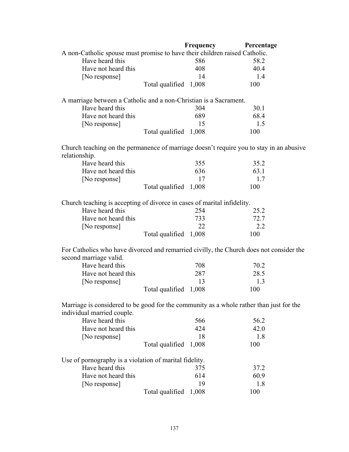|                                                                                         |                       | <b>Frequency</b> | Percentage |
|-----------------------------------------------------------------------------------------|-----------------------|------------------|------------|
| A non-Catholic spouse must promise to have their children raised Catholic.              |                       |                  |            |
| Have heard this                                                                         |                       | 586              | 58.2       |
| Have not heard this                                                                     |                       | 408              | 40.4       |
| [No response]                                                                           |                       | 14               | 1.4        |
|                                                                                         | Total qualified       | 1,008            | 100        |
| A marriage between a Catholic and a non-Christian is a Sacrament.                       |                       |                  |            |
| Have heard this                                                                         |                       | 304              | 30.1       |
| Have not heard this                                                                     |                       | 689              | 68.4       |
| [No response]                                                                           |                       | 15               | 1.5        |
|                                                                                         | Total qualified       | 1,008            | 100        |
| Church teaching on the permanence of marriage doesn't require you to stay in an abusive |                       |                  |            |
| relationship.                                                                           |                       |                  |            |
| Have heard this                                                                         |                       | 355              | 35.2       |
| Have not heard this                                                                     |                       | 636              | 63.1       |
| [No response]                                                                           |                       | 17               | 1.7        |
|                                                                                         | Total qualified       | 1,008            | 100        |
| Church teaching is accepting of divorce in cases of marital infidelity.                 |                       |                  |            |
| Have heard this                                                                         |                       | 254              | 25.2       |
| Have not heard this                                                                     |                       | 733              | 72.7       |
| [No response]                                                                           |                       | 22               | 2.2        |
|                                                                                         | Total qualified       | 1,008            | 100        |
| For Catholics who have divorced and remarried civilly, the Church does not consider the |                       |                  |            |
| second marriage valid.                                                                  |                       |                  |            |
| Have heard this                                                                         |                       | 708              | 70.2       |
| Have not heard this                                                                     |                       | 287              | 28.5       |
| [No response]                                                                           |                       | 13               | 1.3        |
|                                                                                         | Total qualified       | 1,008            | 100        |
| Marriage is considered to be good for the community as a whole rather than just for the |                       |                  |            |
| individual married couple.                                                              |                       |                  |            |
| Have heard this                                                                         |                       | 566              | 56.2       |
| Have not heard this                                                                     |                       | 424              | 42.0       |
| [No response]                                                                           |                       | 18               | 1.8        |
|                                                                                         | Total qualified 1,008 |                  | 100        |
| Use of pornography is a violation of marital fidelity.                                  |                       |                  |            |
| Have heard this                                                                         |                       | 375              | 37.2       |
| Have not heard this                                                                     |                       | 614              | 60.9       |
|                                                                                         |                       |                  |            |
| [No response]                                                                           |                       | 19               | 1.8        |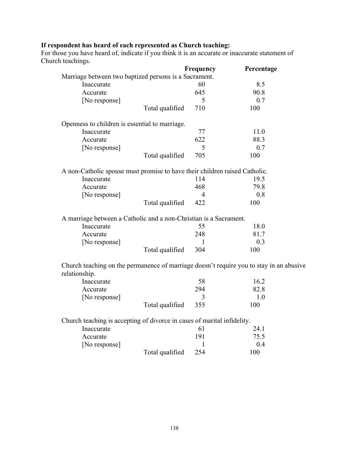#### **If respondent has heard of each represented as Church teaching:**

For those you have heard of, indicate if you think it is an accurate or inaccurate statement of Church teachings.

|                                                                                         | Frequency | Percentage |
|-----------------------------------------------------------------------------------------|-----------|------------|
| Marriage between two baptized persons is a Sacrament.                                   |           |            |
| Inaccurate                                                                              | 60        | 8.5        |
| Accurate                                                                                | 645       | 90.8       |
| [No response]                                                                           | 5         | 0.7        |
| Total qualified                                                                         | 710       | 100        |
| Openness to children is essential to marriage.                                          |           |            |
| Inaccurate                                                                              | 77        | 11.0       |
| Accurate                                                                                | 622       | 88.3       |
| [No response]                                                                           | 5         | 0.7        |
| Total qualified                                                                         | 705       | 100        |
| A non-Catholic spouse must promise to have their children raised Catholic.              |           |            |
| Inaccurate                                                                              | 114       | 19.5       |
| Accurate                                                                                | 468       | 79.8       |
| [No response]                                                                           | 4         | 0.8        |
| Total qualified                                                                         | 422       | 100        |
| A marriage between a Catholic and a non-Christian is a Sacrament.                       |           |            |
| Inaccurate                                                                              | 55        | 18.0       |
| Accurate                                                                                | 248       | 81.7       |
| [No response]                                                                           | 1         | 0.3        |
| Total qualified                                                                         | 304       | 100        |
| Church teaching on the permanence of marriage doesn't require you to stay in an abusive |           |            |
| relationship.                                                                           |           |            |
| Inaccurate                                                                              | 58        | 16.2       |
| Accurate                                                                                | 294       | 82.8       |
| [No response]                                                                           | 3         | 1.0        |
| Total qualified                                                                         | 355       | 100        |
| Church teaching is accepting of divorce in cases of marital infidelity.                 |           |            |
| Inaccurate                                                                              | 61        | 24.1       |
| Accurate                                                                                | 191       | 75.5       |
| [No response]                                                                           | 1         | 0.4        |
| Total qualified                                                                         | 254       | 100        |
|                                                                                         |           |            |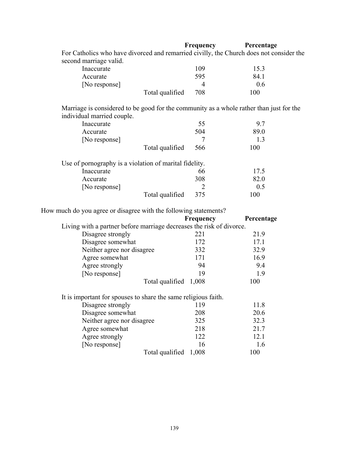|                                                                                                                       | Frequency      | Percentage |
|-----------------------------------------------------------------------------------------------------------------------|----------------|------------|
| For Catholics who have divorced and remarried civilly, the Church does not consider the                               |                |            |
| second marriage valid.                                                                                                |                |            |
| Inaccurate                                                                                                            | 109            | 15.3       |
| Accurate                                                                                                              | 595            | 84.1       |
| [No response]                                                                                                         | $\overline{4}$ | 0.6        |
| Total qualified                                                                                                       | 708            | 100        |
| Marriage is considered to be good for the community as a whole rather than just for the<br>individual married couple. |                |            |
| Inaccurate                                                                                                            | 55             | 9.7        |
| Accurate                                                                                                              | 504            | 89.0       |
| [No response]                                                                                                         | 7              | 1.3        |
| Total qualified                                                                                                       | 566            | 100        |
| Use of pornography is a violation of marital fidelity.                                                                |                |            |
| Inaccurate                                                                                                            | 66             | 17.5       |
| Accurate                                                                                                              | 308            | 82.0       |
| [No response]                                                                                                         | 2              | 0.5        |
| Total qualified                                                                                                       | 375            | 100        |

How much do you agree or disagree with the following statements?

|                                                                      | Frequency             | Percentage |
|----------------------------------------------------------------------|-----------------------|------------|
| Living with a partner before marriage decreases the risk of divorce. |                       |            |
| Disagree strongly                                                    | 221                   | 21.9       |
| Disagree somewhat                                                    | 172                   | 17.1       |
| Neither agree nor disagree                                           | 332                   | 32.9       |
| Agree somewhat                                                       | 171                   | 16.9       |
| Agree strongly                                                       | 94                    | 9.4        |
| [No response]                                                        | 19                    | 1.9        |
|                                                                      | Total qualified 1,008 | 100        |
| It is important for spouses to share the same religious faith.       |                       |            |
| Disagree strongly                                                    | 119                   | 11.8       |
| Disagree somewhat                                                    | 208                   | 20.6       |
| Neither agree nor disagree                                           | 325                   | 32.3       |
| Agree somewhat                                                       | 218                   | 21.7       |
| Agree strongly                                                       | 122                   | 12.1       |
| [No response]                                                        | 16                    | 1.6        |
|                                                                      | Total qualified 1,008 | 100        |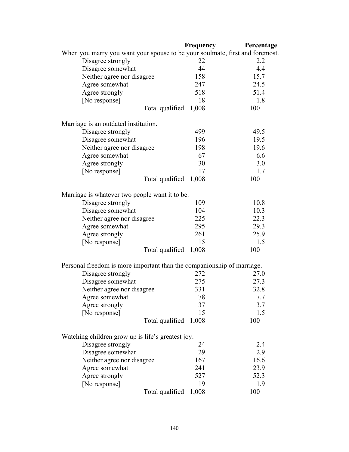|                                                                              | Frequency | Percentage |
|------------------------------------------------------------------------------|-----------|------------|
| When you marry you want your spouse to be your soulmate, first and foremost. |           |            |
| Disagree strongly                                                            | 22        | 2.2        |
| Disagree somewhat                                                            | 44        | 4.4        |
| Neither agree nor disagree                                                   | 158       | 15.7       |
| Agree somewhat                                                               | 247       | 24.5       |
| Agree strongly                                                               | 518       | 51.4       |
| [No response]                                                                | 18        | 1.8        |
| Total qualified                                                              | 1,008     | 100        |
| Marriage is an outdated institution.                                         |           |            |
| Disagree strongly                                                            | 499       | 49.5       |
| Disagree somewhat                                                            | 196       | 19.5       |
| Neither agree nor disagree                                                   | 198       | 19.6       |
| Agree somewhat                                                               | 67        | 6.6        |
| Agree strongly                                                               | 30        | 3.0        |
| [No response]                                                                | 17        | 1.7        |
| Total qualified 1,008                                                        |           | 100        |
| Marriage is whatever two people want it to be.                               |           |            |
| Disagree strongly                                                            | 109       | 10.8       |
| Disagree somewhat                                                            | 104       | 10.3       |
| Neither agree nor disagree                                                   | 225       | 22.3       |
| Agree somewhat                                                               | 295       | 29.3       |
| Agree strongly                                                               | 261       | 25.9       |
| [No response]                                                                | 15        | 1.5        |
| Total qualified 1,008                                                        |           | 100        |
| Personal freedom is more important than the companionship of marriage.       |           |            |
| Disagree strongly                                                            | 272       | 27.0       |
| Disagree somewhat                                                            | 275       | 27.3       |
| Neither agree nor disagree                                                   | 331       | 32.8       |
| Agree somewhat                                                               | 78        | 7.7        |
| Agree strongly                                                               | 37        | 3.7        |
| [No response]                                                                | 15        | 1.5        |
| Total qualified                                                              | 1,008     | 100        |
| Watching children grow up is life's greatest joy.                            |           |            |
| Disagree strongly                                                            | 24        | 2.4        |
| Disagree somewhat                                                            | 29        | 2.9        |
| Neither agree nor disagree                                                   | 167       | 16.6       |
| Agree somewhat                                                               | 241       | 23.9       |
| Agree strongly                                                               | 527       | 52.3       |
| [No response]                                                                | 19        | 1.9        |
| Total qualified                                                              | 1,008     | 100        |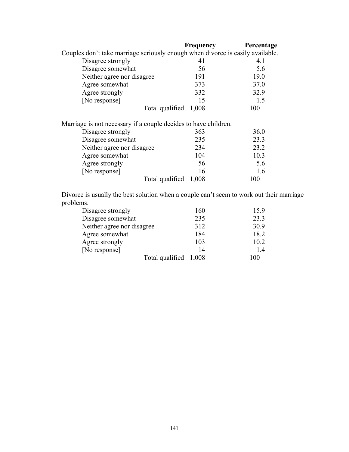|                                                                                | Frequency | Percentage |
|--------------------------------------------------------------------------------|-----------|------------|
| Couples don't take marriage seriously enough when divorce is easily available. |           |            |
| Disagree strongly                                                              | 41        | 4.1        |
| Disagree somewhat                                                              | 56        | 5.6        |
| Neither agree nor disagree                                                     | 191       | 19.0       |
| Agree somewhat                                                                 | 373       | 37.0       |
| Agree strongly                                                                 | 332       | 32.9       |
| [No response]                                                                  | 15        | 1.5        |
| Total qualified 1,008                                                          |           | 100        |
| Marriage is not necessary if a couple decides to have children.                |           |            |
| Disagree strongly                                                              | 363       | 36.0       |
| Disagree somewhat                                                              | 235       | 23.3       |
| Neither agree nor disagree                                                     | 234       | 23.2       |
| Agree somewhat                                                                 | 104       | 10.3       |
| Agree strongly                                                                 | 56        | 5.6        |
| [No response]                                                                  | 16        | 1.6        |
| Total qualified                                                                | 1,008     | 100        |

 Divorce is usually the best solution when a couple can't seem to work out their marriage problems.

| Disagree strongly          | 160 | 15.9 |
|----------------------------|-----|------|
| Disagree somewhat          | 235 | 23.3 |
| Neither agree nor disagree | 312 | 30.9 |
| Agree somewhat             | 184 | 18.2 |
| Agree strongly             | 103 | 10.2 |
| [No response]              | 14  | 14   |
| Total qualified 1,008      |     | 100  |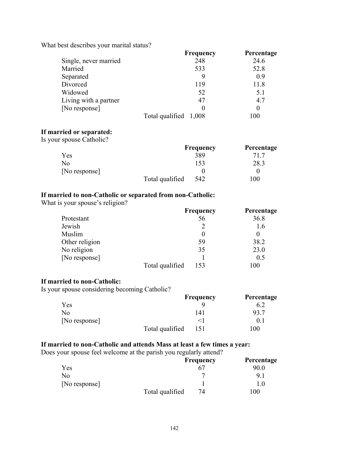What best describes your marital status?

|                       | <b>Frequency</b>      | Percentage |
|-----------------------|-----------------------|------------|
| Single, never married | 248                   | 24.6       |
| Married               | 533                   | 52.8       |
| Separated             |                       | 0.9        |
| Divorced              | 119                   | 11.8       |
| Widowed               | 52                    | 5.1        |
| Living with a partner | 47                    | 4.7        |
| [No response]         |                       |            |
|                       | Total qualified 1,008 | 100        |

#### **If married or separated:**

Is your spouse Catholic?

|               |                 | <b>Frequency</b> | Percentage |
|---------------|-----------------|------------------|------------|
| <b>Yes</b>    |                 | 389              | 71 7       |
| No            |                 | 153              | 28.3       |
| [No response] |                 |                  |            |
|               | Total qualified | 542              | 100        |

## **If married to non-Catholic or separated from non-Catholic:**

What is your spouse's religion?

|                |                 | Frequency | Percentage |
|----------------|-----------------|-----------|------------|
| Protestant     |                 | 56        | 36.8       |
| Jewish         |                 |           | 1.6        |
| Muslim         |                 |           | $\theta$   |
| Other religion |                 | 59        | 38.2       |
| No religion    |                 | 35        | 23.0       |
| [No response]  |                 |           | 0.5        |
|                | Total qualified | 153       | 100        |

#### **If married to non-Catholic:**

Is your spouse considering becoming Catholic?

|               |                 | <b>Frequency</b> | Percentage |
|---------------|-----------------|------------------|------------|
| Yes           |                 |                  |            |
| No            |                 | I 41             |            |
| [No response] |                 |                  | 0.1        |
|               | Total qualified | 151              | 100        |

### **If married to non-Catholic and attends Mass at least a few times a year:**

Does your spouse feel welcome at the parish you regularly attend?

|               |                 | <b>Frequency</b> | Percentage |
|---------------|-----------------|------------------|------------|
| Yes           |                 |                  | 90.0       |
| No            |                 |                  | 91         |
| [No response] |                 |                  | .0         |
|               | Total qualified | 74               | 100        |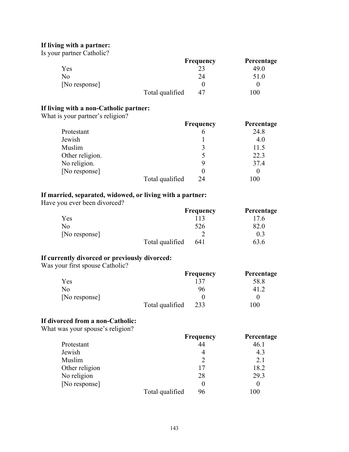### **If living with a partner:**

Is your partner Catholic?

|               |                 | <b>Frequency</b> | Percentage |
|---------------|-----------------|------------------|------------|
| Yes           |                 | 23               | 49.0       |
| No            |                 | 24               | 51.0       |
| [No response] |                 |                  |            |
|               | Total qualified | 47               | 100        |

# **If living with a non-Catholic partner:**

What is your partner's religion?

|                 |                 | <b>Frequency</b> | Percentage |
|-----------------|-----------------|------------------|------------|
| Protestant      |                 | 6                | 24.8       |
| Jewish          |                 |                  | 4.0        |
| Muslim          |                 |                  | 11.5       |
| Other religion. |                 |                  | 22.3       |
| No religion.    |                 |                  | 37.4       |
| [No response]   |                 |                  | $\theta$   |
|                 | Total qualified | 24               | 100        |

## **If married, separated, widowed, or living with a partner:**

Have you ever been divorced?

|               |                 | <b>Frequency</b> | Percentage |
|---------------|-----------------|------------------|------------|
| Yes           |                 | 113              | 17.6       |
| No.           |                 | 526              | 82.0       |
| [No response] |                 |                  | 0.3        |
|               | Total qualified | 641              | 63.6       |

#### **If currently divorced or previously divorced:**

Was your first spouse Catholic?

|               |                 | <b>Frequency</b> | Percentage |
|---------------|-----------------|------------------|------------|
| Yes           |                 | 137              | 58.8       |
| No            |                 | 96               |            |
| [No response] |                 |                  |            |
|               | Total qualified | 233              | 100        |

#### **If divorced from a non-Catholic:**

What was your spouse's religion?

|                |                 | Frequency | Percentage |
|----------------|-----------------|-----------|------------|
| Protestant     |                 | 44        | 46.1       |
| Jewish         |                 | 4         | 4.3        |
| Muslim         |                 |           | 2.1        |
| Other religion |                 | 17        | 18.2       |
| No religion    |                 | 28        | 29.3       |
| [No response]  |                 |           | 0          |
|                | Total qualified | 96        | 100        |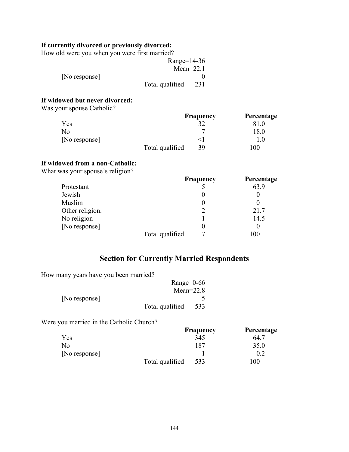## **If currently divorced or previously divorced:**

How old were you when you were first married?

|               | Range= $14-36$  |     |
|---------------|-----------------|-----|
|               | $Mean=22.1$     |     |
| [No response] |                 |     |
|               | Total qualified | 231 |

### **If widowed but never divorced:**

Was your spouse Catholic?

|               |                 | <b>Frequency</b> | Percentage |
|---------------|-----------------|------------------|------------|
| Yes           |                 |                  |            |
| No            |                 |                  | 18.0       |
| [No response] |                 |                  | .0         |
|               | Total qualified | 39               | 100        |

#### **If widowed from a non-Catholic:**

What was your spouse's religion?

|                 |                 | <b>Frequency</b> | Percentage |
|-----------------|-----------------|------------------|------------|
| Protestant      |                 |                  | 63.9       |
| Jewish          |                 |                  |            |
| Muslim          |                 |                  |            |
| Other religion. |                 |                  | 21.7       |
| No religion     |                 |                  | 14.5       |
| [No response]   |                 |                  |            |
|                 | Total qualified |                  | 100        |

# **Section for Currently Married Respondents**

How many years have you been married?

|               | Range= $0-66$   |     |
|---------------|-----------------|-----|
|               | Mean= $22.8$    |     |
| [No response] |                 |     |
|               | Total qualified | 533 |

Were you married in the Catholic Church?

|               |                 | <b>Frequency</b> | Percentage      |
|---------------|-----------------|------------------|-----------------|
| Yes           |                 | 345              | 64.7            |
| No            |                 | 187              | 35.0            |
| [No response] |                 |                  | 0.2             |
|               | Total qualified | 533              | $\overline{00}$ |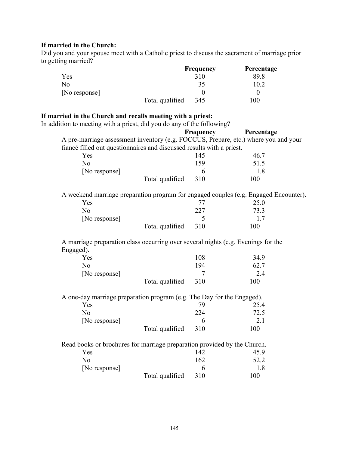## **If married in the Church:**

Did you and your spouse meet with a Catholic priest to discuss the sacrament of marriage prior to getting married?

|               |                 | <b>Frequency</b> | Percentage |
|---------------|-----------------|------------------|------------|
| Yes           |                 | 310              | 89.8       |
| No            |                 | 35               | 10.2       |
| [No response] |                 |                  |            |
|               | Total qualified | 345              | 100        |

# **If married in the Church and recalls meeting with a priest:**

In addition to meeting with a priest, did you do any of the following?

| A pre-marriage assessment inventory (e.g. FOCCUS, Prepare, etc.) where you and your<br>fiancé filled out questionnaires and discussed results with a priest.<br>145<br>46.7<br>Yes<br>159<br>51.5<br>N <sub>o</sub><br>[No response]<br>6<br>1.8<br>310<br>100<br>Total qualified<br>A weekend marriage preparation program for engaged couples (e.g. Engaged Encounter).<br>25.0<br>Yes<br>77<br>227<br>73.3<br>N <sub>o</sub><br>[No response]<br>5<br>1.7<br>310<br>100<br>Total qualified<br>A marriage preparation class occurring over several nights (e.g. Evenings for the<br>108<br>34.9<br>Yes<br>N <sub>o</sub><br>194<br>62.7<br>2.4<br>[No response]<br>$\overline{7}$<br>Total qualified<br>310<br>100<br>A one-day marriage preparation program (e.g. The Day for the Engaged).<br>Yes<br>79<br>25.4<br>224<br>72.5<br>N <sub>o</sub><br>2.1<br>[No response]<br>6<br>310<br>100<br>Total qualified<br>Read books or brochures for marriage preparation provided by the Church.<br>142<br>45.9<br>Yes<br>162<br>52.2<br>N <sub>o</sub><br>1.8<br>[No response]<br>6<br>Total qualified |           | Frequency | Percentage |
|-------------------------------------------------------------------------------------------------------------------------------------------------------------------------------------------------------------------------------------------------------------------------------------------------------------------------------------------------------------------------------------------------------------------------------------------------------------------------------------------------------------------------------------------------------------------------------------------------------------------------------------------------------------------------------------------------------------------------------------------------------------------------------------------------------------------------------------------------------------------------------------------------------------------------------------------------------------------------------------------------------------------------------------------------------------------------------------------------------|-----------|-----------|------------|
|                                                                                                                                                                                                                                                                                                                                                                                                                                                                                                                                                                                                                                                                                                                                                                                                                                                                                                                                                                                                                                                                                                       |           |           |            |
|                                                                                                                                                                                                                                                                                                                                                                                                                                                                                                                                                                                                                                                                                                                                                                                                                                                                                                                                                                                                                                                                                                       |           |           |            |
|                                                                                                                                                                                                                                                                                                                                                                                                                                                                                                                                                                                                                                                                                                                                                                                                                                                                                                                                                                                                                                                                                                       |           |           |            |
|                                                                                                                                                                                                                                                                                                                                                                                                                                                                                                                                                                                                                                                                                                                                                                                                                                                                                                                                                                                                                                                                                                       |           |           |            |
|                                                                                                                                                                                                                                                                                                                                                                                                                                                                                                                                                                                                                                                                                                                                                                                                                                                                                                                                                                                                                                                                                                       |           |           |            |
|                                                                                                                                                                                                                                                                                                                                                                                                                                                                                                                                                                                                                                                                                                                                                                                                                                                                                                                                                                                                                                                                                                       |           |           |            |
|                                                                                                                                                                                                                                                                                                                                                                                                                                                                                                                                                                                                                                                                                                                                                                                                                                                                                                                                                                                                                                                                                                       |           |           |            |
|                                                                                                                                                                                                                                                                                                                                                                                                                                                                                                                                                                                                                                                                                                                                                                                                                                                                                                                                                                                                                                                                                                       |           |           |            |
|                                                                                                                                                                                                                                                                                                                                                                                                                                                                                                                                                                                                                                                                                                                                                                                                                                                                                                                                                                                                                                                                                                       |           |           |            |
|                                                                                                                                                                                                                                                                                                                                                                                                                                                                                                                                                                                                                                                                                                                                                                                                                                                                                                                                                                                                                                                                                                       |           |           |            |
|                                                                                                                                                                                                                                                                                                                                                                                                                                                                                                                                                                                                                                                                                                                                                                                                                                                                                                                                                                                                                                                                                                       |           |           |            |
|                                                                                                                                                                                                                                                                                                                                                                                                                                                                                                                                                                                                                                                                                                                                                                                                                                                                                                                                                                                                                                                                                                       | Engaged). |           |            |
|                                                                                                                                                                                                                                                                                                                                                                                                                                                                                                                                                                                                                                                                                                                                                                                                                                                                                                                                                                                                                                                                                                       |           |           |            |
|                                                                                                                                                                                                                                                                                                                                                                                                                                                                                                                                                                                                                                                                                                                                                                                                                                                                                                                                                                                                                                                                                                       |           |           |            |
|                                                                                                                                                                                                                                                                                                                                                                                                                                                                                                                                                                                                                                                                                                                                                                                                                                                                                                                                                                                                                                                                                                       |           |           |            |
|                                                                                                                                                                                                                                                                                                                                                                                                                                                                                                                                                                                                                                                                                                                                                                                                                                                                                                                                                                                                                                                                                                       |           |           |            |
|                                                                                                                                                                                                                                                                                                                                                                                                                                                                                                                                                                                                                                                                                                                                                                                                                                                                                                                                                                                                                                                                                                       |           |           |            |
|                                                                                                                                                                                                                                                                                                                                                                                                                                                                                                                                                                                                                                                                                                                                                                                                                                                                                                                                                                                                                                                                                                       |           |           |            |
|                                                                                                                                                                                                                                                                                                                                                                                                                                                                                                                                                                                                                                                                                                                                                                                                                                                                                                                                                                                                                                                                                                       |           |           |            |
|                                                                                                                                                                                                                                                                                                                                                                                                                                                                                                                                                                                                                                                                                                                                                                                                                                                                                                                                                                                                                                                                                                       |           |           |            |
|                                                                                                                                                                                                                                                                                                                                                                                                                                                                                                                                                                                                                                                                                                                                                                                                                                                                                                                                                                                                                                                                                                       |           |           |            |
|                                                                                                                                                                                                                                                                                                                                                                                                                                                                                                                                                                                                                                                                                                                                                                                                                                                                                                                                                                                                                                                                                                       |           |           |            |
|                                                                                                                                                                                                                                                                                                                                                                                                                                                                                                                                                                                                                                                                                                                                                                                                                                                                                                                                                                                                                                                                                                       |           | 310       | 100        |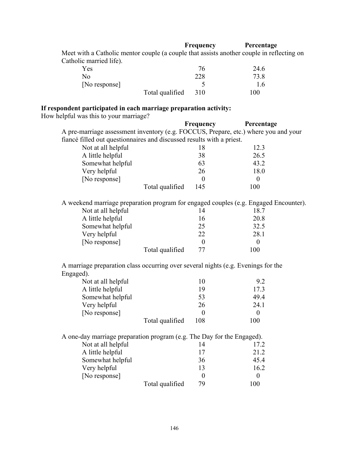### **Frequency Percentage**

 Meet with a Catholic mentor couple (a couple that assists another couple in reflecting on Catholic married life).

| Yes           |                 |     | 24.6 |
|---------------|-----------------|-----|------|
| No            |                 | 228 | 73.8 |
| [No response] |                 |     | 1.6  |
|               | Total qualified | 310 | 100  |

# **If respondent participated in each marriage preparation activity:**

How helpful was this to your marriage?

|                                                                                                |                 | Frequency        | Percentage       |
|------------------------------------------------------------------------------------------------|-----------------|------------------|------------------|
| A pre-marriage assessment inventory (e.g. FOCCUS, Prepare, etc.) where you and your            |                 |                  |                  |
| fiancé filled out questionnaires and discussed results with a priest.                          |                 |                  |                  |
| Not at all helpful                                                                             |                 | 18               | 12.3             |
| A little helpful                                                                               |                 | 38               | 26.5             |
| Somewhat helpful                                                                               |                 | 63               | 43.2             |
| Very helpful                                                                                   |                 | 26               | 18.0             |
| [No response]                                                                                  |                 | $\boldsymbol{0}$ | $\boldsymbol{0}$ |
|                                                                                                | Total qualified | 145              | 100              |
| A weekend marriage preparation program for engaged couples (e.g. Engaged Encounter).           |                 |                  |                  |
| Not at all helpful                                                                             |                 | 14               | 18.7             |
| A little helpful                                                                               |                 | 16               | 20.8             |
| Somewhat helpful                                                                               |                 | 25               | 32.5             |
| Very helpful                                                                                   |                 | 22               | 28.1             |
| [No response]                                                                                  |                 | $\boldsymbol{0}$ | $\boldsymbol{0}$ |
|                                                                                                |                 |                  |                  |
|                                                                                                | Total qualified | 77               | 100              |
|                                                                                                |                 |                  |                  |
| A marriage preparation class occurring over several nights (e.g. Evenings for the<br>Engaged). |                 |                  |                  |
| Not at all helpful                                                                             |                 | 10               | 9.2              |
| A little helpful                                                                               |                 | 19               | 17.3             |
| Somewhat helpful                                                                               |                 | 53               | 49.4             |
| Very helpful                                                                                   |                 | 26               | 24.1             |
| [No response]                                                                                  |                 | $\theta$         | $\boldsymbol{0}$ |
|                                                                                                | Total qualified | 108              | 100              |
| A one-day marriage preparation program (e.g. The Day for the Engaged).                         |                 |                  |                  |
| Not at all helpful                                                                             |                 | 14               | 17.2             |
| A little helpful                                                                               |                 | 17               | 21.2             |
| Somewhat helpful                                                                               |                 | 36               | 45.4             |
| Very helpful                                                                                   |                 | 13               | 16.2             |
| [No response]                                                                                  |                 | $\boldsymbol{0}$ | $\overline{0}$   |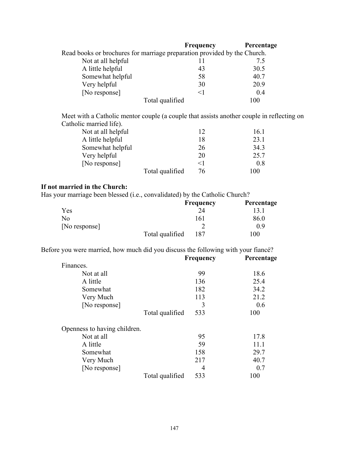|                                                                          | <b>Frequency</b> | Percentage |
|--------------------------------------------------------------------------|------------------|------------|
| Read books or brochures for marriage preparation provided by the Church. |                  |            |
| Not at all helpful                                                       |                  | 7.5        |
| A little helpful                                                         | 43               | 30.5       |
| Somewhat helpful                                                         | 58               | 40.7       |
| Very helpful                                                             | 30               | 20.9       |
| [No response]                                                            | $<$ 1            | 0.4        |
| Total qualified                                                          |                  | 100        |

 Meet with a Catholic mentor couple (a couple that assists another couple in reflecting on Catholic married life).

| Not at all helpful |                 | 12       | 16.1 |
|--------------------|-----------------|----------|------|
| A little helpful   |                 | 18       | 23.1 |
| Somewhat helpful   |                 | 26       | 34.3 |
| Very helpful       |                 | 20       | 25.7 |
| [No response]      |                 | $\leq$ 1 | 0.8  |
|                    | Total qualified | 76       | 100  |

# **If not married in the Church:**

Has your marriage been blessed (i.e., convalidated) by the Catholic Church?

|               |                 | <b>Frequency</b> | Percentage |
|---------------|-----------------|------------------|------------|
| Yes           |                 |                  |            |
| No            |                 | 161              | 86.0       |
| [No response] |                 |                  | 0 ዓ        |
|               | Total qualified | 187              | 100        |

Before you were married, how much did you discuss the following with your fiancé?

|                              | <b>Frequency</b>       | Percentage |  |
|------------------------------|------------------------|------------|--|
| Finances.                    |                        |            |  |
| Not at all                   | 99                     | 18.6       |  |
| A little                     | 136                    | 25.4       |  |
| Somewhat                     | 182                    | 34.2       |  |
| Very Much                    | 113                    | 21.2       |  |
| [No response]                | 3                      | 0.6        |  |
|                              | 533<br>Total qualified | 100        |  |
| Openness to having children. |                        |            |  |
| Not at all                   | 95                     | 17.8       |  |
| A little                     | 59                     | 11.1       |  |
| Somewhat                     | 158                    | 29.7       |  |
| Very Much                    | 217                    | 40.7       |  |
| [No response]                | 4                      | 0.7        |  |
|                              | Total qualified<br>533 | 100        |  |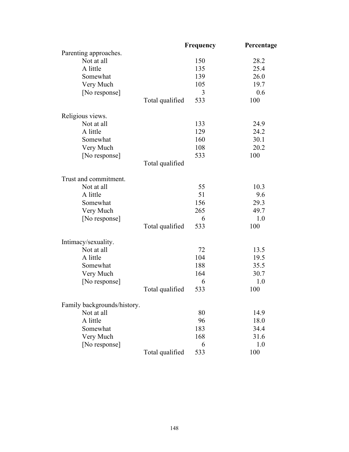|                             |                 | Frequency | Percentage |
|-----------------------------|-----------------|-----------|------------|
| Parenting approaches.       |                 |           |            |
| Not at all                  |                 | 150       | 28.2       |
| A little                    |                 | 135       | 25.4       |
| Somewhat                    |                 | 139       | 26.0       |
| Very Much                   |                 | 105       | 19.7       |
| [No response]               |                 | 3         | 0.6        |
|                             | Total qualified | 533       | 100        |
| Religious views.            |                 |           |            |
| Not at all                  |                 | 133       | 24.9       |
| A little                    |                 | 129       | 24.2       |
| Somewhat                    |                 | 160       | 30.1       |
| Very Much                   |                 | 108       | 20.2       |
| [No response]               |                 | 533       | 100        |
|                             | Total qualified |           |            |
| Trust and commitment.       |                 |           |            |
| Not at all                  |                 | 55        | 10.3       |
| A little                    |                 | 51        | 9.6        |
| Somewhat                    |                 | 156       | 29.3       |
| Very Much                   |                 | 265       | 49.7       |
| [No response]               |                 | 6         | 1.0        |
|                             | Total qualified | 533       | 100        |
| Intimacy/sexuality.         |                 |           |            |
| Not at all                  |                 | 72        | 13.5       |
| A little                    |                 | 104       | 19.5       |
| Somewhat                    |                 | 188       | 35.5       |
| Very Much                   |                 | 164       | 30.7       |
| [No response]               |                 | 6         | 1.0        |
|                             | Total qualified | 533       | 100        |
| Family backgrounds/history. |                 |           |            |
| Not at all                  |                 | 80        | 14.9       |
| A little                    |                 | 96        | 18.0       |
| Somewhat                    |                 | 183       | 34.4       |
| Very Much                   |                 | 168       | 31.6       |
| [No response]               |                 | 6         | 1.0        |
|                             |                 | 533       | 100        |
|                             | Total qualified |           |            |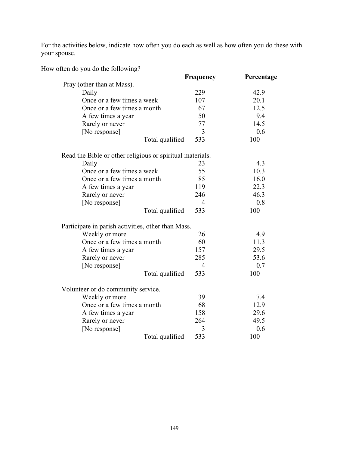For the activities below, indicate how often you do each as well as how often you do these with your spouse.

|  | How often do you do the following? |
|--|------------------------------------|
|--|------------------------------------|

|                                                           | Frequency | Percentage |
|-----------------------------------------------------------|-----------|------------|
| Pray (other than at Mass).                                |           |            |
| Daily                                                     | 229       | 42.9       |
| Once or a few times a week                                | 107       | 20.1       |
| Once or a few times a month                               | 67        | 12.5       |
| A few times a year                                        | 50        | 9.4        |
| Rarely or never                                           | 77        | 14.5       |
| [No response]                                             | 3         | 0.6        |
| Total qualified                                           | 533       | 100        |
| Read the Bible or other religious or spiritual materials. |           |            |
| Daily                                                     | 23        | 4.3        |
| Once or a few times a week                                | 55        | 10.3       |
| Once or a few times a month                               | 85        | 16.0       |
| A few times a year                                        | 119       | 22.3       |
| Rarely or never                                           | 246       | 46.3       |
| [No response]                                             | 4         | 0.8        |
| Total qualified                                           | 533       | 100        |
| Participate in parish activities, other than Mass.        |           |            |
| Weekly or more                                            | 26        | 4.9        |
| Once or a few times a month                               | 60        | 11.3       |
| A few times a year                                        | 157       | 29.5       |
| Rarely or never                                           | 285       | 53.6       |
| [No response]                                             | 4         | 0.7        |
| Total qualified                                           | 533       | 100        |
| Volunteer or do community service.                        |           |            |
| Weekly or more                                            | 39        | 7.4        |
| Once or a few times a month                               | 68        | 12.9       |
| A few times a year                                        | 158       | 29.6       |
| Rarely or never                                           | 264       | 49.5       |
| [No response]                                             | 3         | 0.6        |
| Total qualified                                           | 533       | 100        |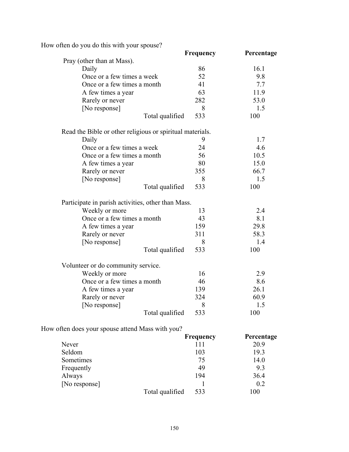How often do you do this with your spouse?

| Frequency                                                 | Percentage |
|-----------------------------------------------------------|------------|
|                                                           |            |
| 86                                                        | 16.1       |
| 52                                                        | 9.8        |
| 41                                                        | 7.7        |
| 63                                                        | 11.9       |
| 282                                                       | 53.0       |
| 8                                                         | 1.5        |
| 533<br>Total qualified                                    | 100        |
| Read the Bible or other religious or spiritual materials. |            |
| 9                                                         | 1.7        |
| 24                                                        | 4.6        |
| 56                                                        | 10.5       |
| 80                                                        | 15.0       |
| 355                                                       | 66.7       |
| 8                                                         | 1.5        |
| 533<br>Total qualified                                    | 100        |
| Participate in parish activities, other than Mass.        |            |
| 13                                                        | 2.4        |
| 43                                                        | 8.1        |
| 159                                                       | 29.8       |
| 311                                                       | 58.3       |
| 8                                                         | 1.4        |
| Total qualified<br>533                                    | 100        |
|                                                           |            |
| 16                                                        | 2.9        |
| 46                                                        | 8.6        |
| 139                                                       | 26.1       |
| 324                                                       | 60.9       |
| 8                                                         | 1.5        |
| 533<br>Total qualified                                    | 100        |
|                                                           |            |

How often does your spouse attend Mass with you?

|               |                 | <b>Frequency</b> | Percentage |
|---------------|-----------------|------------------|------------|
| Never         |                 | 111              | 20.9       |
| Seldom        |                 | 103              | 19.3       |
| Sometimes     |                 | 75               | 14.0       |
| Frequently    |                 | 49               | 9.3        |
| Always        |                 | 194              | 36.4       |
| [No response] |                 |                  | 0.2        |
|               | Total qualified | 533              | 100        |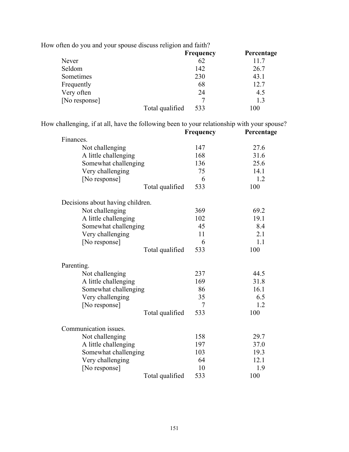|               |                 | <b>Frequency</b> | Percentage |
|---------------|-----------------|------------------|------------|
| Never         |                 | 62               | 11.7       |
| Seldom        |                 | 142              | 26.7       |
| Sometimes     |                 | 230              | 43.1       |
| Frequently    |                 | 68               | 12.7       |
| Very often    |                 | 24               | 4.5        |
| [No response] |                 |                  | 1.3        |
|               | Total qualified | 533              | 100        |

How often do you and your spouse discuss religion and faith?

How challenging, if at all, have the following been to your relationship with your spouse?

|                                  | Frequency | Percentage |
|----------------------------------|-----------|------------|
| Finances.                        |           |            |
| Not challenging                  | 147       | 27.6       |
| A little challenging             | 168       | 31.6       |
| Somewhat challenging             | 136       | 25.6       |
| Very challenging                 | 75        | 14.1       |
| [No response]                    | 6         | 1.2        |
| Total qualified                  | 533       | 100        |
| Decisions about having children. |           |            |
| Not challenging                  | 369       | 69.2       |
| A little challenging             | 102       | 19.1       |
| Somewhat challenging             | 45        | 8.4        |
| Very challenging                 | 11        | 2.1        |
| [No response]                    | 6         | 1.1        |
| Total qualified                  | 533       | 100        |
| Parenting.                       |           |            |
| Not challenging                  | 237       | 44.5       |
| A little challenging             | 169       | 31.8       |
| Somewhat challenging             | 86        | 16.1       |
| Very challenging                 | 35        | 6.5        |
| [No response]                    | 7         | 1.2        |
| Total qualified                  | 533       | 100        |
| Communication issues.            |           |            |
| Not challenging                  | 158       | 29.7       |
| A little challenging             | 197       | 37.0       |
| Somewhat challenging             | 103       | 19.3       |
| Very challenging                 | 64        | 12.1       |
| [No response]                    | 10        | 1.9        |
| Total qualified                  | 533       | 100        |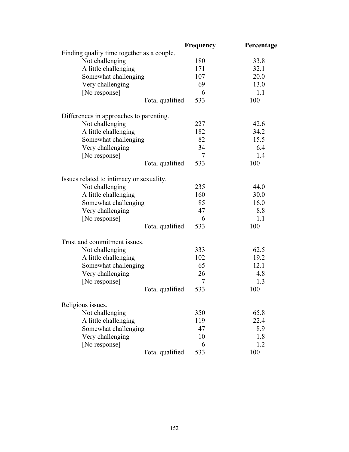|                                            | Frequency | Percentage |
|--------------------------------------------|-----------|------------|
| Finding quality time together as a couple. |           |            |
| Not challenging                            | 180       | 33.8       |
| A little challenging                       | 171       | 32.1       |
| Somewhat challenging                       | 107       | 20.0       |
| Very challenging                           | 69        | 13.0       |
| [No response]                              | 6         | 1.1        |
| Total qualified                            | 533       | 100        |
| Differences in approaches to parenting.    |           |            |
| Not challenging                            | 227       | 42.6       |
| A little challenging                       | 182       | 34.2       |
| Somewhat challenging                       | 82        | 15.5       |
| Very challenging                           | 34        | 6.4        |
| [No response]                              | 7         | 1.4        |
| Total qualified                            | 533       | 100        |
| Issues related to intimacy or sexuality.   |           |            |
| Not challenging                            | 235       | 44.0       |
| A little challenging                       | 160       | 30.0       |
| Somewhat challenging                       | 85        | 16.0       |
| Very challenging                           | 47        | 8.8        |
| [No response]                              | 6         | 1.1        |
| Total qualified                            | 533       | 100        |
| Trust and commitment issues.               |           |            |
| Not challenging                            | 333       | 62.5       |
| A little challenging                       | 102       | 19.2       |
| Somewhat challenging                       | 65        | 12.1       |
| Very challenging                           | 26        | 4.8        |
| [No response]                              | 7         | 1.3        |
| Total qualified                            | 533       | 100        |
| Religious issues.                          |           |            |
| Not challenging                            | 350       | 65.8       |
| A little challenging                       | 119       | 22.4       |
| Somewhat challenging                       | 47        | 8.9        |
| Very challenging                           | 10        | 1.8        |
| [No response]                              | 6         | 1.2        |
| Total qualified                            | 533       | 100        |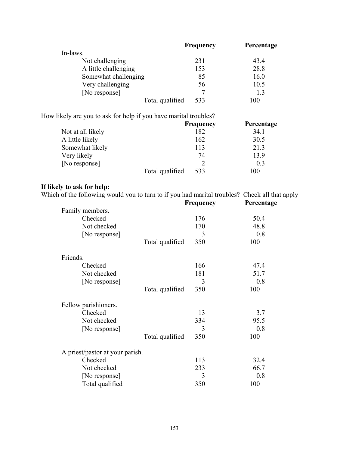|                      | <b>Frequency</b> | Percentage |
|----------------------|------------------|------------|
| In-laws.             |                  |            |
| Not challenging      | 231              | 43.4       |
| A little challenging | 153              | 28.8       |
| Somewhat challenging | 85               | 16.0       |
| Very challenging     | 56               | 10.5       |
| [No response]        |                  | 1.3        |
| Total qualified      | 533              | 100        |

How likely are you to ask for help if you have marital troubles?

|                   |                 | <b>Frequency</b> | Percentage |
|-------------------|-----------------|------------------|------------|
| Not at all likely |                 | 182              | 34.1       |
| A little likely   |                 | 162              | 30.5       |
| Somewhat likely   |                 | 113              | 21.3       |
| Very likely       |                 | 74               | 13.9       |
| [No response]     |                 |                  | 0.3        |
|                   | Total qualified | 533              | 100        |

# **If likely to ask for help:**

Which of the following would you to turn to if you had marital troubles? Check all that apply

|                                 |                 | Frequency | Percentage |
|---------------------------------|-----------------|-----------|------------|
| Family members.                 |                 |           |            |
| Checked                         |                 | 176       | 50.4       |
| Not checked                     |                 | 170       | 48.8       |
| [No response]                   |                 | 3         | 0.8        |
|                                 | Total qualified | 350       | 100        |
| Friends.                        |                 |           |            |
| Checked                         |                 | 166       | 47.4       |
| Not checked                     |                 | 181       | 51.7       |
| [No response]                   |                 | 3         | 0.8        |
|                                 | Total qualified | 350       | 100        |
| Fellow parishioners.            |                 |           |            |
| Checked                         |                 | 13        | 3.7        |
| Not checked                     |                 | 334       | 95.5       |
| [No response]                   |                 | 3         | 0.8        |
|                                 | Total qualified | 350       | 100        |
| A priest/pastor at your parish. |                 |           |            |
| Checked                         |                 | 113       | 32.4       |
| Not checked                     |                 | 233       | 66.7       |
| [No response]                   |                 | 3         | 0.8        |
| Total qualified                 |                 | 350       | 100        |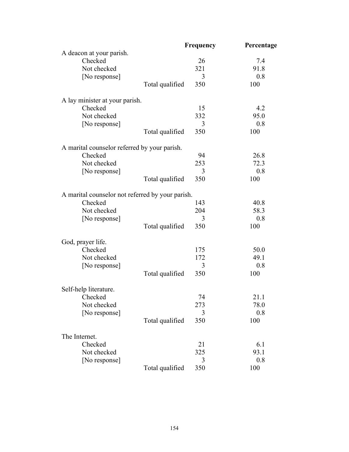|                                                  | Frequency              | Percentage |
|--------------------------------------------------|------------------------|------------|
| A deacon at your parish.                         |                        |            |
| Checked                                          | 26                     | 7.4        |
| Not checked                                      | 321                    | 91.8       |
| [No response]                                    | 3                      | 0.8        |
|                                                  | Total qualified<br>350 | 100        |
| A lay minister at your parish.                   |                        |            |
| Checked                                          | 15                     | 4.2        |
| Not checked                                      | 332                    | 95.0       |
| [No response]                                    | 3                      | 0.8        |
|                                                  | Total qualified<br>350 | 100        |
| A marital counselor referred by your parish.     |                        |            |
| Checked                                          | 94                     | 26.8       |
| Not checked                                      | 253                    | 72.3       |
| [No response]                                    | 3                      | 0.8        |
|                                                  | Total qualified<br>350 | 100        |
| A marital counselor not referred by your parish. |                        |            |
| Checked                                          | 143                    | 40.8       |
| Not checked                                      | 204                    | 58.3       |
| [No response]                                    | 3                      | 0.8        |
|                                                  | Total qualified<br>350 | 100        |
| God, prayer life.                                |                        |            |
| Checked                                          | 175                    | 50.0       |
| Not checked                                      | 172                    | 49.1       |
| [No response]                                    | 3                      | 0.8        |
|                                                  | Total qualified<br>350 | 100        |
| Self-help literature.                            |                        |            |
| Checked                                          | 74                     | 21.1       |
| Not checked                                      | 273                    | 78.0       |
| [No response]                                    | 3                      | 0.8        |
|                                                  | Total qualified<br>350 | 100        |
| The Internet.                                    |                        |            |
| Checked                                          | 21                     | 6.1        |
| Not checked                                      | 325                    | 93.1       |
| [No response]                                    | 3                      | 0.8        |
|                                                  | Total qualified<br>350 | 100        |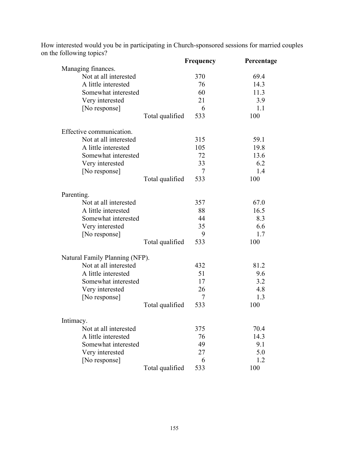|                 |                                                                                                                                                                      | Percentage                                     |
|-----------------|----------------------------------------------------------------------------------------------------------------------------------------------------------------------|------------------------------------------------|
|                 |                                                                                                                                                                      |                                                |
|                 |                                                                                                                                                                      | 69.4                                           |
|                 |                                                                                                                                                                      | 14.3                                           |
|                 |                                                                                                                                                                      | 11.3                                           |
|                 |                                                                                                                                                                      | 3.9                                            |
|                 |                                                                                                                                                                      | 1.1                                            |
|                 |                                                                                                                                                                      | 100                                            |
|                 |                                                                                                                                                                      |                                                |
|                 | 315                                                                                                                                                                  | 59.1                                           |
|                 | 105                                                                                                                                                                  | 19.8                                           |
|                 | 72                                                                                                                                                                   | 13.6                                           |
|                 | 33                                                                                                                                                                   | 6.2                                            |
|                 | 7                                                                                                                                                                    | 1.4                                            |
| Total qualified | 533                                                                                                                                                                  | 100                                            |
|                 |                                                                                                                                                                      |                                                |
|                 | 357                                                                                                                                                                  | 67.0                                           |
|                 | 88                                                                                                                                                                   | 16.5                                           |
|                 | 44                                                                                                                                                                   | 8.3                                            |
|                 | 35                                                                                                                                                                   | 6.6                                            |
|                 | 9                                                                                                                                                                    | 1.7                                            |
| Total qualified | 533                                                                                                                                                                  | 100                                            |
|                 |                                                                                                                                                                      |                                                |
|                 | 432                                                                                                                                                                  | 81.2                                           |
|                 | 51                                                                                                                                                                   | 9.6                                            |
|                 | 17                                                                                                                                                                   | 3.2                                            |
|                 | 26                                                                                                                                                                   | 4.8                                            |
|                 | 7                                                                                                                                                                    | 1.3                                            |
| Total qualified | 533                                                                                                                                                                  | 100                                            |
|                 |                                                                                                                                                                      |                                                |
|                 | 375                                                                                                                                                                  | 70.4                                           |
|                 | 76                                                                                                                                                                   | 14.3                                           |
|                 | 49                                                                                                                                                                   | 9.1                                            |
|                 | 27                                                                                                                                                                   | 5.0                                            |
|                 | 6                                                                                                                                                                    | 1.2                                            |
| Total qualified | 533                                                                                                                                                                  | 100                                            |
|                 | Somewhat interested<br>Total qualified<br>Somewhat interested<br>Somewhat interested<br>Natural Family Planning (NFP).<br>Somewhat interested<br>Somewhat interested | Frequency<br>370<br>76<br>60<br>21<br>6<br>533 |

How interested would you be in participating in Church-sponsored sessions for married couples on the following topics?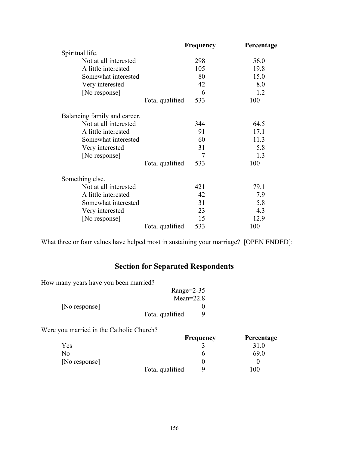|                              |                 | <b>Frequency</b> | Percentage |
|------------------------------|-----------------|------------------|------------|
| Spiritual life.              |                 |                  |            |
| Not at all interested        |                 | 298              | 56.0       |
| A little interested          |                 | 105              | 19.8       |
| Somewhat interested          |                 | 80               | 15.0       |
| Very interested              |                 | 42               | 8.0        |
| [No response]                |                 | 6                | 1.2        |
|                              | Total qualified | 533              | 100        |
| Balancing family and career. |                 |                  |            |
| Not at all interested        |                 | 344              | 64.5       |
| A little interested          |                 | 91               | 17.1       |
| Somewhat interested          |                 | 60               | 11.3       |
| Very interested              |                 | 31               | 5.8        |
| [No response]                |                 | 7                | 1.3        |
|                              | Total qualified | 533              | 100        |
| Something else.              |                 |                  |            |
| Not at all interested        |                 | 421              | 79.1       |
| A little interested          |                 | 42               | 7.9        |
| Somewhat interested          |                 | 31               | 5.8        |
| Very interested              |                 | 23               | 4.3        |
| [No response]                |                 | 15               | 12.9       |
|                              | Total qualified | 533              | 100        |

What three or four values have helped most in sustaining your marriage? [OPEN ENDED]:

# **Section for Separated Respondents**

How many years have you been married?

|               | Range= $2-35$   |  |
|---------------|-----------------|--|
|               | Mean= $22.8$    |  |
| [No response] |                 |  |
|               | Total qualified |  |

Were you married in the Catholic Church?

|               |                 | <b>Frequency</b> | Percentage |
|---------------|-----------------|------------------|------------|
| Yes           |                 |                  | 31.0       |
| No            |                 |                  | 69.0       |
| [No response] |                 |                  |            |
|               | Total qualified |                  | l 00       |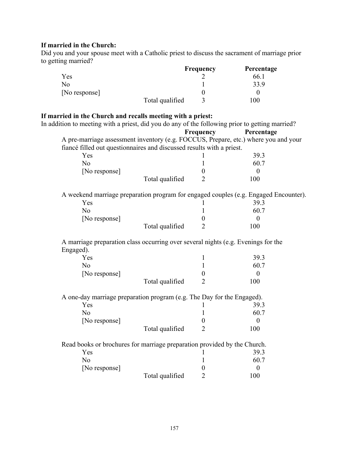# **If married in the Church:**

Did you and your spouse meet with a Catholic priest to discuss the sacrament of marriage prior to getting married?

|                |                 | <b>Frequency</b> | Percentage |
|----------------|-----------------|------------------|------------|
| Yes            |                 |                  | 66.1       |
| N <sub>o</sub> |                 |                  | 33.9       |
| [No response]  |                 |                  |            |
|                | Total qualified |                  | l 00       |

# **If married in the Church and recalls meeting with a priest:**

| In addition to meeting with a priest, did you do any of the following prior to getting married? |                  |                  |
|-------------------------------------------------------------------------------------------------|------------------|------------------|
|                                                                                                 | Frequency        | Percentage       |
| A pre-marriage assessment inventory (e.g. FOCCUS, Prepare, etc.) where you and your             |                  |                  |
| fiancé filled out questionnaires and discussed results with a priest.                           |                  |                  |
| Yes                                                                                             |                  | 39.3             |
| N <sub>0</sub>                                                                                  | 1                | 60.7             |
| [No response]                                                                                   | $\overline{0}$   | $\theta$         |
| Total qualified                                                                                 | $\overline{2}$   | 100              |
| A weekend marriage preparation program for engaged couples (e.g. Engaged Encounter).            |                  |                  |
| Yes                                                                                             |                  | 39.3             |
| N <sub>0</sub>                                                                                  | 1                | 60.7             |
| [No response]                                                                                   | $\overline{0}$   | $\theta$         |
| Total qualified                                                                                 | $\overline{2}$   | 100              |
| A marriage preparation class occurring over several nights (e.g. Evenings for the<br>Engaged).  |                  |                  |
| Yes                                                                                             | 1                | 39.3             |
| N <sub>o</sub>                                                                                  | 1                | 60.7             |
| [No response]                                                                                   | $\overline{0}$   | $\theta$         |
| Total qualified                                                                                 | $\overline{2}$   | 100              |
| A one-day marriage preparation program (e.g. The Day for the Engaged).                          |                  |                  |
| Yes                                                                                             |                  | 39.3             |
| N <sub>o</sub>                                                                                  | 1                | 60.7             |
| [No response]                                                                                   | $\boldsymbol{0}$ | $\theta$         |
| Total qualified                                                                                 | $\overline{2}$   | 100              |
| Read books or brochures for marriage preparation provided by the Church.                        |                  |                  |
| Yes                                                                                             |                  | 39.3             |
| N <sub>o</sub>                                                                                  | 1                | 60.7             |
| [No response]                                                                                   | $\boldsymbol{0}$ | $\boldsymbol{0}$ |
| Total qualified                                                                                 | $\overline{2}$   | 100              |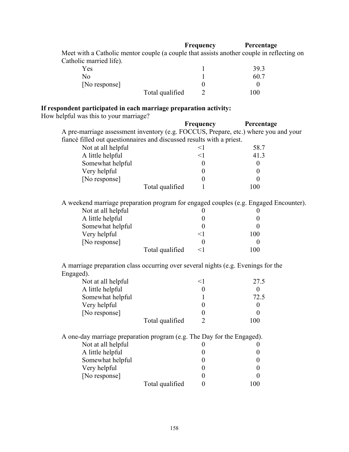#### **Frequency** Percentage

 Meet with a Catholic mentor couple (a couple that assists another couple in reflecting on Catholic married life).

| Yes             | 39.3 |
|-----------------|------|
| No              | 60.7 |
| [No response]   |      |
| Total qualified | 100  |

# **If respondent participated in each marriage preparation activity:**

How helpful was this to your marriage?

|                                                                                      | Frequency           | Percentage       |
|--------------------------------------------------------------------------------------|---------------------|------------------|
| A pre-marriage assessment inventory (e.g. FOCCUS, Prepare, etc.) where you and your  |                     |                  |
| fiancé filled out questionnaires and discussed results with a priest.                |                     |                  |
| Not at all helpful                                                                   | $\leq$ 1            | 58.7             |
| A little helpful                                                                     | $\leq$ 1            | 41.3             |
| Somewhat helpful                                                                     | $\boldsymbol{0}$    | $\boldsymbol{0}$ |
| Very helpful                                                                         | $\boldsymbol{0}$    | $\boldsymbol{0}$ |
| [No response]                                                                        | $\boldsymbol{0}$    | $\theta$         |
| Total qualified                                                                      | 1                   | 100              |
| A weekend marriage preparation program for engaged couples (e.g. Engaged Encounter). |                     |                  |
| Not at all helpful                                                                   | $\theta$            | $\theta$         |
| A little helpful                                                                     | $\boldsymbol{0}$    | $\boldsymbol{0}$ |
| Somewhat helpful                                                                     | $\boldsymbol{0}$    | $\theta$         |
| Very helpful                                                                         | $\leq$ 1            | 100              |
| [No response]                                                                        | $\boldsymbol{0}$    | $\theta$         |
| Total qualified                                                                      | $\leq$ 1            | 100              |
| A marriage preparation class occurring over several nights (e.g. Evenings for the    |                     |                  |
| Engaged).<br>Not at all helpful                                                      | $\leq$ 1            | 27.5             |
|                                                                                      |                     | $\boldsymbol{0}$ |
| A little helpful                                                                     | $\boldsymbol{0}$    | 72.5             |
| Somewhat helpful<br>Very helpful                                                     | 1<br>$\overline{0}$ | $\boldsymbol{0}$ |
| [No response]                                                                        | $\boldsymbol{0}$    | $\overline{0}$   |
| Total qualified                                                                      | $\overline{2}$      | 100              |
|                                                                                      |                     |                  |
| A one-day marriage preparation program (e.g. The Day for the Engaged).               |                     |                  |
| Not at all helpful                                                                   | $\theta$            | O                |
| A little helpful                                                                     | $\boldsymbol{0}$    | $\boldsymbol{0}$ |
| Somewhat helpful                                                                     | $\theta$            | $\theta$         |
| Very helpful                                                                         | $\boldsymbol{0}$    | $\boldsymbol{0}$ |
| [No response]                                                                        | $\overline{0}$      | $\boldsymbol{0}$ |

| [No response] |                 |     |
|---------------|-----------------|-----|
|               | Total qualified | 100 |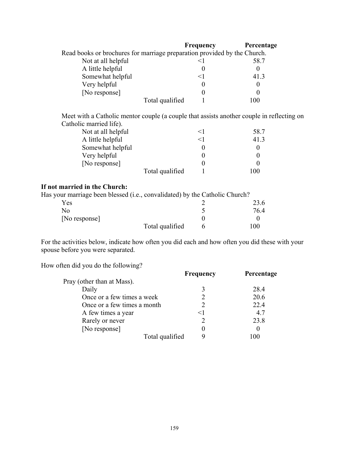|                                                                          | Frequency | Percentage |
|--------------------------------------------------------------------------|-----------|------------|
| Read books or brochures for marriage preparation provided by the Church. |           |            |
| Not at all helpful                                                       |           | 58.7       |
| A little helpful                                                         |           |            |
| Somewhat helpful                                                         | $\leq$ 1  | 41.3       |
| Very helpful                                                             |           |            |
| [No response]                                                            |           |            |
| Total qualified                                                          |           | ۱۵۵        |

 Meet with a Catholic mentor couple (a couple that assists another couple in reflecting on Catholic married life).

| Not at all helpful |                 |       | 58.7 |
|--------------------|-----------------|-------|------|
| A little helpful   |                 | $<$ 1 | 41.3 |
| Somewhat helpful   |                 |       |      |
| Very helpful       |                 |       |      |
| [No response]      |                 |       |      |
|                    | Total qualified |       | 100  |
|                    |                 |       |      |

# **If not married in the Church:**

Has your marriage been blessed (i.e., convalidated) by the Catholic Church?

| -<br>-<br>Yes | ___<br>.        |   | 23.6 |
|---------------|-----------------|---|------|
| No            |                 |   | 76.4 |
| [No response] |                 |   |      |
|               | Total qualified | h | 100  |
|               |                 |   |      |

For the activities below, indicate how often you did each and how often you did these with your spouse before you were separated.

How often did you do the following?

|                             | <b>Frequency</b> | Percentage |
|-----------------------------|------------------|------------|
| Pray (other than at Mass).  |                  |            |
| Daily                       |                  | 28.4       |
| Once or a few times a week  |                  | 20.6       |
| Once or a few times a month |                  | 22.4       |
| A few times a year          | $\leq$ 1         | 4.7        |
| Rarely or never             |                  | 23.8       |
| [No response]               |                  |            |
| Total qualified             |                  | 00         |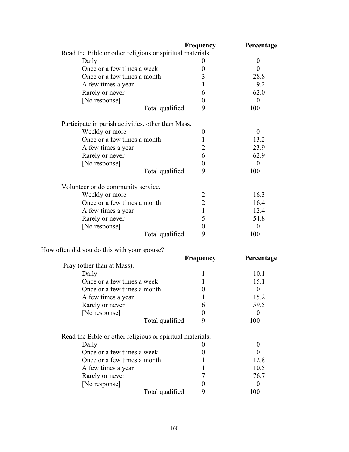|                                                           | Frequency        | Percentage       |
|-----------------------------------------------------------|------------------|------------------|
| Read the Bible or other religious or spiritual materials. |                  |                  |
| Daily                                                     |                  | $\boldsymbol{0}$ |
| Once or a few times a week                                | 0                | $\overline{0}$   |
| Once or a few times a month                               | 3                | 28.8             |
| A few times a year                                        | 1                | 9.2              |
| Rarely or never                                           | 6                | 62.0             |
| [No response]                                             | 0                | $\theta$         |
| Total qualified                                           | 9                | 100              |
| Participate in parish activities, other than Mass.        |                  |                  |
| Weekly or more                                            | $\boldsymbol{0}$ | $\theta$         |
| Once or a few times a month                               | 1                | 13.2             |
| A few times a year                                        | $\overline{2}$   | 23.9             |
| Rarely or never                                           | 6                | 62.9             |
| [No response]                                             | 0                | $\theta$         |
| Total qualified                                           | 9                | 100              |
| Volunteer or do community service.                        |                  |                  |
| Weekly or more                                            | $\overline{2}$   | 16.3             |
| Once or a few times a month                               | $\overline{2}$   | 16.4             |
| A few times a year                                        | 1                | 12.4             |
| Rarely or never                                           | 5                | 54.8             |
| [No response]                                             | $\boldsymbol{0}$ | $\theta$         |
| Total qualified                                           | 9                | 100              |
| How often did you do this with your spouse?               |                  |                  |
|                                                           | Frequency        | Percentage       |
| Pray (other than at Mass).                                |                  |                  |

| Tray (Other than at iviass).                              |   |      |
|-----------------------------------------------------------|---|------|
| Daily                                                     |   | 10.1 |
| Once or a few times a week                                |   | 15.1 |
| Once or a few times a month                               |   |      |
| A few times a year                                        |   | 15.2 |
| Rarely or never                                           | 6 | 59.5 |
| [No response]                                             |   |      |
| Total qualified                                           | 9 | 100  |
| Read the Bible or other religious or spiritual materials. |   |      |
| Daily                                                     |   |      |
| Once or a few times a week                                |   |      |
| Once or a few times a month                               |   | 12.8 |
| A few times a year                                        |   | 10.5 |
| Rarely or never                                           |   | 76.7 |
| [No response]                                             |   |      |
| Total qualified                                           | 9 | 100  |
|                                                           |   |      |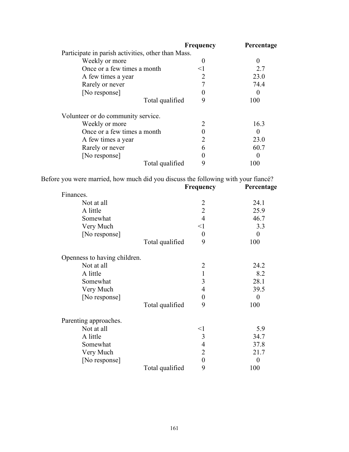|                                                    | <b>Frequency</b> | Percentage |
|----------------------------------------------------|------------------|------------|
| Participate in parish activities, other than Mass. |                  |            |
| Weekly or more                                     |                  | 0          |
| Once or a few times a month                        | $\leq$ 1         | 2.7        |
| A few times a year                                 |                  | 23.0       |
| Rarely or never                                    |                  | 74.4       |
| [No response]                                      |                  | 0          |
| Total qualified                                    | 9                | 100        |
| Volunteer or do community service.                 |                  |            |
| Weekly or more                                     | 2                | 16.3       |
| Once or a few times a month                        |                  | $\theta$   |
| A few times a year                                 |                  | 23.0       |
| Rarely or never                                    | n                | 60.7       |
| [No response]                                      |                  | $\theta$   |
| Total qualified                                    | 9                | 100        |

Before you were married, how much did you discuss the following with your fiancé?<br>Frequency Percentage

|                              | <b>Frequency</b>     | Percentage     |
|------------------------------|----------------------|----------------|
| Finances.                    |                      |                |
| Not at all                   | $\overline{2}$       | 24.1           |
| A little                     | $\overline{2}$       | 25.9           |
| Somewhat                     | $\overline{4}$       | 46.7           |
| Very Much                    | $<$ l                | 3.3            |
| [No response]                | $\boldsymbol{0}$     | $\overline{0}$ |
|                              | 9<br>Total qualified | 100            |
| Openness to having children. |                      |                |
| Not at all                   | $\overline{2}$       | 24.2           |
| A little                     | $\mathbf{1}$         | 8.2            |
| Somewhat                     | 3                    | 28.1           |
| Very Much                    | $\overline{4}$       | 39.5           |
| [No response]                | $\boldsymbol{0}$     | $\theta$       |
|                              | 9<br>Total qualified | 100            |
| Parenting approaches.        |                      |                |
| Not at all                   | $<$ 1                | 5.9            |
| A little                     | 3                    | 34.7           |
| Somewhat                     | $\overline{4}$       | 37.8           |
| Very Much                    | $\overline{2}$       | 21.7           |
| [No response]                | $\overline{0}$       | $\overline{0}$ |
|                              | 9<br>Total qualified | 100            |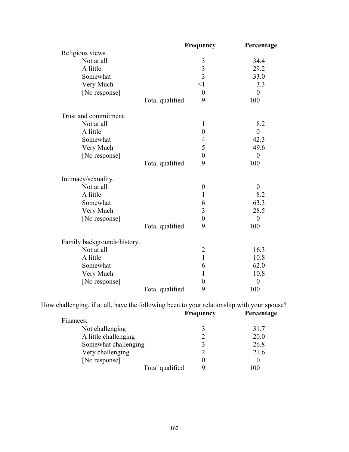| 34.4<br>29.2<br>33.0<br>3.3<br>8.2 |
|------------------------------------|
|                                    |
|                                    |
|                                    |
|                                    |
|                                    |
|                                    |
|                                    |
|                                    |
|                                    |
|                                    |
| 42.3                               |
| 49.6                               |
|                                    |
|                                    |
|                                    |
|                                    |
| 8.2                                |
| 63.3                               |
| 28.5                               |
|                                    |
|                                    |
|                                    |
| 16.3                               |
| 10.8                               |
| 62.0                               |
| 10.8                               |
|                                    |
|                                    |
|                                    |

How challenging, if at all, have the following been to your relationship with your spouse?

|           |                      | <b>Frequency</b> | Percentage |
|-----------|----------------------|------------------|------------|
| Finances. |                      |                  |            |
|           | Not challenging      |                  | 31.7       |
|           | A little challenging |                  | 20.0       |
|           | Somewhat challenging |                  | 26.8       |
|           | Very challenging     |                  | 21.6       |
|           | [No response]        |                  |            |
|           | Total qualified      |                  | 100        |
|           |                      |                  |            |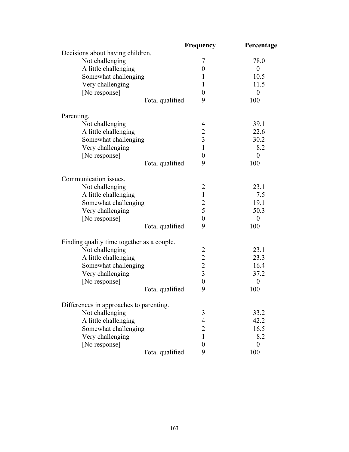|                                            | Frequency               | Percentage       |
|--------------------------------------------|-------------------------|------------------|
| Decisions about having children.           |                         |                  |
| Not challenging                            | 7                       | 78.0             |
| A little challenging                       | $\boldsymbol{0}$        | $\boldsymbol{0}$ |
| Somewhat challenging                       | 1                       | 10.5             |
| Very challenging                           | 1                       | 11.5             |
| [No response]                              | $\boldsymbol{0}$        | $\boldsymbol{0}$ |
| Total qualified                            | 9                       | 100              |
| Parenting.                                 |                         |                  |
| Not challenging                            | 4                       | 39.1             |
| A little challenging                       | $\overline{2}$          | 22.6             |
| Somewhat challenging                       | $\overline{\mathbf{3}}$ | 30.2             |
| Very challenging                           | $\mathbf{1}$            | 8.2              |
| [No response]                              | $\boldsymbol{0}$        | $\theta$         |
| Total qualified                            | 9                       | 100              |
| Communication issues.                      |                         |                  |
| Not challenging                            | $\overline{2}$          | 23.1             |
| A little challenging                       | $\mathbf{1}$            | 7.5              |
| Somewhat challenging                       | $\overline{c}$          | 19.1             |
| Very challenging                           | 5                       | 50.3             |
| [No response]                              | $\boldsymbol{0}$        | $\boldsymbol{0}$ |
| Total qualified                            | 9                       | 100              |
| Finding quality time together as a couple. |                         |                  |
| Not challenging                            | $\overline{2}$          | 23.1             |
| A little challenging                       | $\overline{2}$          | 23.3             |
| Somewhat challenging                       | $\overline{2}$          | 16.4             |
| Very challenging                           | $\overline{3}$          | 37.2             |
| [No response]                              | $\boldsymbol{0}$        | $\boldsymbol{0}$ |
| Total qualified                            | 9                       | 100              |
| Differences in approaches to parenting.    |                         |                  |
| Not challenging                            | 3                       | 33.2             |
| A little challenging                       | $\overline{4}$          | 42.2             |
| Somewhat challenging                       | $\overline{2}$          | 16.5             |
| Very challenging                           | 1                       | 8.2              |
| [No response]                              | $\boldsymbol{0}$        | $\theta$         |
| Total qualified                            | 9                       | 100              |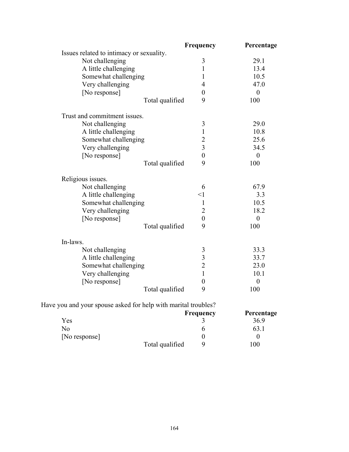|                                          | Frequency               | Percentage       |
|------------------------------------------|-------------------------|------------------|
| Issues related to intimacy or sexuality. |                         |                  |
| Not challenging                          | 3                       | 29.1             |
| A little challenging                     | $\mathbf{1}$            | 13.4             |
| Somewhat challenging                     | $\mathbf{1}$            | 10.5             |
| Very challenging                         | $\overline{4}$          | 47.0             |
| [No response]                            | $\boldsymbol{0}$        | $\boldsymbol{0}$ |
| Total qualified                          | 9                       | 100              |
| Trust and commitment issues.             |                         |                  |
| Not challenging                          | 3                       | 29.0             |
| A little challenging                     | $\mathbf{1}$            | 10.8             |
| Somewhat challenging                     | $\overline{2}$          | 25.6             |
| Very challenging                         | $\overline{3}$          | 34.5             |
| [No response]                            | $\overline{0}$          | $\boldsymbol{0}$ |
| Total qualified                          | 9                       | 100              |
| Religious issues.                        |                         |                  |
| Not challenging                          | 6                       | 67.9             |
| A little challenging                     | $<$ l                   | 3.3              |
| Somewhat challenging                     | $\mathbf{1}$            | 10.5             |
| Very challenging                         | $\overline{2}$          | 18.2             |
| [No response]                            | $\boldsymbol{0}$        | $\boldsymbol{0}$ |
| Total qualified                          | 9                       | 100              |
| In-laws.                                 |                         |                  |
| Not challenging                          | 3                       | 33.3             |
| A little challenging                     | $\overline{\mathbf{3}}$ | 33.7             |
| Somewhat challenging                     | $\overline{2}$          | 23.0             |
| Very challenging                         | $\mathbf{1}$            | 10.1             |
| [No response]                            | $\boldsymbol{0}$        | $\boldsymbol{0}$ |
| Total qualified                          | 9                       | 100              |

|  | Have you and your spouse asked for help with marital troubles? |
|--|----------------------------------------------------------------|
|--|----------------------------------------------------------------|

|               |                 | <b>Frequency</b> | Percentage |
|---------------|-----------------|------------------|------------|
| Yes           |                 |                  | 36.9       |
| No            |                 |                  | 63.1       |
| [No response] |                 |                  |            |
|               | Total qualified |                  | 00         |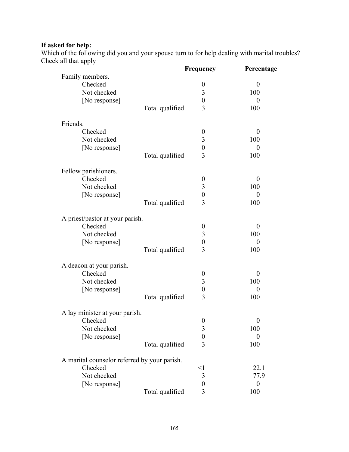# **If asked for help:**

Which of the following did you and your spouse turn to for help dealing with marital troubles? Check all that apply

|                                              |                 | Frequency        | Percentage       |
|----------------------------------------------|-----------------|------------------|------------------|
| Family members.                              |                 |                  |                  |
| Checked                                      |                 | $\boldsymbol{0}$ | $\boldsymbol{0}$ |
| Not checked                                  |                 | $\mathfrak{Z}$   | 100              |
| [No response]                                |                 | $\boldsymbol{0}$ | $\boldsymbol{0}$ |
|                                              | Total qualified | 3                | 100              |
| Friends.                                     |                 |                  |                  |
| Checked                                      |                 | $\boldsymbol{0}$ | $\overline{0}$   |
| Not checked                                  |                 | $\mathfrak{Z}$   | 100              |
| [No response]                                |                 | $\boldsymbol{0}$ | $\boldsymbol{0}$ |
|                                              | Total qualified | $\overline{3}$   | 100              |
| Fellow parishioners.                         |                 |                  |                  |
| Checked                                      |                 | $\boldsymbol{0}$ | $\theta$         |
| Not checked                                  |                 | $\mathfrak{Z}$   | 100              |
| [No response]                                |                 | $\boldsymbol{0}$ | $\boldsymbol{0}$ |
|                                              | Total qualified | $\overline{3}$   | 100              |
| A priest/pastor at your parish.              |                 |                  |                  |
| Checked                                      |                 | $\boldsymbol{0}$ | $\boldsymbol{0}$ |
| Not checked                                  |                 | $\mathfrak{Z}$   | 100              |
| [No response]                                |                 | $\boldsymbol{0}$ | $\boldsymbol{0}$ |
|                                              | Total qualified | 3                | 100              |
| A deacon at your parish.                     |                 |                  |                  |
| Checked                                      |                 | $\boldsymbol{0}$ | $\theta$         |
| Not checked                                  |                 | 3                | 100              |
| [No response]                                |                 | $\boldsymbol{0}$ | $\boldsymbol{0}$ |
|                                              | Total qualified | $\overline{3}$   | 100              |
| A lay minister at your parish.               |                 |                  |                  |
| Checked                                      |                 | $\boldsymbol{0}$ | $\boldsymbol{0}$ |
| Not checked                                  |                 | 3                | 100              |
| [No response]                                |                 | $\boldsymbol{0}$ | $\boldsymbol{0}$ |
|                                              | Total qualified | 3                | 100              |
| A marital counselor referred by your parish. |                 |                  |                  |
| Checked                                      |                 | $\leq$ 1         | 22.1             |
| Not checked                                  |                 | $\mathfrak{Z}$   | 77.9             |
| [No response]                                |                 | $\boldsymbol{0}$ | $\boldsymbol{0}$ |
|                                              | Total qualified | $\overline{3}$   | 100              |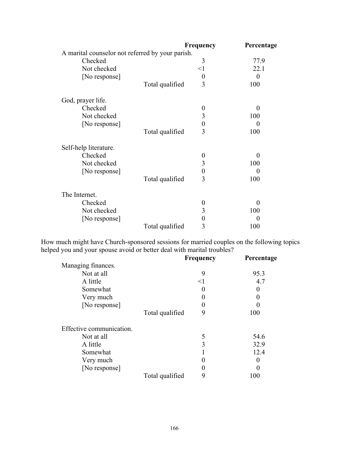|                                                  |                 | Frequency        | Percentage       |
|--------------------------------------------------|-----------------|------------------|------------------|
| A marital counselor not referred by your parish. |                 |                  |                  |
| Checked                                          |                 | 3                | 77.9             |
| Not checked                                      |                 | $\leq$ 1         | 22.1             |
| [No response]                                    |                 | $\boldsymbol{0}$ | $\overline{0}$   |
|                                                  | Total qualified | 3                | 100              |
| God, prayer life.                                |                 |                  |                  |
| Checked                                          |                 | $\boldsymbol{0}$ | $\overline{0}$   |
| Not checked                                      |                 | 3                | 100              |
| [No response]                                    |                 | $\boldsymbol{0}$ | $\theta$         |
|                                                  | Total qualified | 3                | 100              |
| Self-help literature.                            |                 |                  |                  |
| Checked                                          |                 | $\boldsymbol{0}$ | 0                |
| Not checked                                      |                 | 3                | 100              |
| [No response]                                    |                 | 0                | $\theta$         |
|                                                  | Total qualified | 3                | 100              |
| The Internet.                                    |                 |                  |                  |
| Checked                                          |                 | $\boldsymbol{0}$ | $\boldsymbol{0}$ |
| Not checked                                      |                 | 3                | 100              |
| [No response]                                    |                 | 0                | 0                |
|                                                  | Total qualified | 3                | 100              |

How much might have Church-sponsored sessions for married couples on the following topics helped you and your spouse avoid or better deal with marital troubles?

|                          |                 | <b>Frequency</b> | Percentage |
|--------------------------|-----------------|------------------|------------|
| Managing finances.       |                 |                  |            |
| Not at all               |                 | 9                | 95.3       |
| A little                 |                 | $<$ 1            | 4.7        |
| Somewhat                 |                 |                  | $\theta$   |
| Very much                |                 |                  | 0          |
| [No response]            |                 |                  |            |
|                          | Total qualified | 9                | 100        |
| Effective communication. |                 |                  |            |
| Not at all               |                 | 5                | 54.6       |
| A little                 |                 | 3                | 32.9       |
| Somewhat                 |                 |                  | 12.4       |
| Very much                |                 |                  |            |
| [No response]            |                 |                  | 0          |
|                          | Total qualified | 9                | 100        |
|                          |                 |                  |            |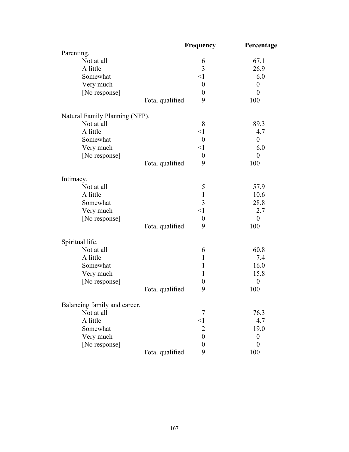|                                | Frequency            | Percentage       |
|--------------------------------|----------------------|------------------|
| Parenting.                     |                      |                  |
| Not at all                     | 6                    | 67.1             |
| A little                       | 3                    | 26.9             |
| Somewhat                       | $\leq$ 1             | 6.0              |
| Very much                      | $\boldsymbol{0}$     | $\boldsymbol{0}$ |
| [No response]                  | $\boldsymbol{0}$     | $\boldsymbol{0}$ |
|                                | 9<br>Total qualified | 100              |
| Natural Family Planning (NFP). |                      |                  |
| Not at all                     | 8                    | 89.3             |
| A little                       | $\leq$ 1             | 4.7              |
| Somewhat                       | $\boldsymbol{0}$     | $\boldsymbol{0}$ |
| Very much                      | $\leq$ 1             | 6.0              |
| [No response]                  | $\boldsymbol{0}$     | $\boldsymbol{0}$ |
|                                | 9<br>Total qualified | 100              |
| Intimacy.                      |                      |                  |
| Not at all                     | 5                    | 57.9             |
| A little                       | $\mathbf{1}$         | 10.6             |
| Somewhat                       | 3                    | 28.8             |
| Very much                      | $\leq$ 1             | 2.7              |
| [No response]                  | $\boldsymbol{0}$     | $\boldsymbol{0}$ |
|                                | Total qualified<br>9 | 100              |
| Spiritual life.                |                      |                  |
| Not at all                     | 6                    | 60.8             |
| A little                       | 1                    | 7.4              |
| Somewhat                       | 1                    | 16.0             |
| Very much                      | $\mathbf{1}$         | 15.8             |
| [No response]                  | $\boldsymbol{0}$     | $\boldsymbol{0}$ |
|                                | Total qualified<br>9 | 100              |
| Balancing family and career.   |                      |                  |
| Not at all                     | 7                    | 76.3             |
| A little                       | $\leq$ 1             | 4.7              |
| Somewhat                       | $\overline{2}$       | 19.0             |
| Very much                      | $\boldsymbol{0}$     | $\boldsymbol{0}$ |
| [No response]                  | $\overline{0}$       | $\theta$         |
|                                | Total qualified<br>9 | 100              |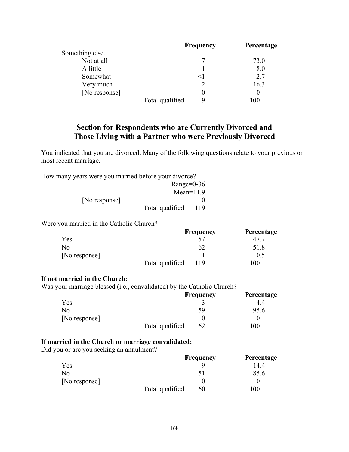|                 |                 | Frequency | Percentage |
|-----------------|-----------------|-----------|------------|
| Something else. |                 |           |            |
| Not at all      |                 |           | 73.0       |
| A little        |                 |           | 8.0        |
| Somewhat        |                 | $\leq$ 1  | 2.7        |
| Very much       |                 |           | 16.3       |
| [No response]   |                 |           | $\theta$   |
|                 | Total qualified | Q         | 100        |
|                 |                 |           |            |

# **Section for Respondents who are Currently Divorced and Those Living with a Partner who were Previously Divorced**

You indicated that you are divorced. Many of the following questions relate to your previous or most recent marriage.

How many years were you married before your divorce?

|               | Range= $0-36$   |     |
|---------------|-----------------|-----|
|               | $Mean=11.9$     |     |
| [No response] |                 |     |
|               | Total qualified | 119 |

Were you married in the Catholic Church?

|               |                 | Frequency | Percentage     |
|---------------|-----------------|-----------|----------------|
| Yes           |                 |           |                |
| No            |                 | 62        | 51.8           |
| [No response] |                 |           | 0.5            |
|               | Total qualified | 119       | 0 <sup>0</sup> |

#### **If not married in the Church:**

Was your marriage blessed (i.e., convalidated) by the Catholic Church?

|               |                 | <b>Frequency</b> | Percentage |
|---------------|-----------------|------------------|------------|
| Yes           |                 |                  | 4.4        |
| No.           |                 | 59               | 95.6       |
| [No response] |                 |                  |            |
|               | Total qualified | 62               | 00         |

### **If married in the Church or marriage convalidated:**

Did you or are you seeking an annulment?

|               |                 | Frequency      | Percentage |
|---------------|-----------------|----------------|------------|
| Yes           |                 |                | 14.4       |
| No            |                 | $\mathsf{S}$ l | 85.6       |
| [No response] |                 |                |            |
|               | Total qualified | 60             | $_{00}$    |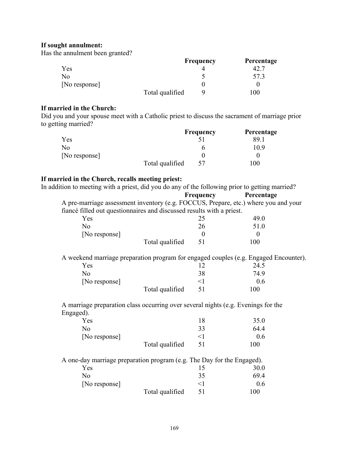# **If sought annulment:**

Has the annulment been granted?

|               |                 | <b>Frequency</b> | Percentage |
|---------------|-----------------|------------------|------------|
| Yes           |                 |                  |            |
| Nο            |                 |                  | 57.3       |
| [No response] |                 |                  |            |
|               | Total qualified |                  | 00         |

### **If married in the Church:**

Did you and your spouse meet with a Catholic priest to discuss the sacrament of marriage prior to getting married?

|               |                 | <b>Frequency</b> | Percentage |
|---------------|-----------------|------------------|------------|
| Yes           |                 |                  | 89.1       |
| No            |                 |                  | 10.9       |
| [No response] |                 |                  |            |
|               | Total qualified | 57               | 100        |

#### **If married in the Church, recalls meeting priest:**

| In addition to meeting with a priest, did you do any of the following prior to getting married? |           |            |
|-------------------------------------------------------------------------------------------------|-----------|------------|
|                                                                                                 | Frequency | Percentage |
| A pre-marriage assessment inventory (e.g. FOCCUS, Prepare, etc.) where you and your             |           |            |
| fiancé filled out questionnaires and discussed results with a priest.                           |           |            |
| Yes                                                                                             | 25        | 49.0       |
| N <sub>o</sub>                                                                                  | 26        | 51.0       |
| [No response]                                                                                   | $\theta$  | $\theta$   |
| Total qualified                                                                                 | 51        | 100        |
| A weekend marriage preparation program for engaged couples (e.g. Engaged Encounter).            |           |            |
| Yes                                                                                             | 12        | 24.5       |
| N <sub>0</sub>                                                                                  | 38        | 74.9       |
| [No response]                                                                                   | $\leq$ 1  | 0.6        |
| Total qualified                                                                                 | 51        | 100        |
| A marriage preparation class occurring over several nights (e.g. Evenings for the               |           |            |
| Engaged).                                                                                       |           |            |
| Yes                                                                                             | 18        | 35.0       |
| N <sub>0</sub>                                                                                  | 33        | 64.4       |
| [No response]                                                                                   | $\leq$ 1  | 0.6        |
| Total qualified                                                                                 | 51        | 100        |
| A one-day marriage preparation program (e.g. The Day for the Engaged).                          |           |            |
| Yes                                                                                             | 15        | 30.0       |
| N <sub>0</sub>                                                                                  | 35        | 69.4       |
| [No response]                                                                                   | $\leq$ 1  | 0.6        |
| Total qualified                                                                                 | 51        | 100        |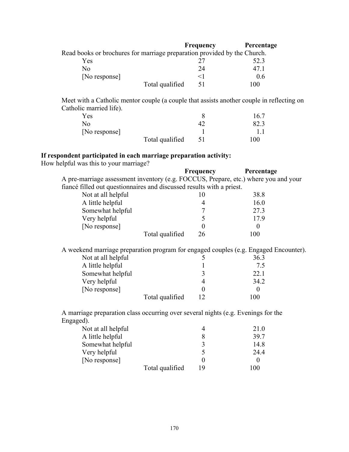|                                                                          | <b>Frequency</b> | Percentage |
|--------------------------------------------------------------------------|------------------|------------|
| Read books or brochures for marriage preparation provided by the Church. |                  |            |
| Yes                                                                      |                  | 52.3       |
| No                                                                       | 24               | 47 1       |
| [No response]                                                            | $\leq$ 1         | 0.6        |
| Total qualified                                                          | 51               | 100        |

 Meet with a Catholic mentor couple (a couple that assists another couple in reflecting on Catholic married life).

| Yes           |                 |     | 16.7 |
|---------------|-----------------|-----|------|
| No.           |                 |     | 82.3 |
| [No response] |                 |     |      |
|               | Total qualified | -51 | 100  |

# **If respondent participated in each marriage preparation activity:**

How helpful was this to your marriage?

|                                                                                     | Frequency | Percentage                      |
|-------------------------------------------------------------------------------------|-----------|---------------------------------|
| A pre-marriage assessment inventory (e.g. FOCCUS, Prepare, etc.) where you and your |           |                                 |
| fiancé filled out questionnaires and discussed results with a priest.               |           |                                 |
| Not at all helpful                                                                  | 10        | 38.8                            |
| A little helpful                                                                    | 4         | 16.0                            |
| Somewhat helpful                                                                    |           | 27.3                            |
| Very helpful                                                                        | C         | 17.9                            |
| [No response]                                                                       |           | $\Omega$                        |
| Total qualified                                                                     | 26        | 100                             |
| Not at all helpful                                                                  |           | 36.3                            |
| A little helpful<br>Somewhat helpful<br>Very helpful<br>[No response]               | 4         | 7.5<br>22.1<br>34.2<br>$\Omega$ |

| Lingagea).         |                 |    |      |
|--------------------|-----------------|----|------|
| Not at all helpful |                 | 4  | 21.0 |
| A little helpful   |                 |    | 39.7 |
| Somewhat helpful   |                 |    | 14.8 |
| Very helpful       |                 |    | 24.4 |
| [No response]      |                 |    |      |
|                    | Total qualified | 19 | 100  |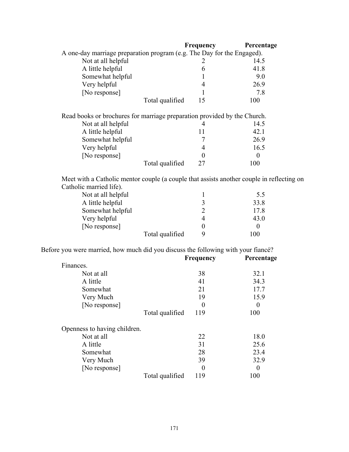|                                                                                           | <b>Frequency</b> | Percentage |  |
|-------------------------------------------------------------------------------------------|------------------|------------|--|
| A one-day marriage preparation program (e.g. The Day for the Engaged).                    |                  |            |  |
| Not at all helpful                                                                        | 2                | 14.5       |  |
| A little helpful                                                                          | 6                | 41.8       |  |
| Somewhat helpful                                                                          |                  | 9.0        |  |
| Very helpful                                                                              | 4                | 26.9       |  |
| [No response]                                                                             |                  | 7.8        |  |
| Total qualified                                                                           | 15               | 100        |  |
| Read books or brochures for marriage preparation provided by the Church.                  |                  |            |  |
| Not at all helpful                                                                        | 4                | 14.5       |  |
| A little helpful                                                                          | 11               | 42.1       |  |
| Somewhat helpful                                                                          |                  | 26.9       |  |
| Very helpful                                                                              | 4                | 16.5       |  |
| [No response]                                                                             | 0                | $\Omega$   |  |
| Total qualified                                                                           | 27               | 100        |  |
| Meet with a Catholic mentor couple (a couple that assists another couple in reflecting on |                  |            |  |
| Catholic married life).                                                                   |                  |            |  |
| Not at all helpful                                                                        | $\mathbf 1$      | 5.5        |  |
| A little helpful                                                                          | 3                | 33.8       |  |
| Somewhat helpful                                                                          | $\overline{c}$   | 17.8       |  |
| Very helpful                                                                              | 4                | 43.0       |  |

Before you were married, how much did you discuss the following with your fiancé?

Total qualified 9 100

[No response] 0 0

|                              | <b>Frequency</b>       | Percentage     |
|------------------------------|------------------------|----------------|
| Finances.                    |                        |                |
| Not at all                   | 38                     | 32.1           |
| A little                     | 41                     | 34.3           |
| Somewhat                     | 21                     | 17.7           |
| Very Much                    | 19                     | 15.9           |
| [No response]                | $\theta$               | $\overline{0}$ |
|                              | 119<br>Total qualified | 100            |
| Openness to having children. |                        |                |
| Not at all                   | 22                     | 18.0           |
| A little                     | 31                     | 25.6           |
| Somewhat                     | 28                     | 23.4           |
| Very Much                    | 39                     | 32.9           |
| [No response]                | $\theta$               | $\theta$       |
|                              | Total qualified<br>119 | 100            |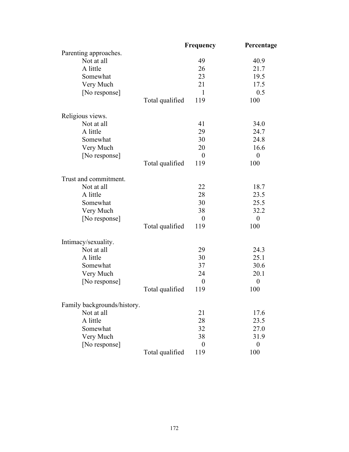|                             |                 | Frequency        | Percentage       |
|-----------------------------|-----------------|------------------|------------------|
| Parenting approaches.       |                 |                  |                  |
| Not at all                  |                 | 49               | 40.9             |
| A little                    |                 | 26               | 21.7             |
| Somewhat                    |                 | 23               | 19.5             |
| Very Much                   |                 | 21               | 17.5             |
| [No response]               |                 | $\mathbf{1}$     | 0.5              |
|                             | Total qualified | 119              | 100              |
| Religious views.            |                 |                  |                  |
| Not at all                  |                 | 41               | 34.0             |
| A little                    |                 | 29               | 24.7             |
| Somewhat                    |                 | 30               | 24.8             |
| Very Much                   |                 | 20               | 16.6             |
| [No response]               |                 | $\boldsymbol{0}$ | $\boldsymbol{0}$ |
|                             | Total qualified | 119              | 100              |
| Trust and commitment.       |                 |                  |                  |
| Not at all                  |                 | 22               | 18.7             |
| A little                    |                 | 28               | 23.5             |
| Somewhat                    |                 | 30               | 25.5             |
| Very Much                   |                 | 38               | 32.2             |
| [No response]               |                 | $\boldsymbol{0}$ | $\boldsymbol{0}$ |
|                             | Total qualified | 119              | 100              |
| Intimacy/sexuality.         |                 |                  |                  |
| Not at all                  |                 | 29               | 24.3             |
| A little                    |                 | 30               | 25.1             |
| Somewhat                    |                 | 37               | 30.6             |
| Very Much                   |                 | 24               | 20.1             |
| [No response]               |                 | $\boldsymbol{0}$ | $\boldsymbol{0}$ |
|                             | Total qualified | 119              | 100              |
| Family backgrounds/history. |                 |                  |                  |
| Not at all                  |                 | 21               | 17.6             |
| A little                    |                 | 28               | 23.5             |
| Somewhat                    |                 | 32               | 27.0             |
| Very Much                   |                 | 38               | 31.9             |
| [No response]               |                 | $\theta$         | $\boldsymbol{0}$ |
|                             | Total qualified | 119              | 100              |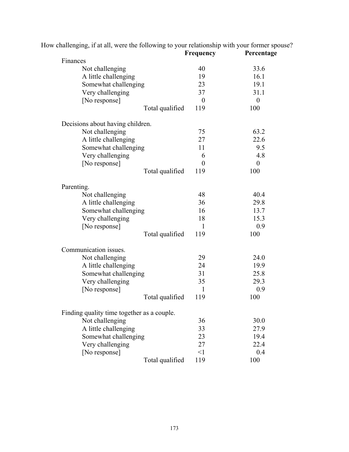|                                            |                 | Frequency        | Percentage       |
|--------------------------------------------|-----------------|------------------|------------------|
| Finances<br>Not challenging                |                 | 40               | 33.6             |
| A little challenging                       |                 | 19               | 16.1             |
| Somewhat challenging                       |                 | 23               | 19.1             |
| Very challenging                           |                 | 37               | 31.1             |
| [No response]                              |                 | $\boldsymbol{0}$ | $\boldsymbol{0}$ |
|                                            | Total qualified | 119              | 100              |
| Decisions about having children.           |                 |                  |                  |
| Not challenging                            |                 | 75               | 63.2             |
| A little challenging                       |                 | 27               | 22.6             |
| Somewhat challenging                       |                 | 11               | 9.5              |
| Very challenging                           |                 | 6                | 4.8              |
| [No response]                              |                 | $\theta$         | $\boldsymbol{0}$ |
|                                            | Total qualified | 119              | 100              |
| Parenting.                                 |                 |                  |                  |
| Not challenging                            |                 | 48               | 40.4             |
| A little challenging                       |                 | 36               | 29.8             |
| Somewhat challenging                       |                 | 16               | 13.7             |
| Very challenging                           |                 | 18               | 15.3             |
| [No response]                              |                 | $\mathbf{1}$     | 0.9              |
|                                            | Total qualified | 119              | 100              |
| Communication issues.                      |                 |                  |                  |
| Not challenging                            |                 | 29               | 24.0             |
| A little challenging                       |                 | 24               | 19.9             |
| Somewhat challenging                       |                 | 31               | 25.8             |
| Very challenging                           |                 | 35               | 29.3             |
| [No response]                              |                 | 1                | 0.9              |
|                                            | Total qualified | 119              | 100              |
| Finding quality time together as a couple. |                 |                  |                  |
| Not challenging                            |                 | 36               | 30.0             |
| A little challenging                       |                 | 33               | 27.9             |
| Somewhat challenging                       |                 | 23               | 19.4             |
| Very challenging                           |                 | 27               | 22.4             |
| [No response]                              |                 | $\leq$ 1         | 0.4              |
|                                            | Total qualified | 119              | 100              |

How challenging, if at all, were the following to your relationship with your former spouse?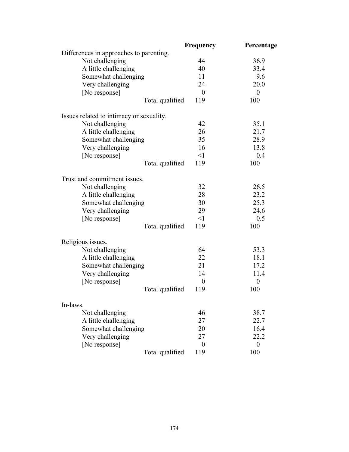|                                          | Frequency        | Percentage       |
|------------------------------------------|------------------|------------------|
| Differences in approaches to parenting.  |                  |                  |
| Not challenging                          | 44               | 36.9             |
| A little challenging                     | 40               | 33.4             |
| Somewhat challenging                     | 11               | 9.6              |
| Very challenging                         | 24               | 20.0             |
| [No response]                            | $\boldsymbol{0}$ | $\boldsymbol{0}$ |
| Total qualified                          | 119              | 100              |
| Issues related to intimacy or sexuality. |                  |                  |
| Not challenging                          | 42               | 35.1             |
| A little challenging                     | 26               | 21.7             |
| Somewhat challenging                     | 35               | 28.9             |
| Very challenging                         | 16               | 13.8             |
| [No response]                            | $\leq$ 1         | 0.4              |
| Total qualified                          | 119              | 100              |
| Trust and commitment issues.             |                  |                  |
| Not challenging                          | 32               | 26.5             |
| A little challenging                     | 28               | 23.2             |
| Somewhat challenging                     | 30               | 25.3             |
| Very challenging                         | 29               | 24.6             |
| [No response]                            | $\leq$ 1         | 0.5              |
| Total qualified                          | 119              | 100              |
| Religious issues.                        |                  |                  |
| Not challenging                          | 64               | 53.3             |
| A little challenging                     | 22               | 18.1             |
| Somewhat challenging                     | 21               | 17.2             |
| Very challenging                         | 14               | 11.4             |
| [No response]                            | $\boldsymbol{0}$ | $\boldsymbol{0}$ |
| Total qualified                          | 119              | 100              |
| In-laws.                                 |                  |                  |
| Not challenging                          | 46               | 38.7             |
| A little challenging                     | 27               | 22.7             |
| Somewhat challenging                     | 20               | 16.4             |
| Very challenging                         | 27               | 22.2             |
| [No response]                            | $\theta$         | $\boldsymbol{0}$ |
| Total qualified                          | 119              | 100              |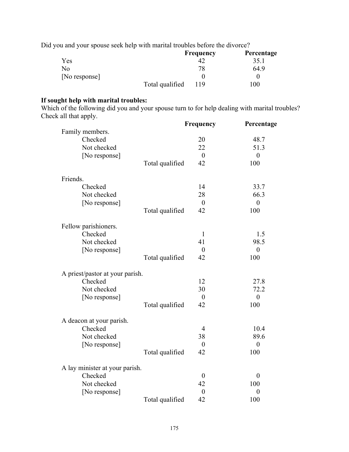Did you and your spouse seek help with marital troubles before the divorce?

|               |                 | <b>Frequency</b> | Percentage |
|---------------|-----------------|------------------|------------|
| Yes           |                 |                  | 35.1       |
| No            |                 | 78               | 64.9       |
| [No response] |                 |                  |            |
|               | Total qualified | 119              | 100        |

#### **If sought help with marital troubles:**

Which of the following did you and your spouse turn to for help dealing with marital troubles? Check all that apply.

|                                 |                 | Frequency        | Percentage       |
|---------------------------------|-----------------|------------------|------------------|
| Family members.                 |                 |                  |                  |
| Checked                         |                 | 20               | 48.7             |
| Not checked                     |                 | 22               | 51.3             |
| [No response]                   |                 | $\mathbf{0}$     | $\boldsymbol{0}$ |
|                                 | Total qualified | 42               | 100              |
| Friends.                        |                 |                  |                  |
| Checked                         |                 | 14               | 33.7             |
| Not checked                     |                 | 28               | 66.3             |
| [No response]                   |                 | $\overline{0}$   | $\boldsymbol{0}$ |
|                                 | Total qualified | 42               | 100              |
| Fellow parishioners.            |                 |                  |                  |
| Checked                         |                 | $\mathbf{1}$     | 1.5              |
| Not checked                     |                 | 41               | 98.5             |
| [No response]                   |                 | $\boldsymbol{0}$ | $\boldsymbol{0}$ |
|                                 | Total qualified | 42               | 100              |
| A priest/pastor at your parish. |                 |                  |                  |
| Checked                         |                 | 12               | 27.8             |
| Not checked                     |                 | 30               | 72.2             |
| [No response]                   |                 | $\boldsymbol{0}$ | $\boldsymbol{0}$ |
|                                 | Total qualified | 42               | 100              |
| A deacon at your parish.        |                 |                  |                  |
| Checked                         |                 | $\overline{4}$   | 10.4             |
| Not checked                     |                 | 38               | 89.6             |
| [No response]                   |                 | $\boldsymbol{0}$ | $\boldsymbol{0}$ |
|                                 | Total qualified | 42               | 100              |
| A lay minister at your parish.  |                 |                  |                  |
| Checked                         |                 | $\boldsymbol{0}$ | $\boldsymbol{0}$ |
| Not checked                     |                 | 42               | 100              |
| [No response]                   |                 | $\boldsymbol{0}$ | $\boldsymbol{0}$ |
|                                 | Total qualified | 42               | 100              |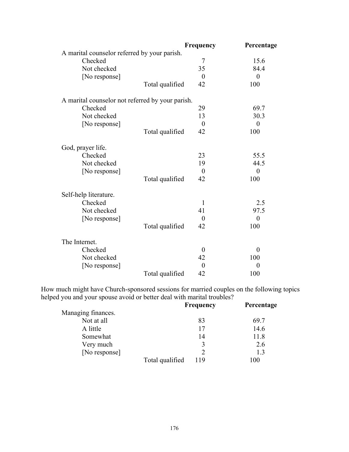|                                                  |                 | <b>Frequency</b> | Percentage       |
|--------------------------------------------------|-----------------|------------------|------------------|
| A marital counselor referred by your parish.     |                 |                  |                  |
| Checked                                          |                 | 7                | 15.6             |
| Not checked                                      |                 | 35               | 84.4             |
| [No response]                                    |                 | $\overline{0}$   | $\overline{0}$   |
|                                                  | Total qualified | 42               | 100              |
| A marital counselor not referred by your parish. |                 |                  |                  |
| Checked                                          |                 | 29               | 69.7             |
| Not checked                                      |                 | 13               | 30.3             |
| [No response]                                    |                 | $\theta$         | $\boldsymbol{0}$ |
|                                                  | Total qualified | 42               | 100              |
| God, prayer life.                                |                 |                  |                  |
| Checked                                          |                 | 23               | 55.5             |
| Not checked                                      |                 | 19               | 44.5             |
| [No response]                                    |                 | $\boldsymbol{0}$ | $\theta$         |
|                                                  | Total qualified | 42               | 100              |
| Self-help literature.                            |                 |                  |                  |
| Checked                                          |                 | $\mathbf{1}$     | 2.5              |
| Not checked                                      |                 | 41               | 97.5             |
| [No response]                                    |                 | $\boldsymbol{0}$ | $\boldsymbol{0}$ |
|                                                  | Total qualified | 42               | 100              |
| The Internet.                                    |                 |                  |                  |
| Checked                                          |                 | $\theta$         | $\boldsymbol{0}$ |
| Not checked                                      |                 | 42               | 100              |
| [No response]                                    |                 | $\overline{0}$   | $\theta$         |
|                                                  | Total qualified | 42               | 100              |

How much might have Church-sponsored sessions for married couples on the following topics helped you and your spouse avoid or better deal with marital troubles?

| $\sim$             | <b>Frequency</b> | Percentage |
|--------------------|------------------|------------|
| Managing finances. |                  |            |
| Not at all         | 83               | 69.7       |
| A little           | 17               | 14.6       |
| Somewhat           | 14               | 11.8       |
| Very much          | 2                | 2.6        |
| [No response]      |                  | 1.3        |
| Total qualified    | 119              | 100        |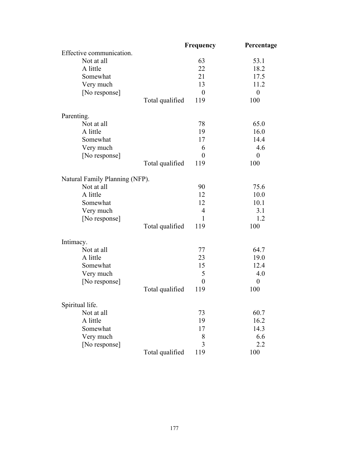|                                |                 | Frequency        | Percentage       |
|--------------------------------|-----------------|------------------|------------------|
| Effective communication.       |                 |                  |                  |
| Not at all                     |                 | 63               | 53.1             |
| A little                       |                 | 22               | 18.2             |
| Somewhat                       |                 | 21               | 17.5             |
| Very much                      |                 | 13               | 11.2             |
| [No response]                  |                 | $\boldsymbol{0}$ | $\boldsymbol{0}$ |
|                                | Total qualified | 119              | 100              |
| Parenting.                     |                 |                  |                  |
| Not at all                     |                 | 78               | 65.0             |
| A little                       |                 | 19               | 16.0             |
| Somewhat                       |                 | 17               | 14.4             |
| Very much                      |                 | 6                | 4.6              |
| [No response]                  |                 | $\theta$         | $\boldsymbol{0}$ |
|                                | Total qualified | 119              | 100              |
| Natural Family Planning (NFP). |                 |                  |                  |
| Not at all                     |                 | 90               | 75.6             |
| A little                       |                 | 12               | 10.0             |
| Somewhat                       |                 | 12               | 10.1             |
| Very much                      |                 | $\overline{4}$   | 3.1              |
| [No response]                  |                 | 1                | 1.2              |
|                                | Total qualified | 119              | 100              |
| Intimacy.                      |                 |                  |                  |
| Not at all                     |                 | 77               | 64.7             |
| A little                       |                 | 23               | 19.0             |
| Somewhat                       |                 | 15               | 12.4             |
| Very much                      |                 | 5                | 4.0              |
| [No response]                  |                 | $\boldsymbol{0}$ | $\boldsymbol{0}$ |
|                                | Total qualified | 119              | 100              |
| Spiritual life.                |                 |                  |                  |
| Not at all                     |                 | 73               | 60.7             |
| A little                       |                 | 19               | 16.2             |
| Somewhat                       |                 | 17               | 14.3             |
| Very much                      |                 | 8                | 6.6              |
| [No response]                  |                 | 3                | 2.2              |
|                                | Total qualified | 119              | 100              |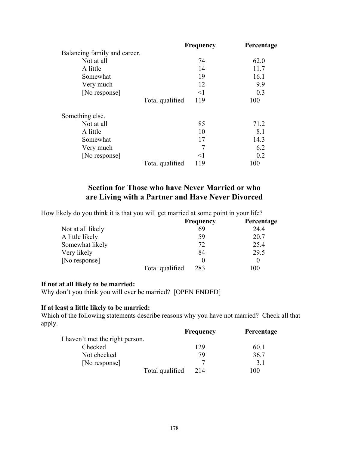|                              |                 | Frequency | Percentage |
|------------------------------|-----------------|-----------|------------|
| Balancing family and career. |                 |           |            |
| Not at all                   |                 | 74        | 62.0       |
| A little                     |                 | 14        | 11.7       |
| Somewhat                     |                 | 19        | 16.1       |
| Very much                    |                 | 12        | 9.9        |
| [No response]                |                 | $\leq$ 1  | 0.3        |
|                              | Total qualified | 119       | 100        |
| Something else.              |                 |           |            |
| Not at all                   |                 | 85        | 71.2       |
| A little                     |                 | 10        | 8.1        |
| Somewhat                     |                 | 17        | 14.3       |
| Very much                    |                 | 7         | 6.2        |
| [No response]                |                 | $<$ 1     | 0.2        |
|                              | Total qualified | 119       | 100        |

## **Section for Those who have Never Married or who are Living with a Partner and Have Never Divorced**

How likely do you think it is that you will get married at some point in your life?

|                   |                 | <b>Frequency</b> | Percentage |
|-------------------|-----------------|------------------|------------|
| Not at all likely |                 | 69               | 24.4       |
| A little likely   |                 | 59               | 20.7       |
| Somewhat likely   |                 | 72               | 25.4       |
| Very likely       |                 | 84               | 29.5       |
| [No response]     |                 |                  |            |
|                   | Total qualified | 283              | 00         |

#### **If not at all likely to be married:**

Why don't you think you will ever be married? [OPEN ENDED]

#### **If at least a little likely to be married:**

Which of the following statements describe reasons why you have not married? Check all that apply.

|                                 | Frequency | Percentage |
|---------------------------------|-----------|------------|
| I haven't met the right person. |           |            |
| Checked                         | 129       | 60.1       |
| Not checked                     | 79        | 36.7       |
| [No response]                   |           | 31         |
| Total qualified                 | 214       | 100        |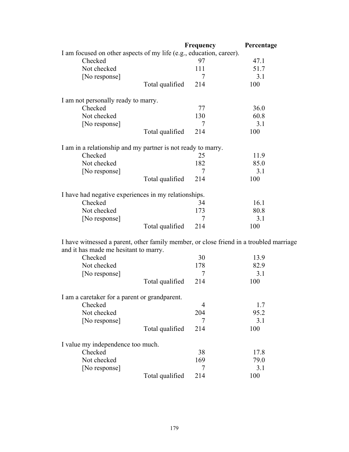|                                                                                        |                 | Frequency      | Percentage |
|----------------------------------------------------------------------------------------|-----------------|----------------|------------|
| I am focused on other aspects of my life (e.g., education, career).                    |                 |                |            |
| Checked                                                                                |                 | 97             | 47.1       |
| Not checked                                                                            |                 | 111            | 51.7       |
| [No response]                                                                          |                 | 7              | 3.1        |
|                                                                                        | Total qualified | 214            | 100        |
| I am not personally ready to marry.                                                    |                 |                |            |
| Checked                                                                                |                 | 77             | 36.0       |
| Not checked                                                                            |                 | 130            | 60.8       |
| [No response]                                                                          |                 | 7              | 3.1        |
|                                                                                        | Total qualified | 214            | 100        |
| I am in a relationship and my partner is not ready to marry.                           |                 |                |            |
| Checked                                                                                |                 | 25             | 11.9       |
| Not checked                                                                            |                 | 182            | 85.0       |
| [No response]                                                                          |                 | 7              | 3.1        |
|                                                                                        | Total qualified | 214            | 100        |
| I have had negative experiences in my relationships.                                   |                 |                |            |
| Checked                                                                                |                 | 34             | 16.1       |
| Not checked                                                                            |                 | 173            | 80.8       |
| [No response]                                                                          |                 | 7              | 3.1        |
|                                                                                        | Total qualified | 214            | 100        |
| I have witnessed a parent, other family member, or close friend in a troubled marriage |                 |                |            |
| and it has made me hesitant to marry.                                                  |                 |                |            |
| Checked                                                                                |                 | 30             | 13.9       |
| Not checked                                                                            |                 | 178            | 82.9       |
| [No response]                                                                          |                 | 7              | 3.1        |
|                                                                                        | Total qualified | 214            | 100        |
| I am a caretaker for a parent or grandparent.                                          |                 |                |            |
| Checked                                                                                |                 | $\overline{4}$ | 1.7        |
| Not checked                                                                            |                 | 204            | 95.2       |
| [No response]                                                                          |                 | 7              | 3.1        |
|                                                                                        | Total qualified | 214            | 100        |
| I value my independence too much.                                                      |                 |                |            |
| Checked                                                                                |                 | 38             | 17.8       |
| Not checked                                                                            |                 | 169            | 79.0       |
| [No response]                                                                          |                 |                |            |
|                                                                                        |                 | 7              | 3.1        |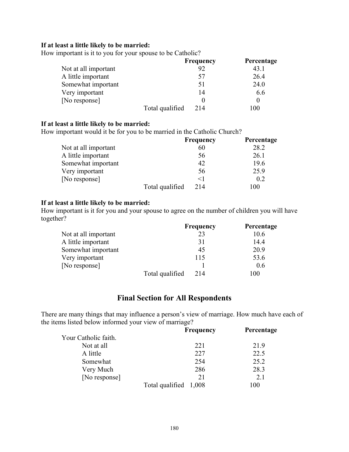#### **If at least a little likely to be married:**

How important is it to you for your spouse to be Catholic?

|                      |                 | <b>Frequency</b> | Percentage |
|----------------------|-----------------|------------------|------------|
| Not at all important |                 | 92               | 43.1       |
| A little important   |                 | 57               | 26.4       |
| Somewhat important   |                 | 51               | 24.0       |
| Very important       |                 | 14               | 6.6        |
| [No response]        |                 |                  |            |
|                      | Total qualified | 214              | 100        |

#### **If at least a little likely to be married:**

How important would it be for you to be married in the Catholic Church?

|                      |                 | <b>Frequency</b> | Percentage |
|----------------------|-----------------|------------------|------------|
| Not at all important |                 | 60               | 28.2       |
| A little important   |                 | 56               | 26.1       |
| Somewhat important   |                 | 42               | 19.6       |
| Very important       |                 | 56               | 25.9       |
| [No response]        |                 | $<$ 1            | 0.2        |
|                      | Total qualified | 214              | 100        |

#### **If at least a little likely to be married:**

How important is it for you and your spouse to agree on the number of children you will have together?

|                      |                 | <b>Frequency</b> | Percentage |
|----------------------|-----------------|------------------|------------|
| Not at all important |                 | 23               | 10.6       |
| A little important   |                 | 31               | 14.4       |
| Somewhat important   |                 | 45               | 20.9       |
| Very important       |                 | 115              | 53.6       |
| [No response]        |                 |                  | 0.6        |
|                      | Total qualified | 214              | 100        |

### **Final Section for All Respondents**

There are many things that may influence a person's view of marriage. How much have each of the items listed below informed your view of marriage?

|                      | <b>Frequency</b>      | Percentage |
|----------------------|-----------------------|------------|
| Your Catholic faith. |                       |            |
| Not at all           | 221                   | 21.9       |
| A little             | 227                   | 22.5       |
| Somewhat             | 254                   | 25.2       |
| Very Much            | 286                   | 28.3       |
| [No response]        | 21                    | 2.1        |
|                      | Total qualified 1,008 | 100        |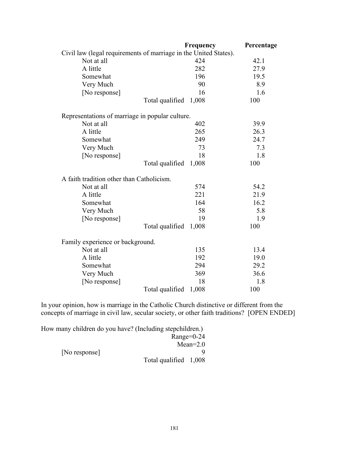|                                                 | Frequency                                                        | Percentage |
|-------------------------------------------------|------------------------------------------------------------------|------------|
|                                                 | Civil law (legal requirements of marriage in the United States). |            |
| Not at all                                      | 424                                                              | 42.1       |
| A little                                        | 282                                                              | 27.9       |
| Somewhat                                        | 196                                                              | 19.5       |
| Very Much                                       | 90                                                               | 8.9        |
| [No response]                                   | 16                                                               | 1.6        |
|                                                 | Total qualified<br>1,008                                         | 100        |
| Representations of marriage in popular culture. |                                                                  |            |
| Not at all                                      | 402                                                              | 39.9       |
| A little                                        | 265                                                              | 26.3       |
| Somewhat                                        | 249                                                              | 24.7       |
| Very Much                                       | 73                                                               | 7.3        |
| [No response]                                   | 18                                                               | 1.8        |
|                                                 | Total qualified<br>1,008                                         | 100        |
| A faith tradition other than Catholicism.       |                                                                  |            |
| Not at all                                      | 574                                                              | 54.2       |
| A little                                        | 221                                                              | 21.9       |
| Somewhat                                        | 164                                                              | 16.2       |
| Very Much                                       | 58                                                               | 5.8        |
| [No response]                                   | 19                                                               | 1.9        |
|                                                 | Total qualified<br>1,008                                         | 100        |
| Family experience or background.                |                                                                  |            |
| Not at all                                      | 135                                                              | 13.4       |
| A little                                        | 192                                                              | 19.0       |
| Somewhat                                        | 294                                                              | 29.2       |
| Very Much                                       | 369                                                              | 36.6       |
| [No response]                                   | 18                                                               | 1.8        |
|                                                 | Total qualified<br>1,008                                         | 100        |

In your opinion, how is marriage in the Catholic Church distinctive or different from the concepts of marriage in civil law, secular society, or other faith traditions? [OPEN ENDED]

| How many children do you have? (Including stepchildren.) |                       |              |
|----------------------------------------------------------|-----------------------|--------------|
|                                                          |                       | $Range=0-24$ |
|                                                          |                       | $Mean=2.0$   |
| [No response]                                            |                       |              |
|                                                          | Total qualified 1,008 |              |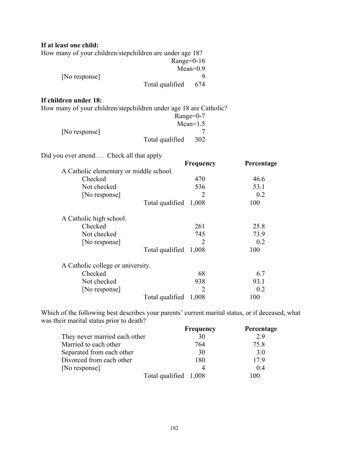# **If at least one child:**

| How many of your children/stepchildren are under age 18? |             |
|----------------------------------------------------------|-------------|
| Range= $0-16$                                            |             |
|                                                          | Mean= $0.9$ |
| [No response]                                            |             |
| Total qualified                                          | 674         |

#### **If children under 18:**

| How many of your children/stepchildren under age 18 are Catholic? |                           |
|-------------------------------------------------------------------|---------------------------|
|                                                                   | $Range=0-7$               |
|                                                                   | $\mathbf{M} = \mathbf{1}$ |

|               |                 | $Mean=1.5$ |
|---------------|-----------------|------------|
| [No response] |                 |            |
|               | Total qualified | 302        |

Did you ever attend. . . Check all that apply

|                                         | <b>Frequency</b>      | Percentage |
|-----------------------------------------|-----------------------|------------|
| A Catholic elementary or middle school. |                       |            |
| Checked                                 | 470                   | 46.6       |
| Not checked                             | 536                   | 53.1       |
| [No response]                           | 2                     | 0.2        |
|                                         | Total qualified 1,008 | 100        |
| A Catholic high school.                 |                       |            |
| Checked                                 | 261                   | 25.8       |
| Not checked                             | 745                   | 73.9       |
| [No response]                           | 2                     | 0.2        |
|                                         | Total qualified 1,008 | 100        |
| A Catholic college or university.       |                       |            |
| Checked                                 | 68                    | 6.7        |
| Not checked                             | 938                   | 93.1       |
| [No response]                           | 2                     | 0.2        |
|                                         | Total qualified 1,008 | 100        |

Which of the following best describes your parents' current marital status, or if deceased, what was their marital status prior to death?

|                               | <b>Frequency</b>      | Percentage |
|-------------------------------|-----------------------|------------|
| They never married each other | 30                    | 29         |
| Married to each other         | 764                   | 75.8       |
| Separated from each other     | 30                    | 3.0        |
| Divorced from each other      | 180                   | 179        |
| [No response]                 |                       | 04         |
|                               | Total qualified 1,008 | 100        |